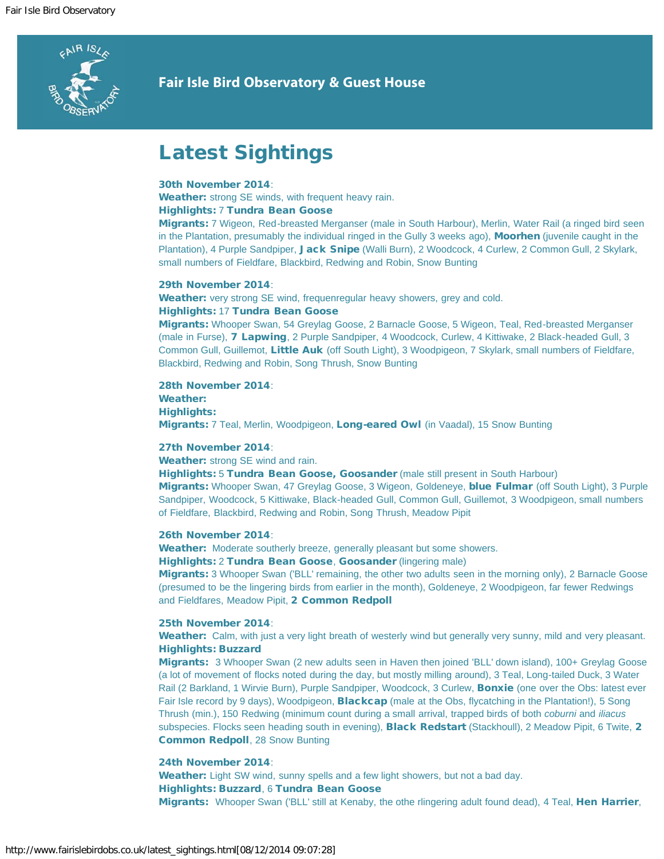

# **Fair Isle Bird Observatory & Guest House**

# Latest Sightings

# 30th November 2014:

Weather: strong SE winds, with frequent heavy rain. Highlights: 7 Tundra Bean Goose

Migrants: 7 Wigeon, Red-breasted Merganser (male in South Harbour), Merlin, Water Rail (a ringed bird seen in the Plantation, presumably the individual ringed in the Gully 3 weeks ago), **Moorhen** (juvenile caught in the Plantation), 4 Purple Sandpiper, Jack Snipe (Walli Burn), 2 Woodcock, 4 Curlew, 2 Common Gull, 2 Skylark, small numbers of Fieldfare, Blackbird, Redwing and Robin, Snow Bunting

# 29th November 2014:

Weather: very strong SE wind, frequenregular heavy showers, grey and cold. Highlights: 17 Tundra Bean Goose

Migrants: Whooper Swan, 54 Greylag Goose, 2 Barnacle Goose, 5 Wigeon, Teal, Red-breasted Merganser (male in Furse), **7 Lapwing**, 2 Purple Sandpiper, 4 Woodcock, Curlew, 4 Kittiwake, 2 Black-headed Gull, 3 Common Gull, Guillemot, Little Auk (off South Light), 3 Woodpigeon, 7 Skylark, small numbers of Fieldfare, Blackbird, Redwing and Robin, Song Thrush, Snow Bunting

28th November 2014: Weather: Highlights: Migrants: 7 Teal, Merlin, Woodpigeon, Long-eared Owl (in Vaadal), 15 Snow Bunting

# 27th November 2014:

Weather: strong SE wind and rain.

Highlights: 5 Tundra Bean Goose, Goosander (male still present in South Harbour)

Migrants: Whooper Swan, 47 Greylag Goose, 3 Wigeon, Goldeneye, blue Fulmar (off South Light), 3 Purple Sandpiper, Woodcock, 5 Kittiwake, Black-headed Gull, Common Gull, Guillemot, 3 Woodpigeon, small numbers of Fieldfare, Blackbird, Redwing and Robin, Song Thrush, Meadow Pipit

#### 26th November 2014:

Weather: Moderate southerly breeze, generally pleasant but some showers.

Highlights: 2 Tundra Bean Goose, Goosander (lingering male)

Migrants: 3 Whooper Swan ('BLL' remaining, the other two adults seen in the morning only), 2 Barnacle Goose (presumed to be the lingering birds from earlier in the month), Goldeneye, 2 Woodpigeon, far fewer Redwings and Fieldfares, Meadow Pipit, 2 Common Redpoll

# 25th November 2014:

Weather: Calm, with just a very light breath of westerly wind but generally very sunny, mild and very pleasant. Highlights: Buzzard

Migrants: 3 Whooper Swan (2 new adults seen in Haven then joined 'BLL' down island), 100+ Greylag Goose (a lot of movement of flocks noted during the day, but mostly milling around), 3 Teal, Long-tailed Duck, 3 Water Rail (2 Barkland, 1 Wirvie Burn), Purple Sandpiper, Woodcock, 3 Curlew, Bonxie (one over the Obs: latest ever Fair Isle record by 9 days), Woodpigeon, **Blackcap** (male at the Obs, flycatching in the Plantation!), 5 Song Thrush (min.), 150 Redwing (minimum count during a small arrival, trapped birds of both *coburni* and *iliacus* subspecies. Flocks seen heading south in evening), **Black Redstart** (Stackhoull), 2 Meadow Pipit, 6 Twite, 2 Common Redpoll, 28 Snow Bunting

# 24th November 2014:

Weather: Light SW wind, sunny spells and a few light showers, but not a bad day. Highlights: Buzzard, 6 Tundra Bean Goose Migrants: Whooper Swan ('BLL' still at Kenaby, the othe rlingering adult found dead), 4 Teal, Hen Harrier,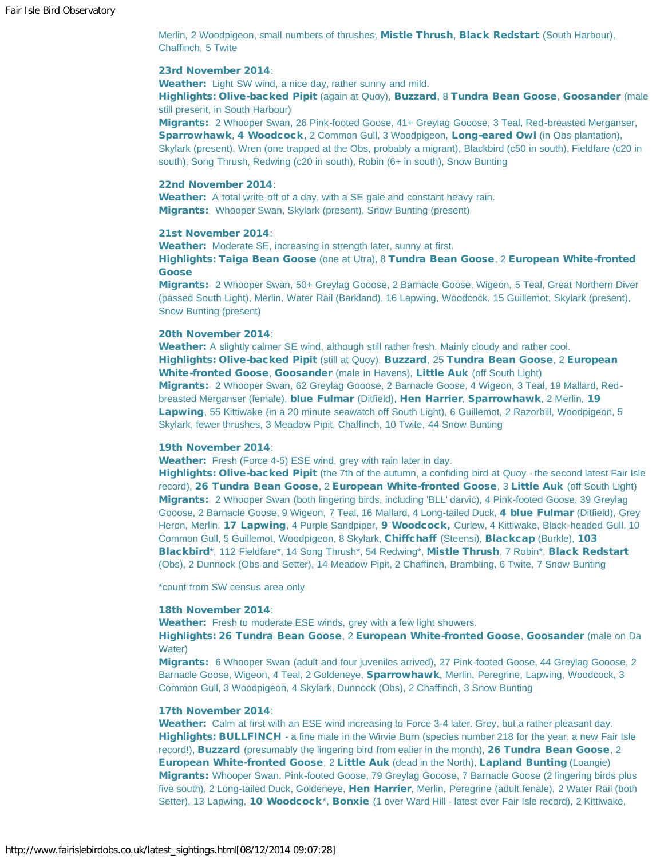Merlin, 2 Woodpigeon, small numbers of thrushes, Mistle Thrush, Black Redstart (South Harbour), Chaffinch, 5 Twite

#### 23rd November 2014:

Weather: Light SW wind, a nice day, rather sunny and mild.

Highlights: Olive-backed Pipit (again at Quoy), Buzzard, 8 Tundra Bean Goose, Goosander (male still present, in South Harbour)

Migrants: 2 Whooper Swan, 26 Pink-footed Goose, 41+ Greylag Gooose, 3 Teal, Red-breasted Merganser, Sparrowhawk, 4 Woodcock, 2 Common Gull, 3 Woodpigeon, Long-eared Owl (in Obs plantation), Skylark (present), Wren (one trapped at the Obs, probably a migrant), Blackbird (c50 in south), Fieldfare (c20 in south), Song Thrush, Redwing (c20 in south), Robin (6+ in south), Snow Bunting

#### 22nd November 2014:

Weather: A total write-off of a day, with a SE gale and constant heavy rain. Migrants: Whooper Swan, Skylark (present), Snow Bunting (present)

# 21st November 2014:

Weather: Moderate SE, increasing in strength later, sunny at first.

Highlights: Taiga Bean Goose (one at Utra), 8 Tundra Bean Goose, 2 European White-fronted Goose

Migrants: 2 Whooper Swan, 50+ Greylag Gooose, 2 Barnacle Goose, Wigeon, 5 Teal, Great Northern Diver (passed South Light), Merlin, Water Rail (Barkland), 16 Lapwing, Woodcock, 15 Guillemot, Skylark (present), Snow Bunting (present)

#### 20th November 2014:

Weather: A slightly calmer SE wind, although still rather fresh. Mainly cloudy and rather cool. Highlights: Olive-backed Pipit (still at Quoy), Buzzard, 25 Tundra Bean Goose, 2 European White-fronted Goose, Goosander (male in Havens), Little Auk (off South Light) Migrants: 2 Whooper Swan, 62 Greylag Gooose, 2 Barnacle Goose, 4 Wigeon, 3 Teal, 19 Mallard, Redbreasted Merganser (female), blue Fulmar (Ditfield), Hen Harrier, Sparrowhawk, 2 Merlin, 19 Lapwing, 55 Kittiwake (in a 20 minute seawatch off South Light), 6 Guillemot, 2 Razorbill, Woodpigeon, 5 Skylark, fewer thrushes, 3 Meadow Pipit, Chaffinch, 10 Twite, 44 Snow Bunting

#### 19th November 2014:

Weather: Fresh (Force 4-5) ESE wind, grey with rain later in day.

Highlights: Olive-backed Pipit (the 7th of the autumn, a confiding bird at Quoy - the second latest Fair Isle record), 26 Tundra Bean Goose, 2 European White-fronted Goose, 3 Little Auk (off South Light) Migrants: 2 Whooper Swan (both lingering birds, including 'BLL' darvic), 4 Pink-footed Goose, 39 Greylag Gooose, 2 Barnacle Goose, 9 Wigeon, 7 Teal, 16 Mallard, 4 Long-tailed Duck, 4 blue Fulmar (Ditfield), Grey Heron, Merlin, 17 Lapwing, 4 Purple Sandpiper, 9 Woodcock, Curlew, 4 Kittiwake, Black-headed Gull, 10 Common Gull, 5 Guillemot, Woodpigeon, 8 Skylark, Chiffchaff (Steensi), Blackcap (Burkle), 103 Blackbird\*, 112 Fieldfare\*, 14 Song Thrush\*, 54 Redwing\*, Mistle Thrush, 7 Robin\*, Black Redstart (Obs), 2 Dunnock (Obs and Setter), 14 Meadow Pipit, 2 Chaffinch, Brambling, 6 Twite, 7 Snow Bunting

\*count from SW census area only

#### 18th November 2014:

Weather: Fresh to moderate ESE winds, grey with a few light showers.

Highlights: 26 Tundra Bean Goose, 2 European White-fronted Goose, Goosander (male on Da Water)

Migrants: 6 Whooper Swan (adult and four juveniles arrived), 27 Pink-footed Goose, 44 Greylag Gooose, 2 Barnacle Goose, Wigeon, 4 Teal, 2 Goldeneye, Sparrowhawk, Merlin, Peregrine, Lapwing, Woodcock, 3 Common Gull, 3 Woodpigeon, 4 Skylark, Dunnock (Obs), 2 Chaffinch, 3 Snow Bunting

#### 17th November 2014:

Weather: Calm at first with an ESE wind increasing to Force 3-4 later. Grey, but a rather pleasant day. Highlights: BULLFINCH - a fine male in the Wirvie Burn (species number 218 for the year, a new Fair Isle record!), Buzzard (presumably the lingering bird from ealier in the month), 26 Tundra Bean Goose, 2 European White-fronted Goose, 2 Little Auk (dead in the North), Lapland Bunting (Loangie) Migrants: Whooper Swan, Pink-footed Goose, 79 Greylag Gooose, 7 Barnacle Goose (2 lingering birds plus five south), 2 Long-tailed Duck, Goldeneye, Hen Harrier, Merlin, Peregrine (adult fenale), 2 Water Rail (both Setter), 13 Lapwing, 10 Woodcock\*, Bonxie (1 over Ward Hill - latest ever Fair Isle record), 2 Kittiwake,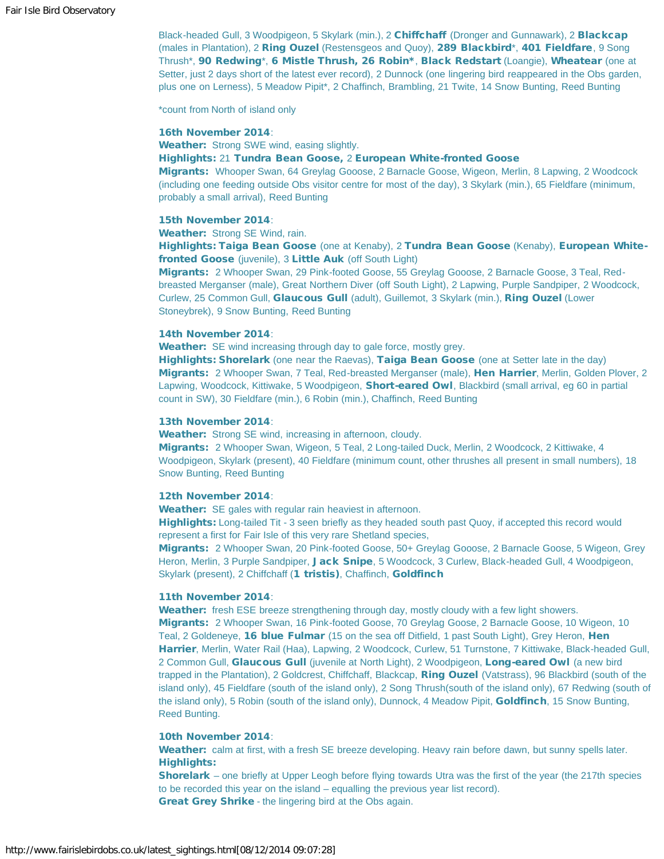Black-headed Gull, 3 Woodpigeon, 5 Skylark (min.), 2 Chiffchaff (Dronger and Gunnawark), 2 Blackcap (males in Plantation), 2 Ring Ouzel (Restensgeos and Quoy), 289 Blackbird\*, 401 Fieldfare, 9 Song Thrush\*, 90 Redwing\*, 6 Mistle Thrush, 26 Robin\*, Black Redstart (Loangie), Wheatear (one at Setter, just 2 days short of the latest ever record), 2 Dunnock (one lingering bird reappeared in the Obs garden, plus one on Lerness), 5 Meadow Pipit\*, 2 Chaffinch, Brambling, 21 Twite, 14 Snow Bunting, Reed Bunting

\*count from North of island only

#### 16th November 2014:

Weather: Strong SWE wind, easing slightly.

# Highlights: 21 Tundra Bean Goose, 2 European White-fronted Goose

Migrants: Whooper Swan, 64 Greylag Gooose, 2 Barnacle Goose, Wigeon, Merlin, 8 Lapwing, 2 Woodcock (including one feeding outside Obs visitor centre for most of the day), 3 Skylark (min.), 65 Fieldfare (minimum, probably a small arrival), Reed Bunting

# 15th November 2014:

Weather: Strong SE Wind, rain.

Highlights: Taiga Bean Goose (one at Kenaby), 2 Tundra Bean Goose (Kenaby), European Whitefronted Goose (juvenile), 3 Little Auk (off South Light)

Migrants: 2 Whooper Swan, 29 Pink-footed Goose, 55 Greylag Gooose, 2 Barnacle Goose, 3 Teal, Redbreasted Merganser (male), Great Northern Diver (off South Light), 2 Lapwing, Purple Sandpiper, 2 Woodcock, Curlew, 25 Common Gull, Glaucous Gull (adult), Guillemot, 3 Skylark (min.), Ring Ouzel (Lower Stoneybrek), 9 Snow Bunting, Reed Bunting

#### 14th November 2014:

Weather: SE wind increasing through day to gale force, mostly grey.

Highlights: Shorelark (one near the Raevas), Taiga Bean Goose (one at Setter late in the day) Migrants: 2 Whooper Swan, 7 Teal, Red-breasted Merganser (male), Hen Harrier, Merlin, Golden Plover, 2 Lapwing, Woodcock, Kittiwake, 5 Woodpigeon, Short-eared Owl, Blackbird (small arrival, eg 60 in partial count in SW), 30 Fieldfare (min.), 6 Robin (min.), Chaffinch, Reed Bunting

#### 13th November 2014:

Weather: Strong SE wind, increasing in afternoon, cloudy.

Migrants: 2 Whooper Swan, Wigeon, 5 Teal, 2 Long-tailed Duck, Merlin, 2 Woodcock, 2 Kittiwake, 4 Woodpigeon, Skylark (present), 40 Fieldfare (minimum count, other thrushes all present in small numbers), 18 Snow Bunting, Reed Bunting

#### 12th November 2014:

Weather: SE gales with regular rain heaviest in afternoon.

Highlights: Long-tailed Tit - 3 seen briefly as they headed south past Quoy, if accepted this record would represent a first for Fair Isle of this very rare Shetland species,

Migrants: 2 Whooper Swan, 20 Pink-footed Goose, 50+ Greylag Gooose, 2 Barnacle Goose, 5 Wigeon, Grey Heron, Merlin, 3 Purple Sandpiper, Jack Snipe, 5 Woodcock, 3 Curlew, Black-headed Gull, 4 Woodpigeon, Skylark (present), 2 Chiffchaff (1 tristis), Chaffinch, Goldfinch

#### 11th November 2014:

Weather: fresh ESE breeze strengthening through day, mostly cloudy with a few light showers. Migrants: 2 Whooper Swan, 16 Pink-footed Goose, 70 Greylag Goose, 2 Barnacle Goose, 10 Wigeon, 10 Teal, 2 Goldeneye, 16 blue Fulmar (15 on the sea off Ditfield, 1 past South Light), Grey Heron, Hen Harrier, Merlin, Water Rail (Haa), Lapwing, 2 Woodcock, Curlew, 51 Turnstone, 7 Kittiwake, Black-headed Gull, 2 Common Gull, Glaucous Gull (juvenile at North Light), 2 Woodpigeon, Long-eared Owl (a new bird trapped in the Plantation), 2 Goldcrest, Chiffchaff, Blackcap, Ring Ouzel (Vatstrass), 96 Blackbird (south of the island only), 45 Fieldfare (south of the island only), 2 Song Thrush(south of the island only), 67 Redwing (south of the island only), 5 Robin (south of the island only), Dunnock, 4 Meadow Pipit, Goldfinch, 15 Snow Bunting, Reed Bunting.

#### 10th November 2014:

Weather: calm at first, with a fresh SE breeze developing. Heavy rain before dawn, but sunny spells later. Highlights:

Shorelark – one briefly at Upper Leogh before flying towards Utra was the first of the year (the 217th species to be recorded this year on the island – equalling the previous year list record). Great Grey Shrike - the lingering bird at the Obs again.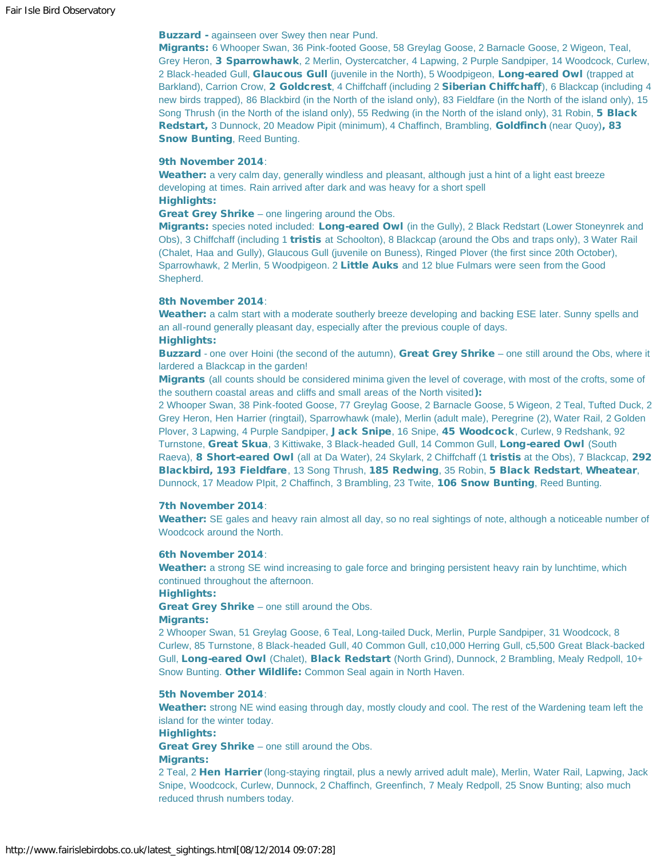# **Buzzard** - againseen over Swey then near Pund.

Migrants: 6 Whooper Swan, 36 Pink-footed Goose, 58 Greylag Goose, 2 Barnacle Goose, 2 Wigeon, Teal, Grey Heron, 3 Sparrowhawk, 2 Merlin, Oystercatcher, 4 Lapwing, 2 Purple Sandpiper, 14 Woodcock, Curlew, 2 Black-headed Gull, Glaucous Gull (juvenile in the North), 5 Woodpigeon, Long-eared Owl (trapped at Barkland), Carrion Crow, 2 Goldcrest, 4 Chiffchaff (including 2 Siberian Chiffchaff), 6 Blackcap (including 4 new birds trapped), 86 Blackbird (in the North of the island only), 83 Fieldfare (in the North of the island only), 15 Song Thrush (in the North of the island only), 55 Redwing (in the North of the island only), 31 Robin, 5 Black Redstart, 3 Dunnock, 20 Meadow Pipit (minimum), 4 Chaffinch, Brambling, Goldfinch (near Quoy), 83 Snow Bunting, Reed Bunting.

#### 9th November 2014:

Weather: a very calm day, generally windless and pleasant, although just a hint of a light east breeze developing at times. Rain arrived after dark and was heavy for a short spell Highlights:

Great Grey Shrike – one lingering around the Obs.

Migrants: species noted included: Long-eared Owl (in the Gully), 2 Black Redstart (Lower Stoneynrek and Obs), 3 Chiffchaff (including 1 tristis at Schoolton), 8 Blackcap (around the Obs and traps only), 3 Water Rail (Chalet, Haa and Gully), Glaucous Gull (juvenile on Buness), Ringed Plover (the first since 20th October), Sparrowhawk, 2 Merlin, 5 Woodpigeon. 2 Little Auks and 12 blue Fulmars were seen from the Good Shepherd.

#### 8th November 2014:

Weather: a calm start with a moderate southerly breeze developing and backing ESE later. Sunny spells and an all-round generally pleasant day, especially after the previous couple of days. Highlights:

Buzzard - one over Hoini (the second of the autumn), Great Grey Shrike – one still around the Obs, where it lardered a Blackcap in the garden!

Migrants (all counts should be considered minima given the level of coverage, with most of the crofts, some of the southern coastal areas and cliffs and small areas of the North visited):

2 Whooper Swan, 38 Pink-footed Goose, 77 Greylag Goose, 2 Barnacle Goose, 5 Wigeon, 2 Teal, Tufted Duck, 2 Grey Heron, Hen Harrier (ringtail), Sparrowhawk (male), Merlin (adult male), Peregrine (2), Water Rail, 2 Golden Plover, 3 Lapwing, 4 Purple Sandpiper, Jack Snipe, 16 Snipe, 45 Woodcock, Curlew, 9 Redshank, 92 Turnstone, Great Skua, 3 Kittiwake, 3 Black-headed Gull, 14 Common Gull, Long-eared Owl (South Raeva), 8 Short-eared Owl (all at Da Water), 24 Skylark, 2 Chiffchaff (1 tristis at the Obs), 7 Blackcap, 292 Blackbird, 193 Fieldfare, 13 Song Thrush, 185 Redwing, 35 Robin, 5 Black Redstart, Wheatear, Dunnock, 17 Meadow Plpit, 2 Chaffinch, 3 Brambling, 23 Twite, 106 Snow Bunting, Reed Bunting.

# 7th November 2014:

Weather: SE gales and heavy rain almost all day, so no real sightings of note, although a noticeable number of Woodcock around the North.

#### 6th November 2014:

Weather: a strong SE wind increasing to gale force and bringing persistent heavy rain by lunchtime, which continued throughout the afternoon.

Highlights:

Great Grey Shrike – one still around the Obs.

#### Migrants:

2 Whooper Swan, 51 Greylag Goose, 6 Teal, Long-tailed Duck, Merlin, Purple Sandpiper, 31 Woodcock, 8 Curlew, 85 Turnstone, 8 Black-headed Gull, 40 Common Gull, c10,000 Herring Gull, c5,500 Great Black-backed Gull, Long-eared Owl (Chalet), Black Redstart (North Grind), Dunnock, 2 Brambling, Mealy Redpoll, 10+ Snow Bunting. Other Wildlife: Common Seal again in North Haven.

# 5th November 2014:

Weather: strong NE wind easing through day, mostly cloudy and cool. The rest of the Wardening team left the island for the winter today.

# Highlights:

Great Grey Shrike – one still around the Obs.

#### Migrants:

2 Teal, 2 Hen Harrier (long-staying ringtail, plus a newly arrived adult male), Merlin, Water Rail, Lapwing, Jack Snipe, Woodcock, Curlew, Dunnock, 2 Chaffinch, Greenfinch, 7 Mealy Redpoll, 25 Snow Bunting; also much reduced thrush numbers today.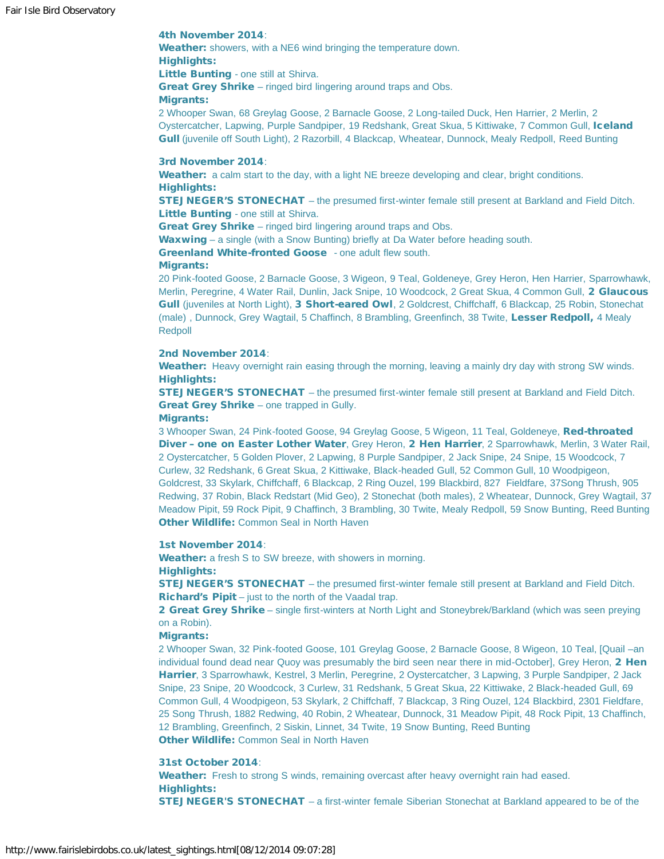# 4th November 2014:

Weather: showers, with a NE6 wind bringing the temperature down. Highlights: Little Bunting - one still at Shirva.

Great Grey Shrike – ringed bird lingering around traps and Obs.

# Migrants:

2 Whooper Swan, 68 Greylag Goose, 2 Barnacle Goose, 2 Long-tailed Duck, Hen Harrier, 2 Merlin, 2 Oystercatcher, Lapwing, Purple Sandpiper, 19 Redshank, Great Skua, 5 Kittiwake, 7 Common Gull, Iceland Gull (juvenile off South Light), 2 Razorbill, 4 Blackcap, Wheatear, Dunnock, Mealy Redpoll, Reed Bunting

#### 3rd November 2014:

Weather: a calm start to the day, with a light NE breeze developing and clear, bright conditions. Highlights:

STEJNEGER'S STONECHAT – the presumed first-winter female still present at Barkland and Field Ditch. Little Bunting - one still at Shirva.

Great Grey Shrike – ringed bird lingering around traps and Obs.

Waxwing – a single (with a Snow Bunting) briefly at Da Water before heading south.

Greenland White-fronted Goose - one adult flew south.

#### Migrants:

20 Pink-footed Goose, 2 Barnacle Goose, 3 Wigeon, 9 Teal, Goldeneye, Grey Heron, Hen Harrier, Sparrowhawk, Merlin, Peregrine, 4 Water Rail, Dunlin, Jack Snipe, 10 Woodcock, 2 Great Skua, 4 Common Gull, 2 Glaucous Gull (juveniles at North Light), 3 Short-eared Owl, 2 Goldcrest, Chiffchaff, 6 Blackcap, 25 Robin, Stonechat (male), Dunnock, Grey Wagtail, 5 Chaffinch, 8 Brambling, Greenfinch, 38 Twite, Lesser Redpoll, 4 Mealy Redpoll

# 2nd November 2014:

Weather: Heavy overnight rain easing through the morning, leaving a mainly dry day with strong SW winds. Highlights:

STEJNEGER'S STONECHAT – the presumed first-winter female still present at Barkland and Field Ditch. Great Grey Shrike - one trapped in Gully.

#### Migrants:

3 Whooper Swan, 24 Pink-footed Goose, 94 Greylag Goose, 5 Wigeon, 11 Teal, Goldeneye, Red-throated Diver - one on Easter Lother Water, Grey Heron, 2 Hen Harrier, 2 Sparrowhawk, Merlin, 3 Water Rail, 2 Oystercatcher, 5 Golden Plover, 2 Lapwing, 8 Purple Sandpiper, 2 Jack Snipe, 24 Snipe, 15 Woodcock, 7 Curlew, 32 Redshank, 6 Great Skua, 2 Kittiwake, Black-headed Gull, 52 Common Gull, 10 Woodpigeon, Goldcrest, 33 Skylark, Chiffchaff, 6 Blackcap, 2 Ring Ouzel, 199 Blackbird, 827 Fieldfare, 37Song Thrush, 905 Redwing, 37 Robin, Black Redstart (Mid Geo), 2 Stonechat (both males), 2 Wheatear, Dunnock, Grey Wagtail, 37 Meadow Pipit, 59 Rock Pipit, 9 Chaffinch, 3 Brambling, 30 Twite, Mealy Redpoll, 59 Snow Bunting, Reed Bunting Other Wildlife: Common Seal in North Haven

## 1st November 2014:

Weather: a fresh S to SW breeze, with showers in morning. Highlights:

STEJNEGER'S STONECHAT – the presumed first-winter female still present at Barkland and Field Ditch. Richard's Pipit – just to the north of the Vaadal trap.

2 Great Grey Shrike – single first-winters at North Light and Stoneybrek/Barkland (which was seen preying on a Robin).

#### **Migrants:**

2 Whooper Swan, 32 Pink-footed Goose, 101 Greylag Goose, 2 Barnacle Goose, 8 Wigeon, 10 Teal, [Quail –an individual found dead near Quoy was presumably the bird seen near there in mid-October], Grey Heron, 2 Hen Harrier, 3 Sparrowhawk, Kestrel, 3 Merlin, Peregrine, 2 Oystercatcher, 3 Lapwing, 3 Purple Sandpiper, 2 Jack Snipe, 23 Snipe, 20 Woodcock, 3 Curlew, 31 Redshank, 5 Great Skua, 22 Kittiwake, 2 Black-headed Gull, 69 Common Gull, 4 Woodpigeon, 53 Skylark, 2 Chiffchaff, 7 Blackcap, 3 Ring Ouzel, 124 Blackbird, 2301 Fieldfare, 25 Song Thrush, 1882 Redwing, 40 Robin, 2 Wheatear, Dunnock, 31 Meadow Pipit, 48 Rock Pipit, 13 Chaffinch, 12 Brambling, Greenfinch, 2 Siskin, Linnet, 34 Twite, 19 Snow Bunting, Reed Bunting Other Wildlife: Common Seal in North Haven

# 31st October 2014:

Weather: Fresh to strong S winds, remaining overcast after heavy overnight rain had eased. Highlights:

STEJNEGER'S STONECHAT – a first-winter female Siberian Stonechat at Barkland appeared to be of the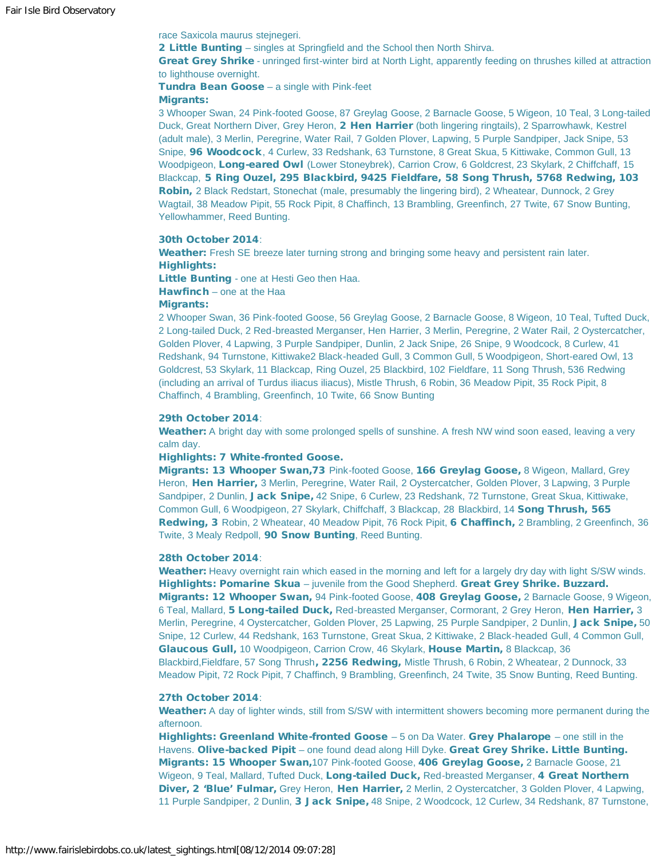race Saxicola maurus stejnegeri.

2 Little Bunting - singles at Springfield and the School then North Shirva.

Great Grey Shrike - unringed first-winter bird at North Light, apparently feeding on thrushes killed at attraction to lighthouse overnight.

Tundra Bean Goose – a single with Pink-feet

#### Migrants:

3 Whooper Swan, 24 Pink-footed Goose, 87 Greylag Goose, 2 Barnacle Goose, 5 Wigeon, 10 Teal, 3 Long-tailed Duck, Great Northern Diver, Grey Heron, 2 Hen Harrier (both lingering ringtails), 2 Sparrowhawk, Kestrel (adult male), 3 Merlin, Peregrine, Water Rail, 7 Golden Plover, Lapwing, 5 Purple Sandpiper, Jack Snipe, 53 Snipe, 96 Woodcock, 4 Curlew, 33 Redshank, 63 Turnstone, 8 Great Skua, 5 Kittiwake, Common Gull, 13 Woodpigeon, Long-eared Owl (Lower Stoneybrek), Carrion Crow, 6 Goldcrest, 23 Skylark, 2 Chiffchaff, 15 Blackcap, 5 Ring Ouzel, 295 Blackbird, 9425 Fieldfare, 58 Song Thrush, 5768 Redwing, 103 Robin, 2 Black Redstart, Stonechat (male, presumably the lingering bird), 2 Wheatear, Dunnock, 2 Grey Wagtail, 38 Meadow Pipit, 55 Rock Pipit, 8 Chaffinch, 13 Brambling, Greenfinch, 27 Twite, 67 Snow Bunting, Yellowhammer, Reed Bunting.

#### 30th October 2014:

Weather: Fresh SE breeze later turning strong and bringing some heavy and persistent rain later. Highlights:

Little Bunting - one at Hesti Geo then Haa.

Hawfinch – one at the Haa

#### Migrants:

2 Whooper Swan, 36 Pink-footed Goose, 56 Greylag Goose, 2 Barnacle Goose, 8 Wigeon, 10 Teal, Tufted Duck, 2 Long-tailed Duck, 2 Red-breasted Merganser, Hen Harrier, 3 Merlin, Peregrine, 2 Water Rail, 2 Oystercatcher, Golden Plover, 4 Lapwing, 3 Purple Sandpiper, Dunlin, 2 Jack Snipe, 26 Snipe, 9 Woodcock, 8 Curlew, 41 Redshank, 94 Turnstone, Kittiwake2 Black-headed Gull, 3 Common Gull, 5 Woodpigeon, Short-eared Owl, 13 Goldcrest, 53 Skylark, 11 Blackcap, Ring Ouzel, 25 Blackbird, 102 Fieldfare, 11 Song Thrush, 536 Redwing (including an arrival of Turdus iliacus iliacus), Mistle Thrush, 6 Robin, 36 Meadow Pipit, 35 Rock Pipit, 8 Chaffinch, 4 Brambling, Greenfinch, 10 Twite, 66 Snow Bunting

#### 29th October 2014:

Weather: A bright day with some prolonged spells of sunshine. A fresh NW wind soon eased, leaving a very calm day.

#### Highlights: 7 White-fronted Goose.

Migrants: 13 Whooper Swan,73 Pink-footed Goose, 166 Greylag Goose, 8 Wigeon, Mallard, Grey Heron, Hen Harrier, 3 Merlin, Peregrine, Water Rail, 2 Oystercatcher, Golden Plover, 3 Lapwing, 3 Purple Sandpiper, 2 Dunlin, Jack Snipe, 42 Snipe, 6 Curlew, 23 Redshank, 72 Turnstone, Great Skua, Kittiwake, Common Gull, 6 Woodpigeon, 27 Skylark, Chiffchaff, 3 Blackcap, 28 Blackbird, 14 Song Thrush, 565 Redwing, 3 Robin, 2 Wheatear, 40 Meadow Pipit, 76 Rock Pipit, 6 Chaffinch, 2 Brambling, 2 Greenfinch, 36 Twite, 3 Mealy Redpoll, 90 Snow Bunting, Reed Bunting.

#### 28th October 2014:

Weather: Heavy overnight rain which eased in the morning and left for a largely dry day with light S/SW winds. Highlights: Pomarine Skua - juvenile from the Good Shepherd. Great Grey Shrike. Buzzard. Migrants: 12 Whooper Swan, 94 Pink-footed Goose, 408 Greylag Goose, 2 Barnacle Goose, 9 Wigeon, 6 Teal, Mallard, 5 Long-tailed Duck, Red-breasted Merganser, Cormorant, 2 Grey Heron, Hen Harrier, 3 Merlin, Peregrine, 4 Oystercatcher, Golden Plover, 25 Lapwing, 25 Purple Sandpiper, 2 Dunlin, Jack Snipe, 50 Snipe, 12 Curlew, 44 Redshank, 163 Turnstone, Great Skua, 2 Kittiwake, 2 Black-headed Gull, 4 Common Gull, Glaucous Gull, 10 Woodpigeon, Carrion Crow, 46 Skylark, House Martin, 8 Blackcap, 36 Blackbird,Fieldfare, 57 Song Thrush, 2256 Redwing, Mistle Thrush, 6 Robin, 2 Wheatear, 2 Dunnock, 33 Meadow Pipit, 72 Rock Pipit, 7 Chaffinch, 9 Brambling, Greenfinch, 24 Twite, 35 Snow Bunting, Reed Bunting.

#### 27th October 2014:

Weather: A day of lighter winds, still from S/SW with intermittent showers becoming more permanent during the afternoon.

Highlights: Greenland White-fronted Goose - 5 on Da Water. Grey Phalarope - one still in the Havens. Olive-backed Pipit – one found dead along Hill Dyke. Great Grey Shrike. Little Bunting. Migrants: 15 Whooper Swan, 107 Pink-footed Goose, 406 Greylag Goose, 2 Barnacle Goose, 21 Wigeon, 9 Teal, Mallard, Tufted Duck, Long-tailed Duck, Red-breasted Merganser, 4 Great Northern Diver, 2 'Blue' Fulmar, Grey Heron, Hen Harrier, 2 Merlin, 2 Oystercatcher, 3 Golden Plover, 4 Lapwing, 11 Purple Sandpiper, 2 Dunlin, 3 Jack Snipe, 48 Snipe, 2 Woodcock, 12 Curlew, 34 Redshank, 87 Turnstone,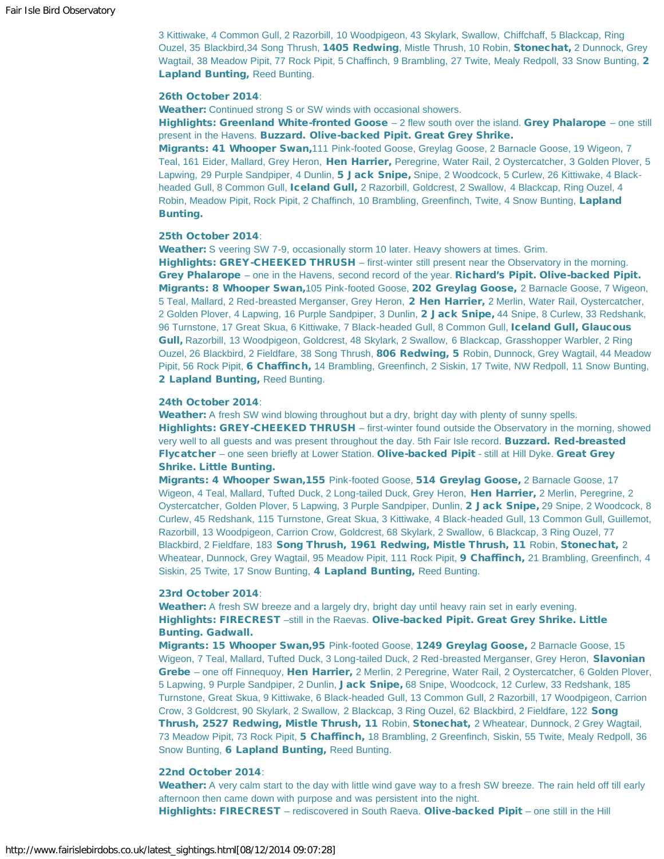3 Kittiwake, 4 Common Gull, 2 Razorbill, 10 Woodpigeon, 43 Skylark, Swallow, Chiffchaff, 5 Blackcap, Ring Ouzel, 35 Blackbird, 34 Song Thrush, 1405 Redwing, Mistle Thrush, 10 Robin, Stonechat, 2 Dunnock, Grey Wagtail, 38 Meadow Pipit, 77 Rock Pipit, 5 Chaffinch, 9 Brambling, 27 Twite, Mealy Redpoll, 33 Snow Bunting, 2 Lapland Bunting, Reed Bunting.

#### 26th October 2014:

Weather: Continued strong S or SW winds with occasional showers.

Highlights: Greenland White-fronted Goose - 2 flew south over the island. Grey Phalarope - one still present in the Havens. Buzzard. Olive-backed Pipit. Great Grey Shrike.

Migrants: 41 Whooper Swan, 111 Pink-footed Goose, Greylag Goose, 2 Barnacle Goose, 19 Wigeon, 7 Teal, 161 Eider, Mallard, Grey Heron, Hen Harrier, Peregrine, Water Rail, 2 Oystercatcher, 3 Golden Plover, 5 Lapwing, 29 Purple Sandpiper, 4 Dunlin, 5 Jack Snipe, Snipe, 2 Woodcock, 5 Curlew, 26 Kittiwake, 4 Blackheaded Gull, 8 Common Gull, Iceland Gull, 2 Razorbill, Goldcrest, 2 Swallow, 4 Blackcap, Ring Ouzel, 4 Robin, Meadow Pipit, Rock Pipit, 2 Chaffinch, 10 Brambling, Greenfinch, Twite, 4 Snow Bunting, Lapland Bunting.

#### 25th October 2014:

Weather: S veering SW 7-9, occasionally storm 10 later. Heavy showers at times. Grim. Highlights: GREY-CHEEKED THRUSH – first-winter still present near the Observatory in the morning. Grey Phalarope – one in the Havens, second record of the year. Richard's Pipit. Olive-backed Pipit. Migrants: 8 Whooper Swan,105 Pink-footed Goose, 202 Greylag Goose, 2 Barnacle Goose, 7 Wigeon, 5 Teal, Mallard, 2 Red-breasted Merganser, Grey Heron, 2 Hen Harrier, 2 Merlin, Water Rail, Oystercatcher, 2 Golden Plover, 4 Lapwing, 16 Purple Sandpiper, 3 Dunlin, 2 Jack Snipe, 44 Snipe, 8 Curlew, 33 Redshank, 96 Turnstone, 17 Great Skua, 6 Kittiwake, 7 Black-headed Gull, 8 Common Gull, Iceland Gull, Glaucous Gull, Razorbill, 13 Woodpigeon, Goldcrest, 48 Skylark, 2 Swallow, 6 Blackcap, Grasshopper Warbler, 2 Ring Ouzel, 26 Blackbird, 2 Fieldfare, 38 Song Thrush, 806 Redwing, 5 Robin, Dunnock, Grey Wagtail, 44 Meadow Pipit, 56 Rock Pipit, 6 Chaffinch, 14 Brambling, Greenfinch, 2 Siskin, 17 Twite, NW Redpoll, 11 Snow Bunting, 2 Lapland Bunting, Reed Bunting.

#### 24th October 2014:

Weather: A fresh SW wind blowing throughout but a dry, bright day with plenty of sunny spells. Highlights: GREY-CHEEKED THRUSH – first-winter found outside the Observatory in the morning, showed very well to all quests and was present throughout the day. 5th Fair Isle record. **Buzzard. Red-breasted** Flycatcher – one seen briefly at Lower Station. Olive-backed Pipit - still at Hill Dyke. Great Grey Shrike. Little Bunting.

Migrants: 4 Whooper Swan,155 Pink-footed Goose, 514 Greylag Goose, 2 Barnacle Goose, 17 Wigeon, 4 Teal, Mallard, Tufted Duck, 2 Long-tailed Duck, Grey Heron, Hen Harrier, 2 Merlin, Peregrine, 2 Oystercatcher, Golden Plover, 5 Lapwing, 3 Purple Sandpiper, Dunlin, 2 Jack Snipe, 29 Snipe, 2 Woodcock, 8 Curlew, 45 Redshank, 115 Turnstone, Great Skua, 3 Kittiwake, 4 Black-headed Gull, 13 Common Gull, Guillemot, Razorbill, 13 Woodpigeon, Carrion Crow, Goldcrest, 68 Skylark, 2 Swallow, 6 Blackcap, 3 Ring Ouzel, 77 Blackbird, 2 Fieldfare, 183 Song Thrush, 1961 Redwing, Mistle Thrush, 11 Robin, Stonechat, 2 Wheatear, Dunnock, Grey Wagtail, 95 Meadow Pipit, 111 Rock Pipit, **9 Chaffinch**, 21 Brambling, Greenfinch, 4 Siskin, 25 Twite, 17 Snow Bunting, 4 Lapland Bunting, Reed Bunting.

#### 23rd October 2014:

Weather: A fresh SW breeze and a largely dry, bright day until heavy rain set in early evening. Highlights: FIRECREST –still in the Raevas. Olive-backed Pipit. Great Grey Shrike. Little Bunting. Gadwall.

Migrants: 15 Whooper Swan,95 Pink-footed Goose, 1249 Greylag Goose, 2 Barnacle Goose, 15 Wigeon, 7 Teal, Mallard, Tufted Duck, 3 Long-tailed Duck, 2 Red-breasted Merganser, Grey Heron, Slavonian Grebe – one off Finnequoy, Hen Harrier, 2 Merlin, 2 Peregrine, Water Rail, 2 Oystercatcher, 6 Golden Plover, 5 Lapwing, 9 Purple Sandpiper, 2 Dunlin, Jack Snipe, 68 Snipe, Woodcock, 12 Curlew, 33 Redshank, 185 Turnstone, Great Skua, 9 Kittiwake, 6 Black-headed Gull, 13 Common Gull, 2 Razorbill, 17 Woodpigeon, Carrion Crow, 3 Goldcrest, 90 Skylark, 2 Swallow, 2 Blackcap, 3 Ring Ouzel, 62 Blackbird, 2 Fieldfare, 122 Song Thrush, 2527 Redwing, Mistle Thrush, 11 Robin, Stonechat, 2 Wheatear, Dunnock, 2 Grey Wagtail, 73 Meadow Pipit, 73 Rock Pipit, 5 Chaffinch, 18 Brambling, 2 Greenfinch, Siskin, 55 Twite, Mealy Redpoll, 36 Snow Bunting, 6 Lapland Bunting, Reed Bunting.

#### 22nd October 2014:

Weather: A very calm start to the day with little wind gave way to a fresh SW breeze. The rain held off till early afternoon then came down with purpose and was persistent into the night.

Highlights: FIRECREST - rediscovered in South Raeva. Olive-backed Pipit - one still in the Hill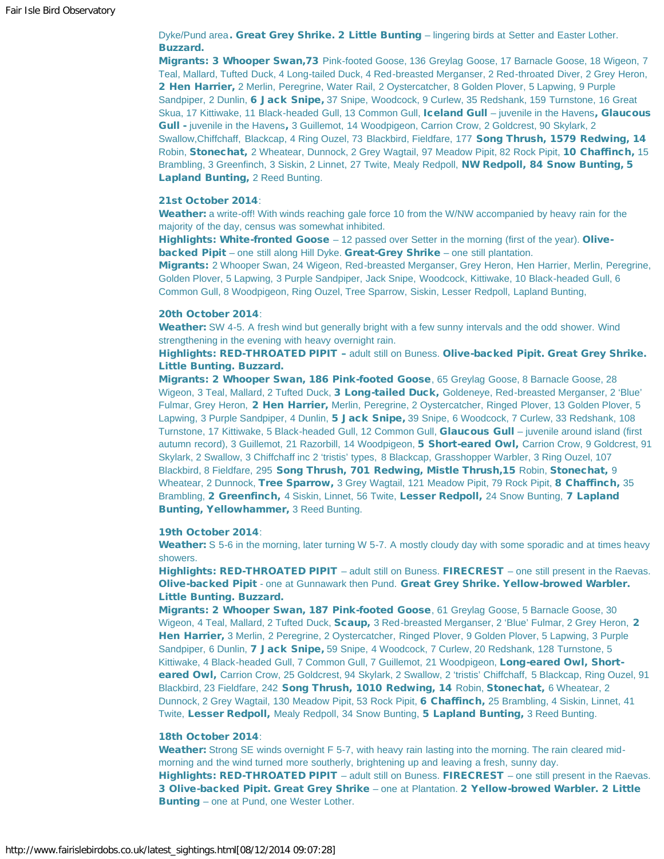Dyke/Pund area. Great Grey Shrike. 2 Little Bunting – lingering birds at Setter and Easter Lother. Buzzard.

Migrants: 3 Whooper Swan,73 Pink-footed Goose, 136 Greylag Goose, 17 Barnacle Goose, 18 Wigeon, 7 Teal, Mallard, Tufted Duck, 4 Long-tailed Duck, 4 Red-breasted Merganser, 2 Red-throated Diver, 2 Grey Heron, 2 Hen Harrier, 2 Merlin, Peregrine, Water Rail, 2 Oystercatcher, 8 Golden Plover, 5 Lapwing, 9 Purple Sandpiper, 2 Dunlin, 6 Jack Snipe, 37 Snipe, Woodcock, 9 Curlew, 35 Redshank, 159 Turnstone, 16 Great Skua, 17 Kittiwake, 11 Black-headed Gull, 13 Common Gull, Iceland Gull - juvenile in the Havens, Glaucous Gull - juvenile in the Havens, 3 Guillemot, 14 Woodpigeon, Carrion Crow, 2 Goldcrest, 90 Skylark, 2 Swallow, Chiffchaff, Blackcap, 4 Ring Ouzel, 73 Blackbird, Fieldfare, 177 Song Thrush, 1579 Redwing, 14 Robin, Stonechat, 2 Wheatear, Dunnock, 2 Grey Wagtail, 97 Meadow Pipit, 82 Rock Pipit, 10 Chaffinch, 15 Brambling, 3 Greenfinch, 3 Siskin, 2 Linnet, 27 Twite, Mealy Redpoll, NW Redpoll, 84 Snow Bunting, 5 Lapland Bunting, 2 Reed Bunting.

#### 21st October 2014:

Weather: a write-off! With winds reaching gale force 10 from the W/NW accompanied by heavy rain for the majority of the day, census was somewhat inhibited.

Highlights: White-fronted Goose  $-12$  passed over Setter in the morning (first of the year). Olivebacked Pipit – one still along Hill Dyke. Great-Grey Shrike – one still plantation.

Migrants: 2 Whooper Swan, 24 Wigeon, Red-breasted Merganser, Grey Heron, Hen Harrier, Merlin, Peregrine, Golden Plover, 5 Lapwing, 3 Purple Sandpiper, Jack Snipe, Woodcock, Kittiwake, 10 Black-headed Gull, 6 Common Gull, 8 Woodpigeon, Ring Ouzel, Tree Sparrow, Siskin, Lesser Redpoll, Lapland Bunting,

#### 20th October 2014:

Weather: SW 4-5. A fresh wind but generally bright with a few sunny intervals and the odd shower. Wind strengthening in the evening with heavy overnight rain.

Highlights: RED-THROATED PIPIT – adult still on Buness. Olive-backed Pipit. Great Grey Shrike. Little Bunting. Buzzard.

Migrants: 2 Whooper Swan, 186 Pink-footed Goose, 65 Greylag Goose, 8 Barnacle Goose, 28 Wigeon, 3 Teal, Mallard, 2 Tufted Duck, 3 Long-tailed Duck, Goldeneye, Red-breasted Merganser, 2 'Blue' Fulmar, Grey Heron, 2 Hen Harrier, Merlin, Peregrine, 2 Oystercatcher, Ringed Plover, 13 Golden Plover, 5 Lapwing, 3 Purple Sandpiper, 4 Dunlin, 5 Jack Snipe, 39 Snipe, 6 Woodcock, 7 Curlew, 33 Redshank, 108 Turnstone, 17 Kittiwake, 5 Black-headed Gull, 12 Common Gull, Glaucous Gull – juvenile around island (first autumn record), 3 Guillemot, 21 Razorbill, 14 Woodpigeon, 5 Short-eared Owl, Carrion Crow, 9 Goldcrest, 91 Skylark, 2 Swallow, 3 Chiffchaff inc 2 'tristis' types, 8 Blackcap, Grasshopper Warbler, 3 Ring Ouzel, 107 Blackbird, 8 Fieldfare, 295 Song Thrush, 701 Redwing, Mistle Thrush, 15 Robin, Stonechat, 9 Wheatear, 2 Dunnock, Tree Sparrow, 3 Grey Wagtail, 121 Meadow Pipit, 79 Rock Pipit, 8 Chaffinch, 35 Brambling, 2 Greenfinch, 4 Siskin, Linnet, 56 Twite, Lesser Redpoll, 24 Snow Bunting, 7 Lapland Bunting, Yellowhammer, 3 Reed Bunting.

#### 19th October 2014:

Weather: S 5-6 in the morning, later turning W 5-7. A mostly cloudy day with some sporadic and at times heavy showers.

Highlights: RED-THROATED PIPIT – adult still on Buness. FIRECREST – one still present in the Raevas. Olive-backed Pipit - one at Gunnawark then Pund. Great Grey Shrike. Yellow-browed Warbler. Little Bunting. Buzzard.

Migrants: 2 Whooper Swan, 187 Pink-footed Goose, 61 Greylag Goose, 5 Barnacle Goose, 30 Wigeon, 4 Teal, Mallard, 2 Tufted Duck, Scaup, 3 Red-breasted Merganser, 2 'Blue' Fulmar, 2 Grey Heron, 2 Hen Harrier, 3 Merlin, 2 Peregrine, 2 Oystercatcher, Ringed Plover, 9 Golden Plover, 5 Lapwing, 3 Purple Sandpiper, 6 Dunlin, 7 Jack Snipe, 59 Snipe, 4 Woodcock, 7 Curlew, 20 Redshank, 128 Turnstone, 5 Kittiwake, 4 Black-headed Gull, 7 Common Gull, 7 Guillemot, 21 Woodpigeon, Long-eared Owl, Shorteared Owl, Carrion Crow, 25 Goldcrest, 94 Skylark, 2 Swallow, 2 'tristis' Chiffchaff, 5 Blackcap, Ring Ouzel, 91 Blackbird, 23 Fieldfare, 242 Song Thrush, 1010 Redwing, 14 Robin, Stonechat, 6 Wheatear, 2 Dunnock, 2 Grey Wagtail, 130 Meadow Pipit, 53 Rock Pipit, 6 Chaffinch, 25 Brambling, 4 Siskin, Linnet, 41 Twite, Lesser Redpoll, Mealy Redpoll, 34 Snow Bunting, 5 Lapland Bunting, 3 Reed Bunting.

#### 18th October 2014:

Weather: Strong SE winds overnight F 5-7, with heavy rain lasting into the morning. The rain cleared midmorning and the wind turned more southerly, brightening up and leaving a fresh, sunny day. Highlights: RED-THROATED PIPIT – adult still on Buness. FIRECREST – one still present in the Raevas. 3 Olive-backed Pipit. Great Grey Shrike – one at Plantation. 2 Yellow-browed Warbler. 2 Little Bunting – one at Pund, one Wester Lother.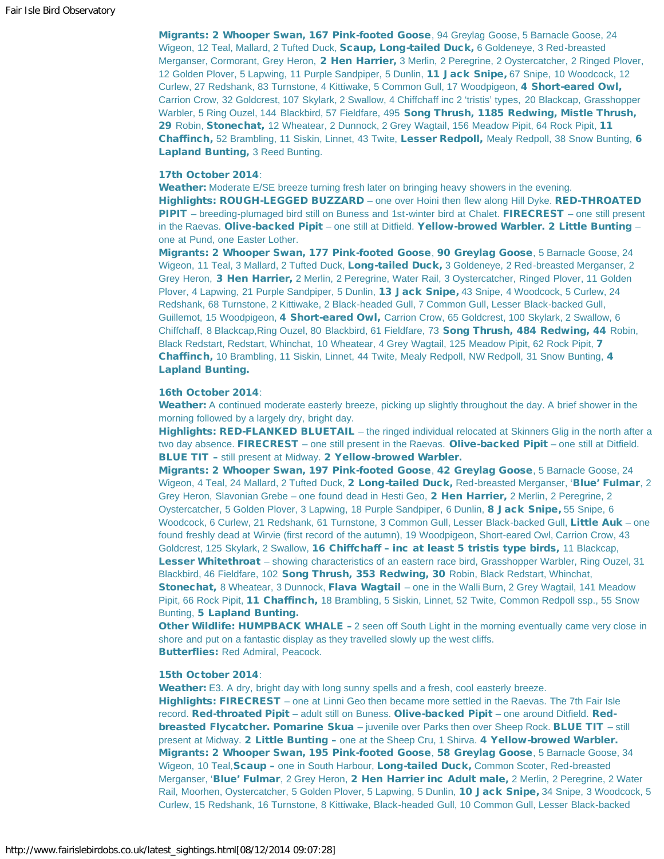Migrants: 2 Whooper Swan, 167 Pink-footed Goose, 94 Greylag Goose, 5 Barnacle Goose, 24 Wigeon, 12 Teal, Mallard, 2 Tufted Duck, Scaup, Long-tailed Duck, 6 Goldeneye, 3 Red-breasted Merganser, Cormorant, Grey Heron, 2 Hen Harrier, 3 Merlin, 2 Peregrine, 2 Oystercatcher, 2 Ringed Plover, 12 Golden Plover, 5 Lapwing, 11 Purple Sandpiper, 5 Dunlin, 11 Jack Snipe, 67 Snipe, 10 Woodcock, 12 Curlew, 27 Redshank, 83 Turnstone, 4 Kittiwake, 5 Common Gull, 17 Woodpigeon, 4 Short-eared Owl, Carrion Crow, 32 Goldcrest, 107 Skylark, 2 Swallow, 4 Chiffchaff inc 2 'tristis' types, 20 Blackcap, Grasshopper Warbler, 5 Ring Ouzel, 144 Blackbird, 57 Fieldfare, 495 Song Thrush, 1185 Redwing, Mistle Thrush, 29 Robin, Stonechat, 12 Wheatear, 2 Dunnock, 2 Grey Wagtail, 156 Meadow Pipit, 64 Rock Pipit, 11 Chaffinch, 52 Brambling, 11 Siskin, Linnet, 43 Twite, Lesser Redpoll, Mealy Redpoll, 38 Snow Bunting, 6 Lapland Bunting, 3 Reed Bunting.

#### 17th October 2014:

Weather: Moderate E/SE breeze turning fresh later on bringing heavy showers in the evening. Highlights: ROUGH-LEGGED BUZZARD – one over Hoini then flew along Hill Dyke. RED-THROATED PIPIT – breeding-plumaged bird still on Buness and 1st-winter bird at Chalet. FIRECREST – one still present in the Raevas. Olive-backed Pipit – one still at Ditfield. Yellow-browed Warbler. 2 Little Bunting – one at Pund, one Easter Lother.

Migrants: 2 Whooper Swan, 177 Pink-footed Goose, 90 Greylag Goose, 5 Barnacle Goose, 24 Wigeon, 11 Teal, 3 Mallard, 2 Tufted Duck, Long-tailed Duck, 3 Goldeneye, 2 Red-breasted Merganser, 2 Grey Heron, 3 Hen Harrier, 2 Merlin, 2 Peregrine, Water Rail, 3 Oystercatcher, Ringed Plover, 11 Golden Plover, 4 Lapwing, 21 Purple Sandpiper, 5 Dunlin, 13 Jack Snipe, 43 Snipe, 4 Woodcock, 5 Curlew, 24 Redshank, 68 Turnstone, 2 Kittiwake, 2 Black-headed Gull, 7 Common Gull, Lesser Black-backed Gull, Guillemot, 15 Woodpigeon, 4 Short-eared Owl, Carrion Crow, 65 Goldcrest, 100 Skylark, 2 Swallow, 6 Chiffchaff, 8 Blackcap, Ring Ouzel, 80 Blackbird, 61 Fieldfare, 73 Song Thrush, 484 Redwing, 44 Robin, Black Redstart, Redstart, Whinchat, 10 Wheatear, 4 Grey Wagtail, 125 Meadow Pipit, 62 Rock Pipit, 7 Chaffinch, 10 Brambling, 11 Siskin, Linnet, 44 Twite, Mealy Redpoll, NW Redpoll, 31 Snow Bunting, 4 Lapland Bunting.

#### 16th October 2014:

Weather: A continued moderate easterly breeze, picking up slightly throughout the day. A brief shower in the morning followed by a largely dry, bright day.

Highlights: RED-FLANKED BLUETAIL – the ringed individual relocated at Skinners Glig in the north after a two day absence. FIRECREST – one still present in the Raevas. Olive-backed Pipit – one still at Ditfield. BLUE TIT – still present at Midway. 2 Yellow-browed Warbler.

Migrants: 2 Whooper Swan, 197 Pink-footed Goose, 42 Greylag Goose, 5 Barnacle Goose, 24 Wigeon, 4 Teal, 24 Mallard, 2 Tufted Duck, 2 Long-tailed Duck, Red-breasted Merganser, 'Blue' Fulmar, 2 Grey Heron, Slavonian Grebe – one found dead in Hesti Geo, 2 Hen Harrier, 2 Merlin, 2 Peregrine, 2 Oystercatcher, 5 Golden Plover, 3 Lapwing, 18 Purple Sandpiper, 6 Dunlin, 8 Jack Snipe, 55 Snipe, 6 Woodcock, 6 Curlew, 21 Redshank, 61 Turnstone, 3 Common Gull, Lesser Black-backed Gull, Little Auk - one found freshly dead at Wirvie (first record of the autumn), 19 Woodpigeon, Short-eared Owl, Carrion Crow, 43 Goldcrest, 125 Skylark, 2 Swallow, 16 Chiffchaff - inc at least 5 tristis type birds, 11 Blackcap, Lesser Whitethroat – showing characteristics of an eastern race bird, Grasshopper Warbler, Ring Ouzel, 31 Blackbird, 46 Fieldfare, 102 Song Thrush, 353 Redwing, 30 Robin, Black Redstart, Whinchat, Stonechat, 8 Wheatear, 3 Dunnock, Flava Wagtail – one in the Walli Burn, 2 Grey Wagtail, 141 Meadow Pipit, 66 Rock Pipit, 11 Chaffinch, 18 Brambling, 5 Siskin, Linnet, 52 Twite, Common Redpoll ssp., 55 Snow Bunting, 5 Lapland Bunting.

Other Wildlife: HUMPBACK WHALE - 2 seen off South Light in the morning eventually came very close in shore and put on a fantastic display as they travelled slowly up the west cliffs. Butterflies: Red Admiral, Peacock.

#### 15th October 2014:

Weather: E3. A dry, bright day with long sunny spells and a fresh, cool easterly breeze. Highlights: FIRECREST – one at Linni Geo then became more settled in the Raevas. The 7th Fair Isle record. Red-throated Pipit - adult still on Buness. Olive-backed Pipit - one around Ditfield. Redbreasted Flycatcher. Pomarine Skua – juvenile over Parks then over Sheep Rock. BLUE TIT – still present at Midway. 2 Little Bunting - one at the Sheep Cru, 1 Shirva. 4 Yellow-browed Warbler. Migrants: 2 Whooper Swan, 195 Pink-footed Goose, 58 Greylag Goose, 5 Barnacle Goose, 34 Wigeon, 10 Teal, Scaup – one in South Harbour, Long-tailed Duck, Common Scoter, Red-breasted Merganser, 'Blue' Fulmar, 2 Grey Heron, 2 Hen Harrier inc Adult male, 2 Merlin, 2 Peregrine, 2 Water Rail, Moorhen, Oystercatcher, 5 Golden Plover, 5 Lapwing, 5 Dunlin, 10 Jack Snipe, 34 Snipe, 3 Woodcock, 5 Curlew, 15 Redshank, 16 Turnstone, 8 Kittiwake, Black-headed Gull, 10 Common Gull, Lesser Black-backed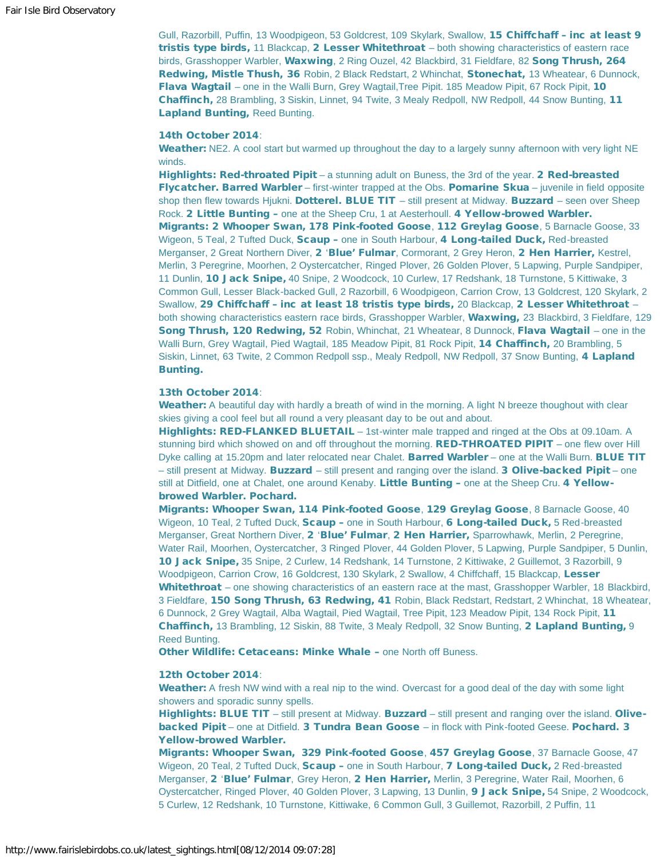Gull, Razorbill, Puffin, 13 Woodpigeon, 53 Goldcrest, 109 Skylark, Swallow, 15 Chiffchaff - inc at least 9 tristis type birds, 11 Blackcap, 2 Lesser Whitethroat - both showing characteristics of eastern race birds, Grasshopper Warbler, Waxwing, 2 Ring Ouzel, 42 Blackbird, 31 Fieldfare, 82 Song Thrush, 264 Redwing, Mistle Thush, 36 Robin, 2 Black Redstart, 2 Whinchat, Stonechat, 13 Wheatear, 6 Dunnock, Flava Wagtail – one in the Walli Burn, Grey Wagtail, Tree Pipit. 185 Meadow Pipit, 67 Rock Pipit, 10 Chaffinch, 28 Brambling, 3 Siskin, Linnet, 94 Twite, 3 Mealy Redpoll, NW Redpoll, 44 Snow Bunting, 11 Lapland Bunting, Reed Bunting.

#### 14th October 2014:

Weather: NE2. A cool start but warmed up throughout the day to a largely sunny afternoon with very light NE winds.

Highlights: Red-throated Pipit – a stunning adult on Buness, the 3rd of the year. 2 Red-breasted Flycatcher. Barred Warbler – first-winter trapped at the Obs. Pomarine Skua – juvenile in field opposite shop then flew towards Hjukni. Dotterel. BLUE TIT – still present at Midway. Buzzard – seen over Sheep Rock. 2 Little Bunting - one at the Sheep Cru, 1 at Aesterhoull. 4 Yellow-browed Warbler. Migrants: 2 Whooper Swan, 178 Pink-footed Goose, 112 Greylag Goose, 5 Barnacle Goose, 33 Wigeon, 5 Teal, 2 Tufted Duck, **Scaup –** one in South Harbour, 4 Long-tailed Duck, Red-breasted Merganser, 2 Great Northern Diver, 2 'Blue' Fulmar, Cormorant, 2 Grey Heron, 2 Hen Harrier, Kestrel, Merlin, 3 Peregrine, Moorhen, 2 Oystercatcher, Ringed Plover, 26 Golden Plover, 5 Lapwing, Purple Sandpiper, 11 Dunlin, 10 Jack Snipe, 40 Snipe, 2 Woodcock, 10 Curlew, 17 Redshank, 18 Turnstone, 5 Kittiwake, 3 Common Gull, Lesser Black-backed Gull, 2 Razorbill, 6 Woodpigeon, Carrion Crow, 13 Goldcrest, 120 Skylark, 2 Swallow, 29 Chiffchaff - inc at least 18 tristis type birds, 20 Blackcap, 2 Lesser Whitethroat both showing characteristics eastern race birds, Grasshopper Warbler, Waxwing, 23 Blackbird, 3 Fieldfare, 129 Song Thrush, 120 Redwing, 52 Robin, Whinchat, 21 Wheatear, 8 Dunnock, Flava Wagtail – one in the Walli Burn, Grey Wagtail, Pied Wagtail, 185 Meadow Pipit, 81 Rock Pipit, **14 Chaffinch**, 20 Brambling, 5 Siskin, Linnet, 63 Twite, 2 Common Redpoll ssp., Mealy Redpoll, NW Redpoll, 37 Snow Bunting, 4 Lapland Bunting.

#### 13th October 2014:

Weather: A beautiful day with hardly a breath of wind in the morning. A light N breeze thoughout with clear skies giving a cool feel but all round a very pleasant day to be out and about.

Highlights: RED-FLANKED BLUETAIL – 1st-winter male trapped and ringed at the Obs at 09.10am. A stunning bird which showed on and off throughout the morning. RED-THROATED PIPIT – one flew over Hill Dyke calling at 15.20pm and later relocated near Chalet. Barred Warbler – one at the Walli Burn. BLUE TIT – still present at Midway. Buzzard – still present and ranging over the island. 3 Olive-backed Pipit – one still at Ditfield, one at Chalet, one around Kenaby. Little Bunting - one at the Sheep Cru. 4 Yellowbrowed Warbler. Pochard.

Migrants: Whooper Swan, 114 Pink-footed Goose, 129 Greylag Goose, 8 Barnacle Goose, 40 Wigeon, 10 Teal, 2 Tufted Duck, Scaup – one in South Harbour, 6 Long-tailed Duck, 5 Red-breasted Merganser, Great Northern Diver, 2 'Blue' Fulmar, 2 Hen Harrier, Sparrowhawk, Merlin, 2 Peregrine, Water Rail, Moorhen, Oystercatcher, 3 Ringed Plover, 44 Golden Plover, 5 Lapwing, Purple Sandpiper, 5 Dunlin, 10 Jack Snipe, 35 Snipe, 2 Curlew, 14 Redshank, 14 Turnstone, 2 Kittiwake, 2 Guillemot, 3 Razorbill, 9 Woodpigeon, Carrion Crow, 16 Goldcrest, 130 Skylark, 2 Swallow, 4 Chiffchaff, 15 Blackcap, Lesser Whitethroat – one showing characteristics of an eastern race at the mast, Grasshopper Warbler, 18 Blackbird, 3 Fieldfare, 150 Song Thrush, 63 Redwing, 41 Robin, Black Redstart, Redstart, 2 Whinchat, 18 Wheatear, 6 Dunnock, 2 Grey Wagtail, Alba Wagtail, Pied Wagtail, Tree Pipit, 123 Meadow Pipit, 134 Rock Pipit, 11 Chaffinch, 13 Brambling, 12 Siskin, 88 Twite, 3 Mealy Redpoll, 32 Snow Bunting, 2 Lapland Bunting, 9 Reed Bunting.

Other Wildlife: Cetaceans: Minke Whale – one North off Buness.

#### 12th October 2014:

Weather: A fresh NW wind with a real nip to the wind. Overcast for a good deal of the day with some light showers and sporadic sunny spells.

Highlights: BLUE TIT – still present at Midway. Buzzard – still present and ranging over the island. Olivebacked Pipit – one at Ditfield. 3 Tundra Bean Goose – in flock with Pink-footed Geese. Pochard. 3 Yellow-browed Warbler.

Migrants: Whooper Swan, 329 Pink-footed Goose, 457 Greylag Goose, 37 Barnacle Goose, 47 Wigeon, 20 Teal, 2 Tufted Duck, **Scaup –** one in South Harbour, **7 Long-tailed Duck**, 2 Red-breasted Merganser, 2 'Blue' Fulmar, Grey Heron, 2 Hen Harrier, Merlin, 3 Peregrine, Water Rail, Moorhen, 6 Oystercatcher, Ringed Plover, 40 Golden Plover, 3 Lapwing, 13 Dunlin, 9 Jack Snipe, 54 Snipe, 2 Woodcock, 5 Curlew, 12 Redshank, 10 Turnstone, Kittiwake, 6 Common Gull, 3 Guillemot, Razorbill, 2 Puffin, 11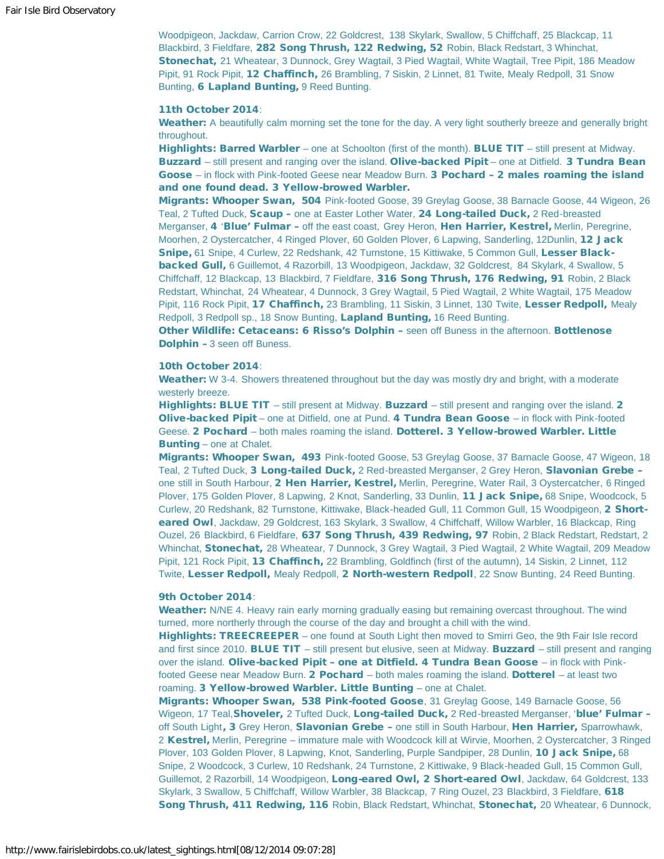Woodpigeon, Jackdaw, Carrion Crow, 22 Goldcrest, 138 Skylark, Swallow, 5 Chiffchaff, 25 Blackcap, 11 Blackbird, 3 Fieldfare, 282 Song Thrush, 122 Redwing, 52 Robin, Black Redstart, 3 Whinchat, Stonechat, 21 Wheatear, 3 Dunnock, Grey Wagtail, 3 Pied Wagtail, White Wagtail, Tree Pipit, 186 Meadow Pipit, 91 Rock Pipit, 12 Chaffinch, 26 Brambling, 7 Siskin, 2 Linnet, 81 Twite, Mealy Redpoll, 31 Snow Bunting, 6 Lapland Bunting, 9 Reed Bunting.

#### 11th October 2014:

Weather: A beautifully calm morning set the tone for the day. A very light southerly breeze and generally bright throughout.

Highlights: Barred Warbler – one at Schoolton (first of the month). BLUE TIT – still present at Midway. Buzzard – still present and ranging over the island. Olive-backed Pipit – one at Ditfield. 3 Tundra Bean Goose – in flock with Pink-footed Geese near Meadow Burn. 3 Pochard - 2 males roaming the island and one found dead. 3 Yellow-browed Warbler.

Migrants: Whooper Swan, 504 Pink-footed Goose, 39 Greylag Goose, 38 Barnacle Goose, 44 Wigeon, 26 Teal, 2 Tufted Duck, Scaup - one at Easter Lother Water, 24 Long-tailed Duck, 2 Red-breasted Merganser, 4 'Blue' Fulmar - off the east coast, Grey Heron, Hen Harrier, Kestrel, Merlin, Peregrine, Moorhen, 2 Oystercatcher, 4 Ringed Plover, 60 Golden Plover, 6 Lapwing, Sanderling, 12Dunlin, 12 Jack Snipe, 61 Snipe, 4 Curlew, 22 Redshank, 42 Turnstone, 15 Kittiwake, 5 Common Gull, Lesser Blackbacked Gull, 6 Guillemot, 4 Razorbill, 13 Woodpigeon, Jackdaw, 32 Goldcrest, 84 Skylark, 4 Swallow, 5 Chiffchaff, 12 Blackcap, 13 Blackbird, 7 Fieldfare, 316 Song Thrush, 176 Redwing, 91 Robin, 2 Black Redstart, Whinchat, 24 Wheatear, 4 Dunnock, 3 Grey Wagtail, 5 Pied Wagtail, 2 White Wagtail, 175 Meadow Pipit, 116 Rock Pipit, 17 Chaffinch, 23 Brambling, 11 Siskin, 3 Linnet, 130 Twite, Lesser Redpoll, Mealy Redpoll, 3 Redpoll sp., 18 Snow Bunting, Lapland Bunting, 16 Reed Bunting.

**Other Wildlife: Cetaceans: 6 Risso's Dolphin - seen off Buness in the afternoon. Bottlenose** Dolphin – 3 seen off Buness.

#### 10th October 2014:

Weather: W 3-4. Showers threatened throughout but the day was mostly dry and bright, with a moderate westerly breeze.

Highlights: BLUE TIT - still present at Midway. Buzzard - still present and ranging over the island. 2 Olive-backed Pipit – one at Ditfield, one at Pund. 4 Tundra Bean Goose – in flock with Pink-footed Geese. 2 Pochard - both males roaming the island. Dotterel. 3 Yellow-browed Warbler. Little Bunting – one at Chalet.

Migrants: Whooper Swan, 493 Pink-footed Goose, 53 Greylag Goose, 37 Barnacle Goose, 47 Wigeon, 18 Teal, 2 Tufted Duck, 3 Long-tailed Duck, 2 Red-breasted Merganser, 2 Grey Heron, Slavonian Grebe one still in South Harbour, 2 Hen Harrier, Kestrel, Merlin, Peregrine, Water Rail, 3 Oystercatcher, 6 Ringed Plover, 175 Golden Plover, 8 Lapwing, 2 Knot, Sanderling, 33 Dunlin, 11 Jack Snipe, 68 Snipe, Woodcock, 5 Curlew, 20 Redshank, 82 Turnstone, Kittiwake, Black-headed Gull, 11 Common Gull, 15 Woodpigeon, 2 Shorteared Owl, Jackdaw, 29 Goldcrest, 163 Skylark, 3 Swallow, 4 Chiffchaff, Willow Warbler, 16 Blackcap, Ring Ouzel, 26 Blackbird, 6 Fieldfare, 637 Song Thrush, 439 Redwing, 97 Robin, 2 Black Redstart, Redstart, 2 Whinchat, Stonechat, 28 Wheatear, 7 Dunnock, 3 Grey Wagtail, 3 Pied Wagtail, 2 White Wagtail, 209 Meadow Pipit, 121 Rock Pipit, 13 Chaffinch, 22 Brambling, Goldfinch (first of the autumn), 14 Siskin, 2 Linnet, 112 Twite, Lesser Redpoll, Mealy Redpoll, 2 North-western Redpoll, 22 Snow Bunting, 24 Reed Bunting.

#### 9th October 2014:

Weather: N/NE 4. Heavy rain early morning gradually easing but remaining overcast throughout. The wind turned, more northerly through the course of the day and brought a chill with the wind.

Highlights: TREECREEPER – one found at South Light then moved to Smirri Geo, the 9th Fair Isle record and first since 2010. BLUE TIT – still present but elusive, seen at Midway. Buzzard – still present and ranging over the island. Olive-backed Pipit - one at Ditfield. 4 Tundra Bean Goose - in flock with Pinkfooted Geese near Meadow Burn. 2 Pochard – both males roaming the island. Dotterel – at least two roaming. 3 Yellow-browed Warbler. Little Bunting – one at Chalet.

Migrants: Whooper Swan, 538 Pink-footed Goose, 31 Greylag Goose, 149 Barnacle Goose, 56 Wigeon, 17 Teal, Shoveler, 2 Tufted Duck, Long-tailed Duck, 2 Red-breasted Merganser, 'blue' Fulmar off South Light, 3 Grey Heron, Slavonian Grebe - one still in South Harbour, Hen Harrier, Sparrowhawk, 2 Kestrel, Merlin, Peregrine – immature male with Woodcock kill at Wirvie, Moorhen, 2 Oystercatcher, 3 Ringed Plover, 103 Golden Plover, 8 Lapwing, Knot, Sanderling, Purple Sandpiper, 28 Dunlin, 10 Jack Snipe, 68 Snipe, 2 Woodcock, 3 Curlew, 10 Redshank, 24 Turnstone, 2 Kittiwake, 9 Black-headed Gull, 15 Common Gull, Guillemot, 2 Razorbill, 14 Woodpigeon, Long-eared Owl, 2 Short-eared Owl, Jackdaw, 64 Goldcrest, 133 Skylark, 3 Swallow, 5 Chiffchaff, Willow Warbler, 38 Blackcap, 7 Ring Ouzel, 23 Blackbird, 3 Fieldfare, 618 Song Thrush, 411 Redwing, 116 Robin, Black Redstart, Whinchat, Stonechat, 20 Wheatear, 6 Dunnock,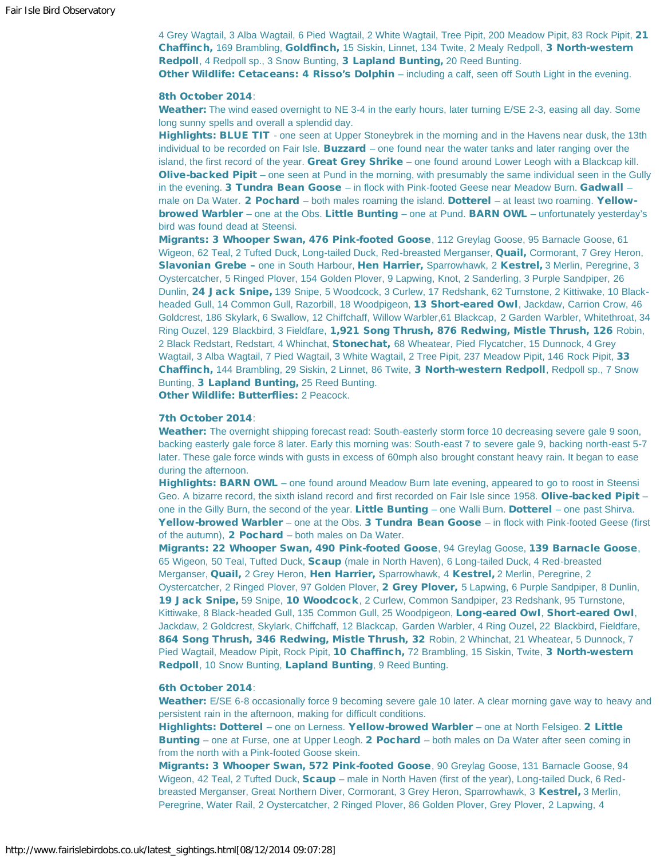4 Grey Wagtail, 3 Alba Wagtail, 6 Pied Wagtail, 2 White Wagtail, Tree Pipit, 200 Meadow Pipit, 83 Rock Pipit, 21 Chaffinch, 169 Brambling, Goldfinch, 15 Siskin, Linnet, 134 Twite, 2 Mealy Redpoll, 3 North-western Redpoll, 4 Redpoll sp., 3 Snow Bunting, 3 Lapland Bunting, 20 Reed Bunting. Other Wildlife: Cetaceans: 4 Risso's Dolphin – including a calf, seen off South Light in the evening.

#### 8th October 2014:

Weather: The wind eased overnight to NE 3-4 in the early hours, later turning E/SE 2-3, easing all day. Some long sunny spells and overall a splendid day.

Highlights: BLUE TIT - one seen at Upper Stoneybrek in the morning and in the Havens near dusk, the 13th individual to be recorded on Fair Isle. **Buzzard** – one found near the water tanks and later ranging over the island, the first record of the year. Great Grey Shrike – one found around Lower Leogh with a Blackcap kill. Olive-backed Pipit – one seen at Pund in the morning, with presumably the same individual seen in the Gully in the evening. 3 Tundra Bean Goose – in flock with Pink-footed Geese near Meadow Burn. Gadwall – male on Da Water. 2 Pochard – both males roaming the island. Dotterel – at least two roaming. Yellowbrowed Warbler – one at the Obs. Little Bunting – one at Pund. BARN OWL – unfortunately yesterday's bird was found dead at Steensi.

Migrants: 3 Whooper Swan, 476 Pink-footed Goose, 112 Greylag Goose, 95 Barnacle Goose, 61 Wigeon, 62 Teal, 2 Tufted Duck, Long-tailed Duck, Red-breasted Merganser, Quail, Cormorant, 7 Grey Heron, Slavonian Grebe – one in South Harbour, Hen Harrier, Sparrowhawk, 2 Kestrel, 3 Merlin, Peregrine, 3 Oystercatcher, 5 Ringed Plover, 154 Golden Plover, 9 Lapwing, Knot, 2 Sanderling, 3 Purple Sandpiper, 26 Dunlin, 24 Jack Snipe, 139 Snipe, 5 Woodcock, 3 Curlew, 17 Redshank, 62 Turnstone, 2 Kittiwake, 10 Blackheaded Gull, 14 Common Gull, Razorbill, 18 Woodpigeon, 13 Short-eared Owl, Jackdaw, Carrion Crow, 46 Goldcrest, 186 Skylark, 6 Swallow, 12 Chiffchaff, Willow Warbler,61 Blackcap, 2 Garden Warbler, Whitethroat, 34 Ring Ouzel, 129 Blackbird, 3 Fieldfare, 1,921 Song Thrush, 876 Redwing, Mistle Thrush, 126 Robin, 2 Black Redstart, Redstart, 4 Whinchat, Stonechat, 68 Wheatear, Pied Flycatcher, 15 Dunnock, 4 Grey Wagtail, 3 Alba Wagtail, 7 Pied Wagtail, 3 White Wagtail, 2 Tree Pipit, 237 Meadow Pipit, 146 Rock Pipit, 33 Chaffinch, 144 Brambling, 29 Siskin, 2 Linnet, 86 Twite, 3 North-western Redpoll, Redpoll sp., 7 Snow Bunting, 3 Lapland Bunting, 25 Reed Bunting.

Other Wildlife: Butterflies: 2 Peacock.

#### 7th October 2014:

Weather: The overnight shipping forecast read: South-easterly storm force 10 decreasing severe gale 9 soon, backing easterly gale force 8 later. Early this morning was: South-east 7 to severe gale 9, backing north-east 5-7 later. These gale force winds with gusts in excess of 60mph also brought constant heavy rain. It began to ease during the afternoon.

Highlights: BARN OWL – one found around Meadow Burn late evening, appeared to go to roost in Steensi Geo. A bizarre record, the sixth island record and first recorded on Fair Isle since 1958. Olive-backed Pipit one in the Gilly Burn, the second of the year. Little Bunting – one Walli Burn. Dotterel – one past Shirva. Yellow-browed Warbler – one at the Obs. 3 Tundra Bean Goose – in flock with Pink-footed Geese (first of the autumn),  $2$  Pochard – both males on Da Water.

Migrants: 22 Whooper Swan, 490 Pink-footed Goose, 94 Greylag Goose, 139 Barnacle Goose, 65 Wigeon, 50 Teal, Tufted Duck, Scaup (male in North Haven), 6 Long-tailed Duck, 4 Red-breasted Merganser, **Quail,** 2 Grey Heron, Hen Harrier, Sparrowhawk, 4 Kestrel, 2 Merlin, Peregrine, 2 Oystercatcher, 2 Ringed Plover, 97 Golden Plover, 2 Grey Plover, 5 Lapwing, 6 Purple Sandpiper, 8 Dunlin, 19 Jack Snipe, 59 Snipe, 10 Woodcock, 2 Curlew, Common Sandpiper, 23 Redshank, 95 Turnstone, Kittiwake, 8 Black-headed Gull, 135 Common Gull, 25 Woodpigeon, Long-eared Owl, Short-eared Owl, Jackdaw, 2 Goldcrest, Skylark, Chiffchaff, 12 Blackcap, Garden Warbler, 4 Ring Ouzel, 22 Blackbird, Fieldfare, 864 Song Thrush, 346 Redwing, Mistle Thrush, 32 Robin, 2 Whinchat, 21 Wheatear, 5 Dunnock, 7 Pied Wagtail, Meadow Pipit, Rock Pipit, 10 Chaffinch, 72 Brambling, 15 Siskin, Twite, 3 North-western Redpoll, 10 Snow Bunting, Lapland Bunting, 9 Reed Bunting.

#### 6th October 2014:

Weather: E/SE 6-8 occasionally force 9 becoming severe gale 10 later. A clear morning gave way to heavy and persistent rain in the afternoon, making for difficult conditions.

Highlights: Dotterel – one on Lerness. Yellow-browed Warbler – one at North Felsigeo. 2 Little Bunting – one at Furse, one at Upper Leogh. 2 Pochard – both males on Da Water after seen coming in from the north with a Pink-footed Goose skein.

Migrants: 3 Whooper Swan, 572 Pink-footed Goose, 90 Greylag Goose, 131 Barnacle Goose, 94 Wigeon, 42 Teal, 2 Tufted Duck, **Scaup** – male in North Haven (first of the year), Long-tailed Duck, 6 Redbreasted Merganser, Great Northern Diver, Cormorant, 3 Grey Heron, Sparrowhawk, 3 Kestrel, 3 Merlin, Peregrine, Water Rail, 2 Oystercatcher, 2 Ringed Plover, 86 Golden Plover, Grey Plover, 2 Lapwing, 4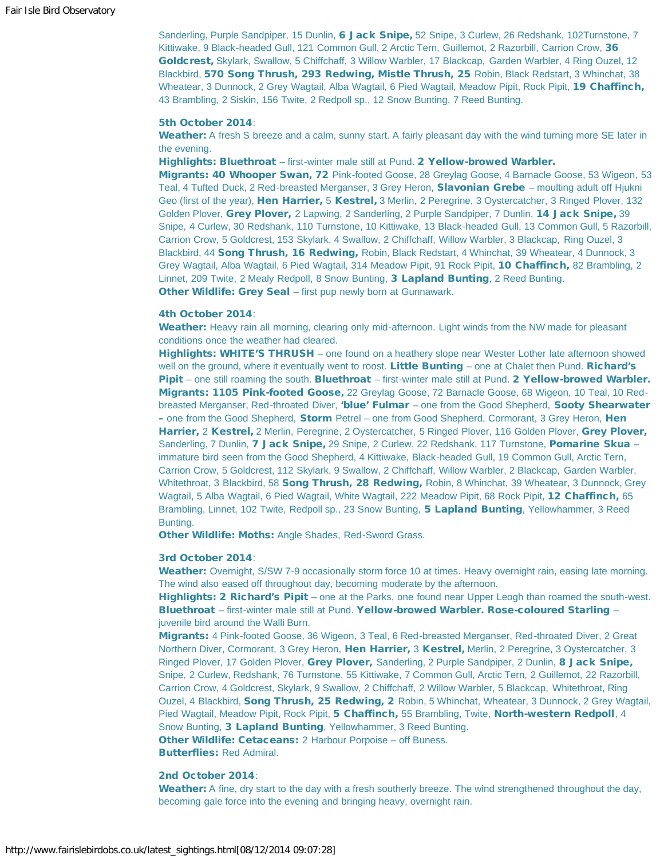Sanderling, Purple Sandpiper, 15 Dunlin, 6 Jack Snipe, 52 Snipe, 3 Curlew, 26 Redshank, 102Turnstone, 7 Kittiwake, 9 Black-headed Gull, 121 Common Gull, 2 Arctic Tern, Guillemot, 2 Razorbill, Carrion Crow, 36 Goldcrest, Skylark, Swallow, 5 Chiffchaff, 3 Willow Warbler, 17 Blackcap, Garden Warbler, 4 Ring Ouzel, 12 Blackbird, 570 Song Thrush, 293 Redwing, Mistle Thrush, 25 Robin, Black Redstart, 3 Whinchat, 38 Wheatear, 3 Dunnock, 2 Grey Wagtail, Alba Wagtail, 6 Pied Wagtail, Meadow Pipit, Rock Pipit, 19 Chaffinch, 43 Brambling, 2 Siskin, 156 Twite, 2 Redpoll sp., 12 Snow Bunting, 7 Reed Bunting.

#### 5th October 2014:

Weather: A fresh S breeze and a calm, sunny start. A fairly pleasant day with the wind turning more SE later in the evening.

Highlights: Bluethroat - first-winter male still at Pund. 2 Yellow-browed Warbler.

Migrants: 40 Whooper Swan, 72 Pink-footed Goose, 28 Greylag Goose, 4 Barnacle Goose, 53 Wigeon, 53 Teal, 4 Tufted Duck, 2 Red-breasted Merganser, 3 Grey Heron, **Slavonian Grebe** – moulting adult off Hjukni Geo (first of the year), Hen Harrier, 5 Kestrel, 3 Merlin, 2 Peregrine, 3 Oystercatcher, 3 Ringed Plover, 132 Golden Plover, Grey Plover, 2 Lapwing, 2 Sanderling, 2 Purple Sandpiper, 7 Dunlin, 14 Jack Snipe, 39 Snipe, 4 Curlew, 30 Redshank, 110 Turnstone, 10 Kittiwake, 13 Black-headed Gull, 13 Common Gull, 5 Razorbill, Carrion Crow, 5 Goldcrest, 153 Skylark, 4 Swallow, 2 Chiffchaff, Willow Warbler, 3 Blackcap, Ring Ouzel, 3 Blackbird, 44 Song Thrush, 16 Redwing, Robin, Black Redstart, 4 Whinchat, 39 Wheatear, 4 Dunnock, 3 Grey Wagtail, Alba Wagtail, 6 Pied Wagtail, 314 Meadow Pipit, 91 Rock Pipit, 10 Chaffinch, 82 Brambling, 2 Linnet, 209 Twite, 2 Mealy Redpoll, 8 Snow Bunting, 3 Lapland Bunting, 2 Reed Bunting. Other Wildlife: Grey Seal - first pup newly born at Gunnawark.

#### 4th October 2014:

Weather: Heavy rain all morning, clearing only mid-afternoon. Light winds from the NW made for pleasant conditions once the weather had cleared.

Highlights: WHITE'S THRUSH – one found on a heathery slope near Wester Lother late afternoon showed well on the ground, where it eventually went to roost. Little Bunting – one at Chalet then Pund. Richard's Pipit – one still roaming the south. Bluethroat – first-winter male still at Pund. 2 Yellow-browed Warbler. Migrants: 1105 Pink-footed Goose, 22 Greylag Goose, 72 Barnacle Goose, 68 Wigeon, 10 Teal, 10 Redbreasted Merganser, Red-throated Diver, 'blue' Fulmar – one from the Good Shepherd, Sooty Shearwater – one from the Good Shepherd, Storm Petrel – one from Good Shepherd, Cormorant, 3 Grey Heron, Hen Harrier, 2 Kestrel, 2 Merlin, Peregrine, 2 Oystercatcher, 5 Ringed Plover, 116 Golden Plover, Grey Plover, Sanderling, 7 Dunlin, 7 Jack Snipe, 29 Snipe, 2 Curlew, 22 Redshank, 117 Turnstone, Pomarine Skua – immature bird seen from the Good Shepherd, 4 Kittiwake, Black-headed Gull, 19 Common Gull, Arctic Tern, Carrion Crow, 5 Goldcrest, 112 Skylark, 9 Swallow, 2 Chiffchaff, Willow Warbler, 2 Blackcap, Garden Warbler, Whitethroat, 3 Blackbird, 58 Song Thrush, 28 Redwing, Robin, 8 Whinchat, 39 Wheatear, 3 Dunnock, Grey Wagtail, 5 Alba Wagtail, 6 Pied Wagtail, White Wagtail, 222 Meadow Pipit, 68 Rock Pipit, 12 Chaffinch, 65 Brambling, Linnet, 102 Twite, Redpoll sp., 23 Snow Bunting, 5 Lapland Bunting, Yellowhammer, 3 Reed Bunting.

**Other Wildlife: Moths: Angle Shades, Red-Sword Grass.** 

#### 3rd October 2014:

Weather: Overnight, S/SW 7-9 occasionally storm force 10 at times. Heavy overnight rain, easing late morning. The wind also eased off throughout day, becoming moderate by the afternoon.

Highlights: 2 Richard's Pipit – one at the Parks, one found near Upper Leogh than roamed the south-west. Bluethroat – first-winter male still at Pund. Yellow-browed Warbler. Rose-coloured Starling – juvenile bird around the Walli Burn.

Migrants: 4 Pink-footed Goose, 36 Wigeon, 3 Teal, 6 Red-breasted Merganser, Red-throated Diver, 2 Great Northern Diver, Cormorant, 3 Grey Heron, Hen Harrier, 3 Kestrel, Merlin, 2 Peregrine, 3 Oystercatcher, 3 Ringed Plover, 17 Golden Plover, Grey Plover, Sanderling, 2 Purple Sandpiper, 2 Dunlin, 8 Jack Snipe, Snipe, 2 Curlew, Redshank, 76 Turnstone, 55 Kittiwake, 7 Common Gull, Arctic Tern, 2 Guillemot, 22 Razorbill, Carrion Crow, 4 Goldcrest, Skylark, 9 Swallow, 2 Chiffchaff, 2 Willow Warbler, 5 Blackcap, Whitethroat, Ring Ouzel, 4 Blackbird, **Song Thrush, 25 Redwing, 2** Robin, 5 Whinchat, Wheatear, 3 Dunnock, 2 Grey Wagtail, Pied Wagtail, Meadow Pipit, Rock Pipit, 5 Chaffinch, 55 Brambling, Twite, North-western Redpoll, 4 Snow Bunting, 3 Lapland Bunting, Yellowhammer, 3 Reed Bunting.

Other Wildlife: Cetaceans: 2 Harbour Porpoise – off Buness. Butterflies: Red Admiral.

# 2nd October 2014:

Weather: A fine, dry start to the day with a fresh southerly breeze. The wind strengthened throughout the day, becoming gale force into the evening and bringing heavy, overnight rain.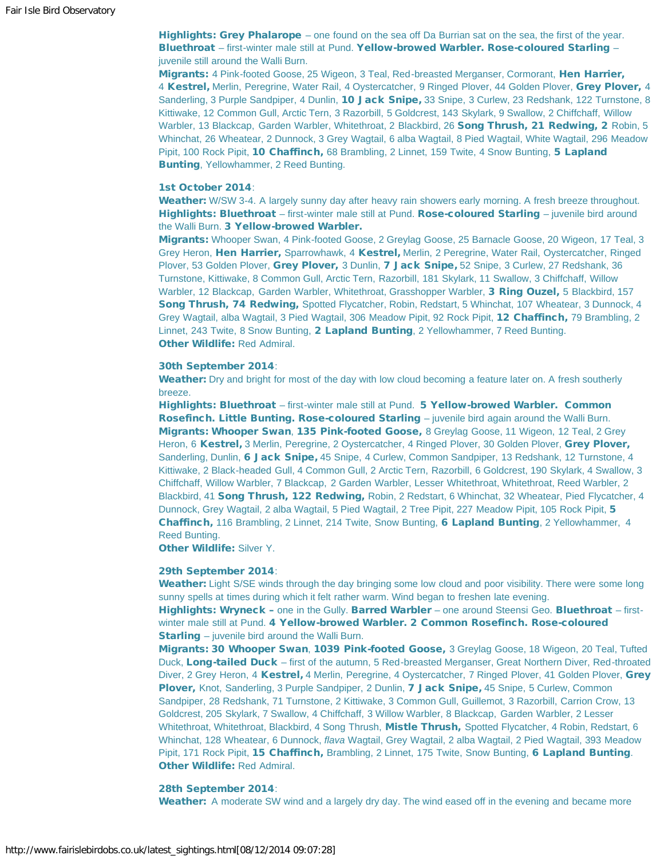Highlights: Grey Phalarope – one found on the sea off Da Burrian sat on the sea, the first of the year. Bluethroat - first-winter male still at Pund. Yellow-browed Warbler. Rose-coloured Starling juvenile still around the Walli Burn.

Migrants: 4 Pink-footed Goose, 25 Wigeon, 3 Teal, Red-breasted Merganser, Cormorant, Hen Harrier, 4 Kestrel, Merlin, Peregrine, Water Rail, 4 Oystercatcher, 9 Ringed Plover, 44 Golden Plover, Grey Plover, 4 Sanderling, 3 Purple Sandpiper, 4 Dunlin, 10 Jack Snipe, 33 Snipe, 3 Curlew, 23 Redshank, 122 Turnstone, 8 Kittiwake, 12 Common Gull, Arctic Tern, 3 Razorbill, 5 Goldcrest, 143 Skylark, 9 Swallow, 2 Chiffchaff, Willow Warbler, 13 Blackcap, Garden Warbler, Whitethroat, 2 Blackbird, 26 Song Thrush, 21 Redwing, 2 Robin, 5 Whinchat, 26 Wheatear, 2 Dunnock, 3 Grey Wagtail, 6 alba Wagtail, 8 Pied Wagtail, White Wagtail, 296 Meadow Pipit, 100 Rock Pipit, 10 Chaffinch, 68 Brambling, 2 Linnet, 159 Twite, 4 Snow Bunting, 5 Lapland Bunting, Yellowhammer, 2 Reed Bunting.

#### 1st October 2014:

Weather: W/SW 3-4. A largely sunny day after heavy rain showers early morning. A fresh breeze throughout. Highlights: Bluethroat – first-winter male still at Pund. Rose-coloured Starling – juvenile bird around the Walli Burn. 3 Yellow-browed Warbler.

Migrants: Whooper Swan, 4 Pink-footed Goose, 2 Greylag Goose, 25 Barnacle Goose, 20 Wigeon, 17 Teal, 3 Grey Heron, Hen Harrier, Sparrowhawk, 4 Kestrel, Merlin, 2 Peregrine, Water Rail, Oystercatcher, Ringed Plover, 53 Golden Plover, Grey Plover, 3 Dunlin, 7 Jack Snipe, 52 Snipe, 3 Curlew, 27 Redshank, 36 Turnstone, Kittiwake, 8 Common Gull, Arctic Tern, Razorbill, 181 Skylark, 11 Swallow, 3 Chiffchaff, Willow Warbler, 12 Blackcap, Garden Warbler, Whitethroat, Grasshopper Warbler, 3 Ring Ouzel, 5 Blackbird, 157 Song Thrush, 74 Redwing, Spotted Flycatcher, Robin, Redstart, 5 Whinchat, 107 Wheatear, 3 Dunnock, 4 Grey Wagtail, alba Wagtail, 3 Pied Wagtail, 306 Meadow Pipit, 92 Rock Pipit, 12 Chaffinch, 79 Brambling, 2 Linnet, 243 Twite, 8 Snow Bunting, 2 Lapland Bunting, 2 Yellowhammer, 7 Reed Bunting. Other Wildlife: Red Admiral.

#### 30th September 2014:

Weather: Dry and bright for most of the day with low cloud becoming a feature later on. A fresh southerly breeze.

Highlights: Bluethroat - first-winter male still at Pund. 5 Yellow-browed Warbler. Common Rosefinch. Little Bunting. Rose-coloured Starling - juvenile bird again around the Walli Burn. Migrants: Whooper Swan, 135 Pink-footed Goose, 8 Greylag Goose, 11 Wigeon, 12 Teal, 2 Grey Heron, 6 Kestrel, 3 Merlin, Peregrine, 2 Oystercatcher, 4 Ringed Plover, 30 Golden Plover, Grey Plover, Sanderling, Dunlin, 6 Jack Snipe, 45 Snipe, 4 Curlew, Common Sandpiper, 13 Redshank, 12 Turnstone, 4 Kittiwake, 2 Black-headed Gull, 4 Common Gull, 2 Arctic Tern, Razorbill, 6 Goldcrest, 190 Skylark, 4 Swallow, 3 Chiffchaff, Willow Warbler, 7 Blackcap, 2 Garden Warbler, Lesser Whitethroat, Whitethroat, Reed Warbler, 2 Blackbird, 41 Song Thrush, 122 Redwing, Robin, 2 Redstart, 6 Whinchat, 32 Wheatear, Pied Flycatcher, 4 Dunnock, Grey Wagtail, 2 alba Wagtail, 5 Pied Wagtail, 2 Tree Pipit, 227 Meadow Pipit, 105 Rock Pipit, 5 Chaffinch, 116 Brambling, 2 Linnet, 214 Twite, Snow Bunting, 6 Lapland Bunting, 2 Yellowhammer, 4 Reed Bunting.

Other Wildlife: Silver Y.

## 29th September 2014:

Weather: Light S/SE winds through the day bringing some low cloud and poor visibility. There were some long sunny spells at times during which it felt rather warm. Wind began to freshen late evening.

Highlights: Wryneck - one in the Gully. Barred Warbler - one around Steensi Geo. Bluethroat - firstwinter male still at Pund. 4 Yellow-browed Warbler. 2 Common Rosefinch. Rose-coloured **Starling** – juvenile bird around the Walli Burn.

Migrants: 30 Whooper Swan, 1039 Pink-footed Goose, 3 Greylag Goose, 18 Wigeon, 20 Teal, Tufted Duck, Long-tailed Duck – first of the autumn, 5 Red-breasted Merganser, Great Northern Diver, Red-throated Diver, 2 Grey Heron, 4 Kestrel, 4 Merlin, Peregrine, 4 Oystercatcher, 7 Ringed Plover, 41 Golden Plover, Grey Plover, Knot, Sanderling, 3 Purple Sandpiper, 2 Dunlin, 7 Jack Snipe, 45 Snipe, 5 Curlew, Common Sandpiper, 28 Redshank, 71 Turnstone, 2 Kittiwake, 3 Common Gull, Guillemot, 3 Razorbill, Carrion Crow, 13 Goldcrest, 205 Skylark, 7 Swallow, 4 Chiffchaff, 3 Willow Warbler, 8 Blackcap, Garden Warbler, 2 Lesser Whitethroat, Whitethroat, Blackbird, 4 Song Thrush, Mistle Thrush, Spotted Flycatcher, 4 Robin, Redstart, 6 Whinchat, 128 Wheatear, 6 Dunnock, *flava* Wagtail, Grey Wagtail, 2 alba Wagtail, 2 Pied Wagtail, 393 Meadow Pipit, 171 Rock Pipit, 15 Chaffinch, Brambling, 2 Linnet, 175 Twite, Snow Bunting, 6 Lapland Bunting. Other Wildlife: Red Admiral.

#### 28th September 2014:

Weather: A moderate SW wind and a largely dry day. The wind eased off in the evening and became more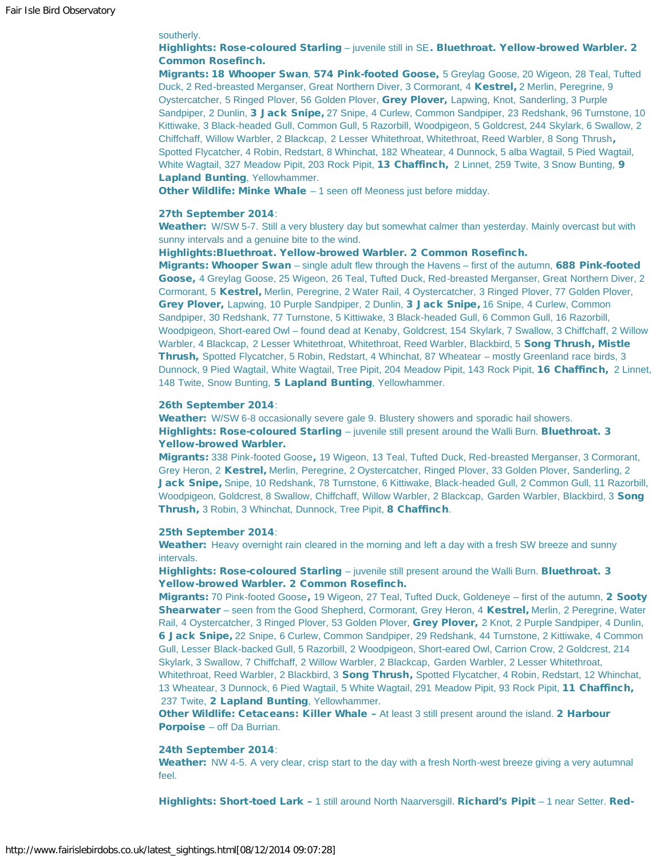# southerly.

# Highlights: Rose-coloured Starling - juvenile still in SE. Bluethroat. Yellow-browed Warbler. 2 Common Rosefinch.

Migrants: 18 Whooper Swan, 574 Pink-footed Goose, 5 Greylag Goose, 20 Wigeon, 28 Teal, Tufted Duck, 2 Red-breasted Merganser, Great Northern Diver, 3 Cormorant, 4 Kestrel, 2 Merlin, Peregrine, 9 Oystercatcher, 5 Ringed Plover, 56 Golden Plover, Grey Plover, Lapwing, Knot, Sanderling, 3 Purple Sandpiper, 2 Dunlin, 3 Jack Snipe, 27 Snipe, 4 Curlew, Common Sandpiper, 23 Redshank, 96 Turnstone, 10 Kittiwake, 3 Black-headed Gull, Common Gull, 5 Razorbill, Woodpigeon, 5 Goldcrest, 244 Skylark, 6 Swallow, 2 Chiffchaff, Willow Warbler, 2 Blackcap, 2 Lesser Whitethroat, Whitethroat, Reed Warbler, 8 Song Thrush, Spotted Flycatcher, 4 Robin, Redstart, 8 Whinchat, 182 Wheatear, 4 Dunnock, 5 alba Wagtail, 5 Pied Wagtail, White Wagtail, 327 Meadow Pipit, 203 Rock Pipit, 13 Chaffinch, 2 Linnet, 259 Twite, 3 Snow Bunting, 9 Lapland Bunting, Yellowhammer.

Other Wildlife: Minke Whale - 1 seen off Meoness just before midday.

# 27th September 2014:

Weather: W/SW 5-7. Still a very blustery day but somewhat calmer than yesterday. Mainly overcast but with sunny intervals and a genuine bite to the wind.

#### Highlights:Bluethroat. Yellow-browed Warbler. 2 Common Rosefinch.

Migrants: Whooper Swan – single adult flew through the Havens – first of the autumn, 688 Pink-footed Goose, 4 Greylag Goose, 25 Wigeon, 26 Teal, Tufted Duck, Red-breasted Merganser, Great Northern Diver, 2 Cormorant, 5 Kestrel, Merlin, Peregrine, 2 Water Rail, 4 Oystercatcher, 3 Ringed Plover, 77 Golden Plover, Grey Plover, Lapwing, 10 Purple Sandpiper, 2 Dunlin, 3 Jack Snipe, 16 Snipe, 4 Curlew, Common Sandpiper, 30 Redshank, 77 Turnstone, 5 Kittiwake, 3 Black-headed Gull, 6 Common Gull, 16 Razorbill, Woodpigeon, Short-eared Owl – found dead at Kenaby, Goldcrest, 154 Skylark, 7 Swallow, 3 Chiffchaff, 2 Willow Warbler, 4 Blackcap, 2 Lesser Whitethroat, Whitethroat, Reed Warbler, Blackbird, 5 **Song Thrush, Mistle** Thrush, Spotted Flycatcher, 5 Robin, Redstart, 4 Whinchat, 87 Wheatear – mostly Greenland race birds, 3 Dunnock, 9 Pied Wagtail, White Wagtail, Tree Pipit, 204 Meadow Pipit, 143 Rock Pipit, 16 Chaffinch, 2 Linnet, 148 Twite, Snow Bunting, 5 Lapland Bunting, Yellowhammer.

#### 26th September 2014:

Weather: W/SW 6-8 occasionally severe gale 9. Blustery showers and sporadic hail showers. Highlights: Rose-coloured Starling – juvenile still present around the Walli Burn. Bluethroat. 3 Yellow-browed Warbler.

Migrants: 338 Pink-footed Goose, 19 Wigeon, 13 Teal, Tufted Duck, Red-breasted Merganser, 3 Cormorant, Grey Heron, 2 Kestrel, Merlin, Peregrine, 2 Oystercatcher, Ringed Plover, 33 Golden Plover, Sanderling, 2 Jack Snipe, Snipe, 10 Redshank, 78 Turnstone, 6 Kittiwake, Black-headed Gull, 2 Common Gull, 11 Razorbill, Woodpigeon, Goldcrest, 8 Swallow, Chiffchaff, Willow Warbler, 2 Blackcap, Garden Warbler, Blackbird, 3 Song Thrush, 3 Robin, 3 Whinchat, Dunnock, Tree Pipit, 8 Chaffinch.

#### 25th September 2014:

Weather: Heavy overnight rain cleared in the morning and left a day with a fresh SW breeze and sunny intervals.

Highlights: Rose-coloured Starling - juvenile still present around the Walli Burn. Bluethroat. 3 Yellow-browed Warbler. 2 Common Rosefinch.

Migrants: 70 Pink-footed Goose, 19 Wigeon, 27 Teal, Tufted Duck, Goldeneye – first of the autumn, 2 Sooty Shearwater - seen from the Good Shepherd, Cormorant, Grey Heron, 4 Kestrel, Merlin, 2 Peregrine, Water Rail, 4 Oystercatcher, 3 Ringed Plover, 53 Golden Plover, Grey Plover, 2 Knot, 2 Purple Sandpiper, 4 Dunlin, 6 Jack Snipe, 22 Snipe, 6 Curlew, Common Sandpiper, 29 Redshank, 44 Turnstone, 2 Kittiwake, 4 Common Gull, Lesser Black-backed Gull, 5 Razorbill, 2 Woodpigeon, Short-eared Owl, Carrion Crow, 2 Goldcrest, 214 Skylark, 3 Swallow, 7 Chiffchaff, 2 Willow Warbler, 2 Blackcap, Garden Warbler, 2 Lesser Whitethroat, Whitethroat, Reed Warbler, 2 Blackbird, 3 Song Thrush, Spotted Flycatcher, 4 Robin, Redstart, 12 Whinchat, 13 Wheatear, 3 Dunnock, 6 Pied Wagtail, 5 White Wagtail, 291 Meadow Pipit, 93 Rock Pipit, 11 Chaffinch, 237 Twite, 2 Lapland Bunting, Yellowhammer.

Other Wildlife: Cetaceans: Killer Whale - At least 3 still present around the island. 2 Harbour Porpoise – off Da Burrian.

#### 24th September 2014:

Weather: NW 4-5. A very clear, crisp start to the day with a fresh North-west breeze giving a very autumnal feel.

Highlights: Short-toed Lark - 1 still around North Naarversgill. Richard's Pipit - 1 near Setter. Red-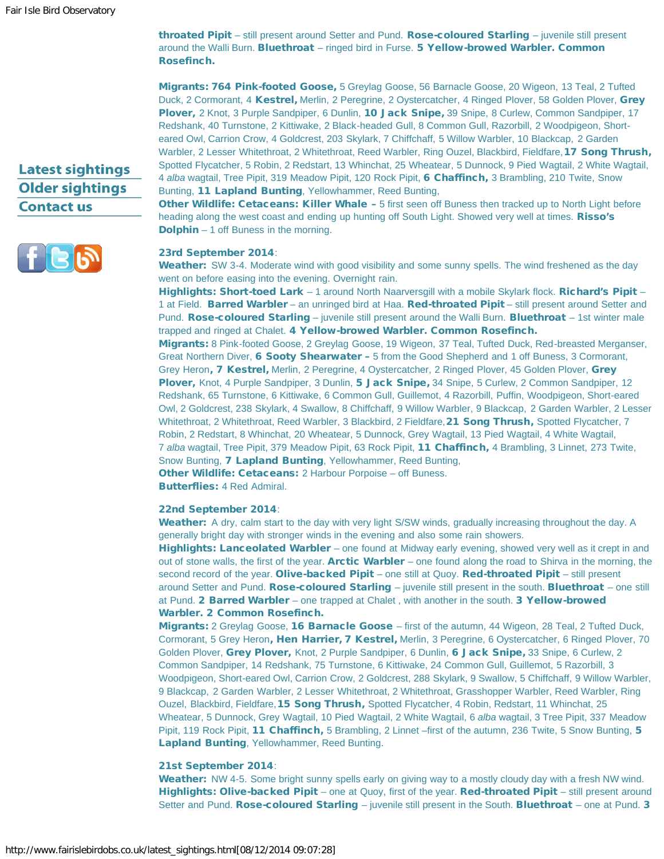# **Latest sightings Older sightings Contact us**



throated Pipit – still present around Setter and Pund. Rose-coloured Starling – juvenile still present around the Walli Burn. Bluethroat - ringed bird in Furse. 5 Yellow-browed Warbler. Common Rosefinch.

Migrants: 764 Pink-footed Goose, 5 Greylag Goose, 56 Barnacle Goose, 20 Wigeon, 13 Teal, 2 Tufted Duck, 2 Cormorant, 4 Kestrel, Merlin, 2 Peregrine, 2 Oystercatcher, 4 Ringed Plover, 58 Golden Plover, Grey Plover, 2 Knot, 3 Purple Sandpiper, 6 Dunlin, 10 Jack Snipe, 39 Snipe, 8 Curlew, Common Sandpiper, 17 Redshank, 40 Turnstone, 2 Kittiwake, 2 Black-headed Gull, 8 Common Gull, Razorbill, 2 Woodpigeon, Shorteared Owl, Carrion Crow, 4 Goldcrest, 203 Skylark, 7 Chiffchaff, 5 Willow Warbler, 10 Blackcap, 2 Garden Warbler, 2 Lesser Whitethroat, 2 Whitethroat, Reed Warbler, Ring Ouzel, Blackbird, Fieldfare, 17 Song Thrush, Spotted Flycatcher, 5 Robin, 2 Redstart, 13 Whinchat, 25 Wheatear, 5 Dunnock, 9 Pied Wagtail, 2 White Wagtail, 4 *alba* wagtail, Tree Pipit, 319 Meadow Pipit, 120 Rock Pipit, 6 Chaffinch, 3 Brambling, 210 Twite, Snow Bunting, 11 Lapland Bunting, Yellowhammer, Reed Bunting,

Other Wildlife: Cetaceans: Killer Whale – 5 first seen off Buness then tracked up to North Light before heading along the west coast and ending up hunting off South Light. Showed very well at times. Risso's Dolphin – 1 off Buness in the morning.

# 23rd September 2014:

Weather: SW 3-4. Moderate wind with good visibility and some sunny spells. The wind freshened as the day went on before easing into the evening. Overnight rain.

Highlights: Short-toed Lark - 1 around North Naarversgill with a mobile Skylark flock. Richard's Pipit -1 at Field. Barred Warbler – an unringed bird at Haa. Red-throated Pipit – still present around Setter and Pund. Rose-coloured Starling – juvenile still present around the Walli Burn. Bluethroat – 1st winter male trapped and ringed at Chalet. 4 Yellow-browed Warbler. Common Rosefinch.

Migrants: 8 Pink-footed Goose, 2 Greylag Goose, 19 Wigeon, 37 Teal, Tufted Duck, Red-breasted Merganser, Great Northern Diver, 6 Sooty Shearwater - 5 from the Good Shepherd and 1 off Buness, 3 Cormorant, Grey Heron, 7 Kestrel, Merlin, 2 Peregrine, 4 Oystercatcher, 2 Ringed Plover, 45 Golden Plover, Grey Plover, Knot, 4 Purple Sandpiper, 3 Dunlin, 5 Jack Snipe, 34 Snipe, 5 Curlew, 2 Common Sandpiper, 12 Redshank, 65 Turnstone, 6 Kittiwake, 6 Common Gull, Guillemot, 4 Razorbill, Puffin, Woodpigeon, Short-eared Owl, 2 Goldcrest, 238 Skylark, 4 Swallow, 8 Chiffchaff, 9 Willow Warbler, 9 Blackcap, 2 Garden Warbler, 2 Lesser Whitethroat, 2 Whitethroat, Reed Warbler, 3 Blackbird, 2 Fieldfare, 21 Song Thrush, Spotted Flycatcher, 7 Robin, 2 Redstart, 8 Whinchat, 20 Wheatear, 5 Dunnock, Grey Wagtail, 13 Pied Wagtail, 4 White Wagtail, 7 *alba* wagtail, Tree Pipit, 379 Meadow Pipit, 63 Rock Pipit, 11 Chaffinch, 4 Brambling, 3 Linnet, 273 Twite, Snow Bunting, 7 Lapland Bunting, Yellowhammer, Reed Bunting,

Other Wildlife: Cetaceans: 2 Harbour Porpoise – off Buness.

Butterflies: 4 Red Admiral.

# 22nd September 2014:

Weather: A dry, calm start to the day with very light S/SW winds, gradually increasing throughout the day. A generally bright day with stronger winds in the evening and also some rain showers.

Highlights: Lanceolated Warbler – one found at Midway early evening, showed very well as it crept in and out of stone walls, the first of the year. **Arctic Warbler** – one found along the road to Shirva in the morning, the second record of the year. Olive-backed Pipit – one still at Quoy. Red-throated Pipit – still present around Setter and Pund. Rose-coloured Starling – juvenile still present in the south. Bluethroat – one still at Pund. 2 Barred Warbler – one trapped at Chalet, with another in the south. 3 Yellow-browed Warbler. 2 Common Rosefinch.

Migrants: 2 Greylag Goose, 16 Barnacle Goose - first of the autumn, 44 Wigeon, 28 Teal, 2 Tufted Duck, Cormorant, 5 Grey Heron, Hen Harrier, 7 Kestrel, Merlin, 3 Peregrine, 6 Oystercatcher, 6 Ringed Plover, 70 Golden Plover, Grey Plover, Knot, 2 Purple Sandpiper, 6 Dunlin, 6 Jack Snipe, 33 Snipe, 6 Curlew, 2 Common Sandpiper, 14 Redshank, 75 Turnstone, 6 Kittiwake, 24 Common Gull, Guillemot, 5 Razorbill, 3 Woodpigeon, Short-eared Owl, Carrion Crow, 2 Goldcrest, 288 Skylark, 9 Swallow, 5 Chiffchaff, 9 Willow Warbler, 9 Blackcap, 2 Garden Warbler, 2 Lesser Whitethroat, 2 Whitethroat, Grasshopper Warbler, Reed Warbler, Ring Ouzel, Blackbird, Fieldfare, 15 Song Thrush, Spotted Flycatcher, 4 Robin, Redstart, 11 Whinchat, 25 Wheatear, 5 Dunnock, Grey Wagtail, 10 Pied Wagtail, 2 White Wagtail, 6 *alba* wagtail, 3 Tree Pipit, 337 Meadow Pipit, 119 Rock Pipit, 11 Chaffinch, 5 Brambling, 2 Linnet –first of the autumn, 236 Twite, 5 Snow Bunting, 5 Lapland Bunting, Yellowhammer, Reed Bunting.

# 21st September 2014:

Weather: NW 4-5. Some bright sunny spells early on giving way to a mostly cloudy day with a fresh NW wind. Highlights: Olive-backed Pipit – one at Quoy, first of the year. Red-throated Pipit – still present around Setter and Pund. Rose-coloured Starling – juvenile still present in the South. Bluethroat – one at Pund. 3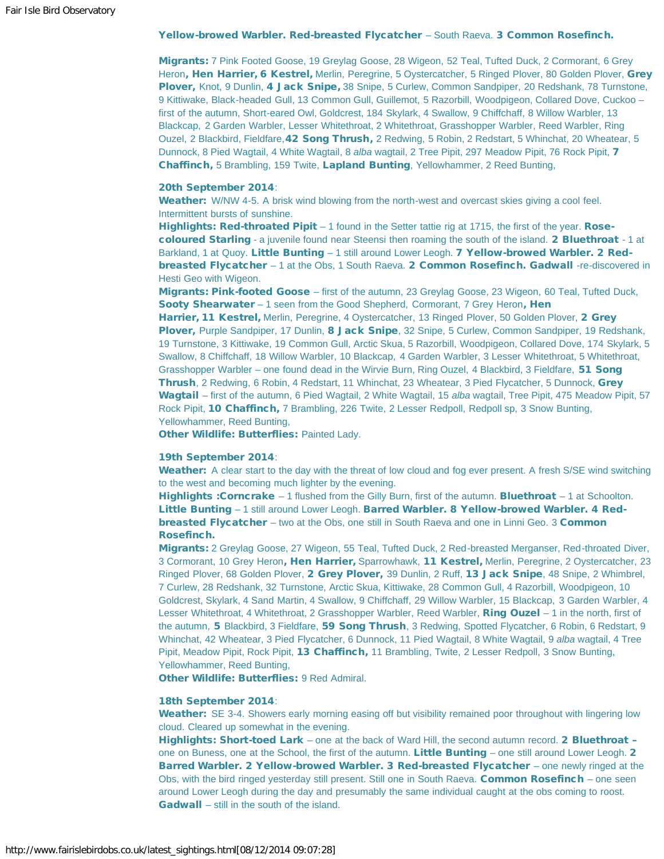# Yellow-browed Warbler. Red-breasted Flycatcher - South Raeva. 3 Common Rosefinch.

Migrants: 7 Pink Footed Goose, 19 Greylag Goose, 28 Wigeon, 52 Teal, Tufted Duck, 2 Cormorant, 6 Grey Heron, Hen Harrier, 6 Kestrel, Merlin, Peregrine, 5 Oystercatcher, 5 Ringed Plover, 80 Golden Plover, Grey Plover, Knot, 9 Dunlin, 4 Jack Snipe, 38 Snipe, 5 Curlew, Common Sandpiper, 20 Redshank, 78 Turnstone, 9 Kittiwake, Black-headed Gull, 13 Common Gull, Guillemot, 5 Razorbill, Woodpigeon, Collared Dove, Cuckoo – first of the autumn, Short-eared Owl, Goldcrest, 184 Skylark, 4 Swallow, 9 Chiffchaff, 8 Willow Warbler, 13 Blackcap, 2 Garden Warbler, Lesser Whitethroat, 2 Whitethroat, Grasshopper Warbler, Reed Warbler, Ring Ouzel, 2 Blackbird, Fieldfare, 42 Song Thrush, 2 Redwing, 5 Robin, 2 Redstart, 5 Whinchat, 20 Wheatear, 5 Dunnock, 8 Pied Wagtail, 4 White Wagtail, 8 *alba* wagtail, 2 Tree Pipit, 297 Meadow Pipit, 76 Rock Pipit, 7 Chaffinch, 5 Brambling, 159 Twite, Lapland Bunting, Yellowhammer, 2 Reed Bunting,

#### 20th September 2014:

Weather: W/NW 4-5. A brisk wind blowing from the north-west and overcast skies giving a cool feel. Intermittent bursts of sunshine.

Highlights: Red-throated Pipit - 1 found in the Setter tattie rig at 1715, the first of the year. Rosecoloured Starling - a juvenile found near Steensi then roaming the south of the island. 2 Bluethroat - 1 at Barkland, 1 at Quoy. Little Bunting - 1 still around Lower Leogh. 7 Yellow-browed Warbler. 2 Redbreasted Flycatcher – 1 at the Obs, 1 South Raeva. 2 Common Rosefinch. Gadwall -re-discovered in Hesti Geo with Wigeon.

Migrants: Pink-footed Goose – first of the autumn, 23 Greylag Goose, 23 Wigeon, 60 Teal, Tufted Duck, Sooty Shearwater - 1 seen from the Good Shepherd, Cormorant, 7 Grey Heron, Hen

Harrier, 11 Kestrel, Merlin, Peregrine, 4 Oystercatcher, 13 Ringed Plover, 50 Golden Plover, 2 Grey Plover, Purple Sandpiper, 17 Dunlin, 8 Jack Snipe, 32 Snipe, 5 Curlew, Common Sandpiper, 19 Redshank, 19 Turnstone, 3 Kittiwake, 19 Common Gull, Arctic Skua, 5 Razorbill, Woodpigeon, Collared Dove, 174 Skylark, 5 Swallow, 8 Chiffchaff, 18 Willow Warbler, 10 Blackcap, 4 Garden Warbler, 3 Lesser Whitethroat, 5 Whitethroat, Grasshopper Warbler – one found dead in the Wirvie Burn, Ring Ouzel, 4 Blackbird, 3 Fieldfare, 51 Song Thrush, 2 Redwing, 6 Robin, 4 Redstart, 11 Whinchat, 23 Wheatear, 3 Pied Flycatcher, 5 Dunnock, Grey Wagtail – first of the autumn, 6 Pied Wagtail, 2 White Wagtail, 15 *alba* wagtail, Tree Pipit, 475 Meadow Pipit, 57 Rock Pipit, 10 Chaffinch, 7 Brambling, 226 Twite, 2 Lesser Redpoll, Redpoll sp, 3 Snow Bunting, Yellowhammer, Reed Bunting,

**Other Wildlife: Butterflies: Painted Lady.** 

#### 19th September 2014:

Weather: A clear start to the day with the threat of low cloud and fog ever present. A fresh S/SE wind switching to the west and becoming much lighter by the evening.

**Highlights :Corncrake**  $-1$  flushed from the Gilly Burn, first of the autumn. **Bluethroat**  $-1$  at Schoolton. Little Bunting - 1 still around Lower Leogh. Barred Warbler. 8 Yellow-browed Warbler. 4 Red**breasted Flycatcher** – two at the Obs, one still in South Raeva and one in Linni Geo. 3 **Common** Rosefinch.

Migrants: 2 Greylag Goose, 27 Wigeon, 55 Teal, Tufted Duck, 2 Red-breasted Merganser, Red-throated Diver, 3 Cormorant, 10 Grey Heron, Hen Harrier, Sparrowhawk, 11 Kestrel, Merlin, Peregrine, 2 Oystercatcher, 23 Ringed Plover, 68 Golden Plover, 2 Grey Plover, 39 Dunlin, 2 Ruff, 13 Jack Snipe, 48 Snipe, 2 Whimbrel, 7 Curlew, 28 Redshank, 32 Turnstone, Arctic Skua, Kittiwake, 28 Common Gull, 4 Razorbill, Woodpigeon, 10 Goldcrest, Skylark, 4 Sand Martin, 4 Swallow, 9 Chiffchaff, 29 Willow Warbler, 15 Blackcap, 3 Garden Warbler, 4 Lesser Whitethroat, 4 Whitethroat, 2 Grasshopper Warbler, Reed Warbler, Ring Ouzel – 1 in the north, first of the autumn, 5 Blackbird, 3 Fieldfare, 59 Song Thrush, 3 Redwing, Spotted Flycatcher, 6 Robin, 6 Redstart, 9 Whinchat, 42 Wheatear, 3 Pied Flycatcher, 6 Dunnock, 11 Pied Wagtail, 8 White Wagtail, 9 *alba* wagtail, 4 Tree Pipit, Meadow Pipit, Rock Pipit, 13 Chaffinch, 11 Brambling, Twite, 2 Lesser Redpoll, 3 Snow Bunting, Yellowhammer, Reed Bunting,

Other Wildlife: Butterflies: 9 Red Admiral.

#### 18th September 2014:

Weather: SE 3-4. Showers early morning easing off but visibility remained poor throughout with lingering low cloud. Cleared up somewhat in the evening.

Highlights: Short-toed Lark – one at the back of Ward Hill, the second autumn record. 2 Bluethroat one on Buness, one at the School, the first of the autumn. Little Bunting – one still around Lower Leogh. 2 Barred Warbler. 2 Yellow-browed Warbler. 3 Red-breasted Flycatcher – one newly ringed at the Obs, with the bird ringed yesterday still present. Still one in South Raeva. Common Rosefinch – one seen around Lower Leogh during the day and presumably the same individual caught at the obs coming to roost. Gadwall – still in the south of the island.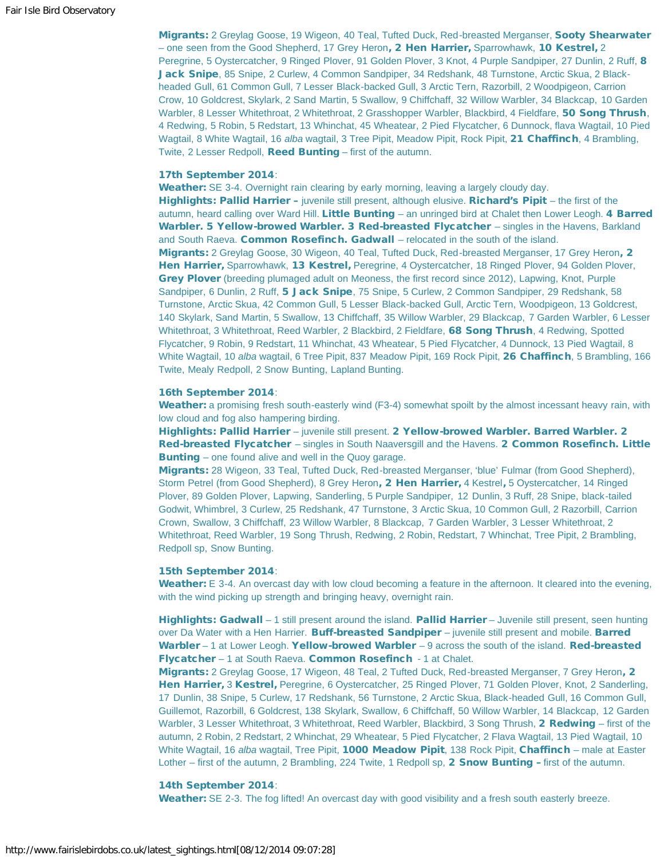Migrants: 2 Greylag Goose, 19 Wigeon, 40 Teal, Tufted Duck, Red-breasted Merganser, Sooty Shearwater – one seen from the Good Shepherd, 17 Grey Heron, 2 Hen Harrier, Sparrowhawk, 10 Kestrel, 2 Peregrine, 5 Oystercatcher, 9 Ringed Plover, 91 Golden Plover, 3 Knot, 4 Purple Sandpiper, 27 Dunlin, 2 Ruff, 8 Jack Snipe, 85 Snipe, 2 Curlew, 4 Common Sandpiper, 34 Redshank, 48 Turnstone, Arctic Skua, 2 Blackheaded Gull, 61 Common Gull, 7 Lesser Black-backed Gull, 3 Arctic Tern, Razorbill, 2 Woodpigeon, Carrion Crow, 10 Goldcrest, Skylark, 2 Sand Martin, 5 Swallow, 9 Chiffchaff, 32 Willow Warbler, 34 Blackcap, 10 Garden Warbler, 8 Lesser Whitethroat, 2 Whitethroat, 2 Grasshopper Warbler, Blackbird, 4 Fieldfare, 50 Song Thrush, 4 Redwing, 5 Robin, 5 Redstart, 13 Whinchat, 45 Wheatear, 2 Pied Flycatcher, 6 Dunnock, flava Wagtail, 10 Pied Wagtail, 8 White Wagtail, 16 *alba* wagtail, 3 Tree Pipit, Meadow Pipit, Rock Pipit, 21 Chaffinch, 4 Brambling, Twite, 2 Lesser Redpoll, Reed Bunting – first of the autumn.

### 17th September 2014:

Weather: SE 3-4. Overnight rain clearing by early morning, leaving a largely cloudy day. Highlights: Pallid Harrier – juvenile still present, although elusive. Richard's Pipit – the first of the autumn, heard calling over Ward Hill. Little Bunting - an unringed bird at Chalet then Lower Leogh. 4 Barred Warbler. 5 Yellow-browed Warbler. 3 Red-breasted Flycatcher - singles in the Havens, Barkland and South Raeva. Common Rosefinch. Gadwall – relocated in the south of the island. Migrants: 2 Greylag Goose, 30 Wigeon, 40 Teal, Tufted Duck, Red-breasted Merganser, 17 Grey Heron, 2 Hen Harrier, Sparrowhawk, 13 Kestrel, Peregrine, 4 Oystercatcher, 18 Ringed Plover, 94 Golden Plover, Grey Plover (breeding plumaged adult on Meoness, the first record since 2012), Lapwing, Knot, Purple Sandpiper, 6 Dunlin, 2 Ruff, 5 Jack Snipe, 75 Snipe, 5 Curlew, 2 Common Sandpiper, 29 Redshank, 58 Turnstone, Arctic Skua, 42 Common Gull, 5 Lesser Black-backed Gull, Arctic Tern, Woodpigeon, 13 Goldcrest, 140 Skylark, Sand Martin, 5 Swallow, 13 Chiffchaff, 35 Willow Warbler, 29 Blackcap, 7 Garden Warbler, 6 Lesser Whitethroat, 3 Whitethroat, Reed Warbler, 2 Blackbird, 2 Fieldfare, 68 Song Thrush, 4 Redwing, Spotted Flycatcher, 9 Robin, 9 Redstart, 11 Whinchat, 43 Wheatear, 5 Pied Flycatcher, 4 Dunnock, 13 Pied Wagtail, 8 White Wagtail, 10 *alba* wagtail, 6 Tree Pipit, 837 Meadow Pipit, 169 Rock Pipit, 26 Chaffinch, 5 Brambling, 166 Twite, Mealy Redpoll, 2 Snow Bunting, Lapland Bunting.

#### 16th September 2014:

Weather: a promising fresh south-easterly wind (F3-4) somewhat spoilt by the almost incessant heavy rain, with low cloud and fog also hampering birding.

Highlights: Pallid Harrier – juvenile still present. 2 Yellow-browed Warbler. Barred Warbler. 2 Red-breasted Flycatcher – singles in South Naaversgill and the Havens. 2 Common Rosefinch. Little Bunting – one found alive and well in the Quoy garage.

Migrants: 28 Wigeon, 33 Teal, Tufted Duck, Red-breasted Merganser, 'blue' Fulmar (from Good Shepherd), Storm Petrel (from Good Shepherd), 8 Grey Heron, 2 Hen Harrier, 4 Kestrel, 5 Oystercatcher, 14 Ringed Plover, 89 Golden Plover, Lapwing, Sanderling, 5 Purple Sandpiper, 12 Dunlin, 3 Ruff, 28 Snipe, black-tailed Godwit, Whimbrel, 3 Curlew, 25 Redshank, 47 Turnstone, 3 Arctic Skua, 10 Common Gull, 2 Razorbill, Carrion Crown, Swallow, 3 Chiffchaff, 23 Willow Warbler, 8 Blackcap, 7 Garden Warbler, 3 Lesser Whitethroat, 2 Whitethroat, Reed Warbler, 19 Song Thrush, Redwing, 2 Robin, Redstart, 7 Whinchat, Tree Pipit, 2 Brambling, Redpoll sp, Snow Bunting.

#### 15th September 2014:

Weather: E 3-4. An overcast day with low cloud becoming a feature in the afternoon. It cleared into the evening, with the wind picking up strength and bringing heavy, overnight rain.

Highlights: Gadwall – 1 still present around the island. Pallid Harrier – Juvenile still present, seen hunting over Da Water with a Hen Harrier. Buff-breasted Sandpiper - juvenile still present and mobile. Barred Warbler  $-1$  at Lower Leogh. Yellow-browed Warbler  $-9$  across the south of the island. Red-breasted Flycatcher – 1 at South Raeva. Common Rosefinch - 1 at Chalet.

Migrants: 2 Greylag Goose, 17 Wigeon, 48 Teal, 2 Tufted Duck, Red-breasted Merganser, 7 Grey Heron, 2 Hen Harrier, 3 Kestrel, Peregrine, 6 Oystercatcher, 25 Ringed Plover, 71 Golden Plover, Knot, 2 Sanderling, 17 Dunlin, 38 Snipe, 5 Curlew, 17 Redshank, 56 Turnstone, 2 Arctic Skua, Black-headed Gull, 16 Common Gull, Guillemot, Razorbill, 6 Goldcrest, 138 Skylark, Swallow, 6 Chiffchaff, 50 Willow Warbler, 14 Blackcap, 12 Garden Warbler, 3 Lesser Whitethroat, 3 Whitethroat, Reed Warbler, Blackbird, 3 Song Thrush, 2 Redwing – first of the autumn, 2 Robin, 2 Redstart, 2 Whinchat, 29 Wheatear, 5 Pied Flycatcher, 2 Flava Wagtail, 13 Pied Wagtail, 10 White Wagtail, 16 *alba* wagtail, Tree Pipit, 1000 Meadow Pipit, 138 Rock Pipit, Chaffinch – male at Easter Lother – first of the autumn, 2 Brambling, 224 Twite, 1 Redpoll sp, 2 Snow Bunting – first of the autumn.

## 14th September 2014:

Weather: SE 2-3. The fog lifted! An overcast day with good visibility and a fresh south easterly breeze.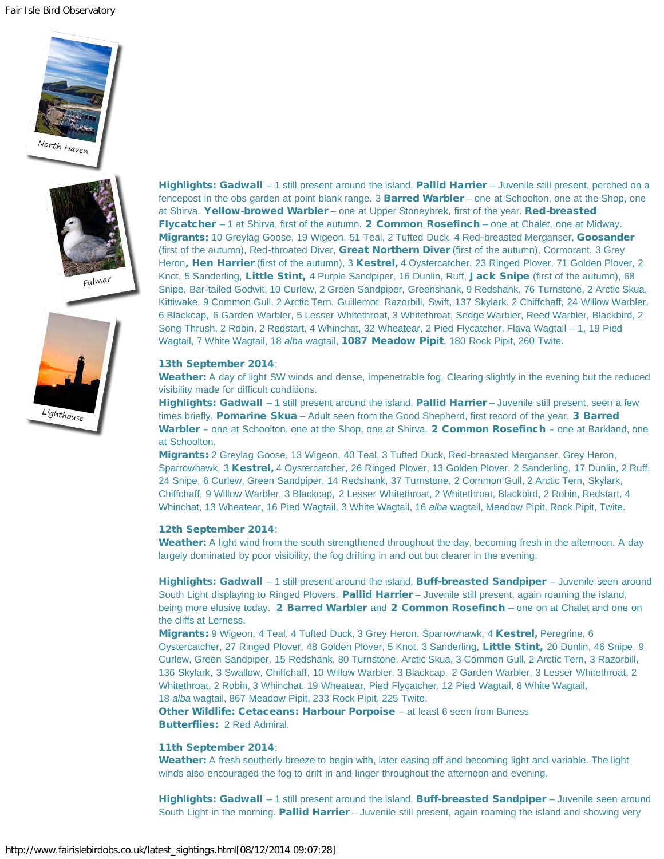Fair Isle Bird Observatory







Highlights: Gadwall - 1 still present around the island. Pallid Harrier - Juvenile still present, perched on a fencepost in the obs garden at point blank range. 3 **Barred Warbler** – one at Schoolton, one at the Shop, one at Shirva. Yellow-browed Warbler – one at Upper Stoneybrek, first of the year. Red-breasted Flycatcher – 1 at Shirva, first of the autumn. 2 Common Rosefinch – one at Chalet, one at Midway. Migrants: 10 Greylag Goose, 19 Wigeon, 51 Teal, 2 Tufted Duck, 4 Red-breasted Merganser, Goosander (first of the autumn), Red-throated Diver, Great Northern Diver (first of the autumn), Cormorant, 3 Grey Heron, Hen Harrier (first of the autumn), 3 Kestrel, 4 Oystercatcher, 23 Ringed Plover, 71 Golden Plover, 2 Knot, 5 Sanderling, Little Stint, 4 Purple Sandpiper, 16 Dunlin, Ruff, Jack Snipe (first of the autumn), 68 Snipe, Bar-tailed Godwit, 10 Curlew, 2 Green Sandpiper, Greenshank, 9 Redshank, 76 Turnstone, 2 Arctic Skua, Kittiwake, 9 Common Gull, 2 Arctic Tern, Guillemot, Razorbill, Swift, 137 Skylark, 2 Chiffchaff, 24 Willow Warbler, 6 Blackcap, 6 Garden Warbler, 5 Lesser Whitethroat, 3 Whitethroat, Sedge Warbler, Reed Warbler, Blackbird, 2 Song Thrush, 2 Robin, 2 Redstart, 4 Whinchat, 32 Wheatear, 2 Pied Flycatcher, Flava Wagtail – 1, 19 Pied Wagtail, 7 White Wagtail, 18 *alba* wagtail, 1087 Meadow Pipit, 180 Rock Pipit, 260 Twite.

#### 13th September 2014:

Weather: A day of light SW winds and dense, impenetrable fog. Clearing slightly in the evening but the reduced visibility made for difficult conditions.

Highlights: Gadwall – 1 still present around the island. Pallid Harrier – Juvenile still present, seen a few times briefly. Pomarine Skua - Adult seen from the Good Shepherd, first record of the year. 3 Barred Warbler – one at Schoolton, one at the Shop, one at Shirva. 2 Common Rosefinch – one at Barkland, one at Schoolton.

Migrants: 2 Greylag Goose, 13 Wigeon, 40 Teal, 3 Tufted Duck, Red-breasted Merganser, Grey Heron, Sparrowhawk, 3 Kestrel, 4 Oystercatcher, 26 Ringed Plover, 13 Golden Plover, 2 Sanderling, 17 Dunlin, 2 Ruff, 24 Snipe, 6 Curlew, Green Sandpiper, 14 Redshank, 37 Turnstone, 2 Common Gull, 2 Arctic Tern, Skylark, Chiffchaff, 9 Willow Warbler, 3 Blackcap, 2 Lesser Whitethroat, 2 Whitethroat, Blackbird, 2 Robin, Redstart, 4 Whinchat, 13 Wheatear, 16 Pied Wagtail, 3 White Wagtail, 16 *alba* wagtail, Meadow Pipit, Rock Pipit, Twite.

#### 12th September 2014:

Weather: A light wind from the south strengthened throughout the day, becoming fresh in the afternoon. A day largely dominated by poor visibility, the fog drifting in and out but clearer in the evening.

Highlights: Gadwall – 1 still present around the island. Buff-breasted Sandpiper – Juvenile seen around South Light displaying to Ringed Plovers. Pallid Harrier – Juvenile still present, again roaming the island, being more elusive today. 2 Barred Warbler and 2 Common Rosefinch – one on at Chalet and one on the cliffs at Lerness.

Migrants: 9 Wigeon, 4 Teal, 4 Tufted Duck, 3 Grey Heron, Sparrowhawk, 4 Kestrel, Peregrine, 6 Oystercatcher, 27 Ringed Plover, 48 Golden Plover, 5 Knot, 3 Sanderling, Little Stint, 20 Dunlin, 46 Snipe, 9 Curlew, Green Sandpiper, 15 Redshank, 80 Turnstone, Arctic Skua, 3 Common Gull, 2 Arctic Tern, 3 Razorbill, 136 Skylark, 3 Swallow, Chiffchaff, 10 Willow Warbler, 3 Blackcap, 2 Garden Warbler, 3 Lesser Whitethroat, 2 Whitethroat, 2 Robin, 3 Whinchat, 19 Wheatear, Pied Flycatcher, 12 Pied Wagtail, 8 White Wagtail, 18 *alba* wagtail, 867 Meadow Pipit, 233 Rock Pipit, 225 Twite.

Other Wildlife: Cetaceans: Harbour Porpoise – at least 6 seen from Buness Butterflies: 2 Red Admiral.

#### 11th September 2014:

Weather: A fresh southerly breeze to begin with, later easing off and becoming light and variable. The light winds also encouraged the fog to drift in and linger throughout the afternoon and evening.

Highlights: Gadwall - 1 still present around the island. Buff-breasted Sandpiper - Juvenile seen around South Light in the morning. Pallid Harrier – Juvenile still present, again roaming the island and showing very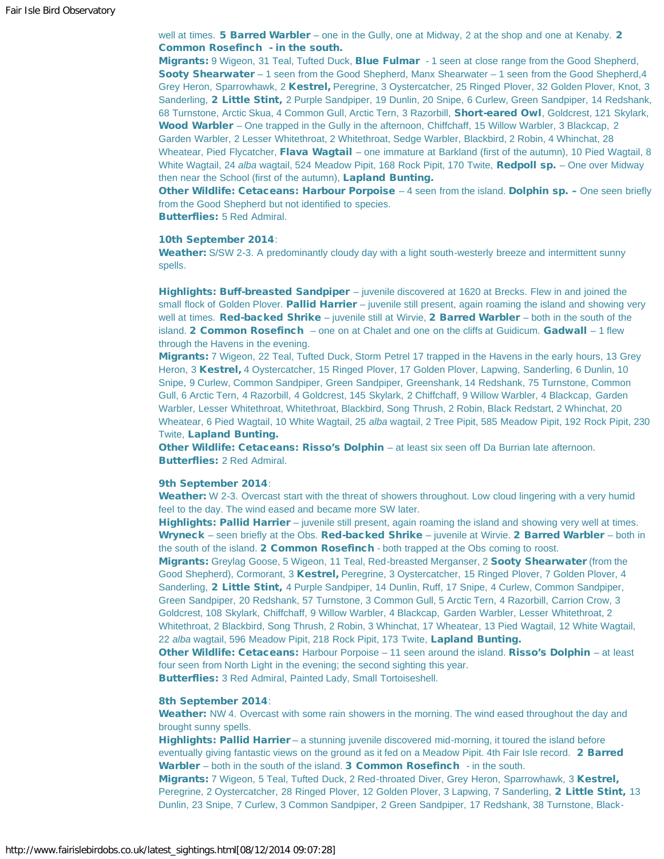well at times. **5 Barred Warbler** – one in the Gully, one at Midway, 2 at the shop and one at Kenaby. 2 Common Rosefinch - in the south.

Migrants: 9 Wigeon, 31 Teal, Tufted Duck, Blue Fulmar - 1 seen at close range from the Good Shepherd, Sooty Shearwater – 1 seen from the Good Shepherd, Manx Shearwater – 1 seen from the Good Shepherd, 4 Grey Heron, Sparrowhawk, 2 Kestrel, Peregrine, 3 Oystercatcher, 25 Ringed Plover, 32 Golden Plover, Knot, 3 Sanderling, 2 Little Stint, 2 Purple Sandpiper, 19 Dunlin, 20 Snipe, 6 Curlew, Green Sandpiper, 14 Redshank, 68 Turnstone, Arctic Skua, 4 Common Gull, Arctic Tern, 3 Razorbill, Short-eared Owl, Goldcrest, 121 Skylark, Wood Warbler – One trapped in the Gully in the afternoon, Chiffchaff, 15 Willow Warbler, 3 Blackcap, 2 Garden Warbler, 2 Lesser Whitethroat, 2 Whitethroat, Sedge Warbler, Blackbird, 2 Robin, 4 Whinchat, 28 Wheatear, Pied Flycatcher, Flava Wagtail – one immature at Barkland (first of the autumn), 10 Pied Wagtail, 8 White Wagtail, 24 *alba* wagtail, 524 Meadow Pipit, 168 Rock Pipit, 170 Twite, **Redpoll sp.** – One over Midway then near the School (first of the autumn), Lapland Bunting.

Other Wildlife: Cetaceans: Harbour Porpoise - 4 seen from the island. Dolphin sp. - One seen briefly from the Good Shepherd but not identified to species.

Butterflies: 5 Red Admiral.

#### 10th September 2014:

Weather: S/SW 2-3. A predominantly cloudy day with a light south-westerly breeze and intermittent sunny spells.

Highlights: Buff-breasted Sandpiper – juvenile discovered at 1620 at Brecks. Flew in and joined the small flock of Golden Plover. Pallid Harrier - juvenile still present, again roaming the island and showing very well at times. Red-backed Shrike – juvenile still at Wirvie, 2 Barred Warbler – both in the south of the island. **2 Common Rosefinch** – one on at Chalet and one on the cliffs at Guidicum. **Gadwall** – 1 flew through the Havens in the evening.

Migrants: 7 Wigeon, 22 Teal, Tufted Duck, Storm Petrel 17 trapped in the Havens in the early hours, 13 Grey Heron, 3 Kestrel, 4 Oystercatcher, 15 Ringed Plover, 17 Golden Plover, Lapwing, Sanderling, 6 Dunlin, 10 Snipe, 9 Curlew, Common Sandpiper, Green Sandpiper, Greenshank, 14 Redshank, 75 Turnstone, Common Gull, 6 Arctic Tern, 4 Razorbill, 4 Goldcrest, 145 Skylark, 2 Chiffchaff, 9 Willow Warbler, 4 Blackcap, Garden Warbler, Lesser Whitethroat, Whitethroat, Blackbird, Song Thrush, 2 Robin, Black Redstart, 2 Whinchat, 20 Wheatear, 6 Pied Wagtail, 10 White Wagtail, 25 *alba* wagtail, 2 Tree Pipit, 585 Meadow Pipit, 192 Rock Pipit, 230 Twite, Lapland Bunting.

Other Wildlife: Cetaceans: Risso's Dolphin – at least six seen off Da Burrian late afternoon. Butterflies: 2 Red Admiral.

#### 9th September 2014:

Weather: W 2-3. Overcast start with the threat of showers throughout. Low cloud lingering with a very humid feel to the day. The wind eased and became more SW later.

Highlights: Pallid Harrier – juvenile still present, again roaming the island and showing very well at times. Wryneck – seen briefly at the Obs. Red-backed Shrike – juvenile at Wirvie. 2 Barred Warbler – both in the south of the island. 2 Common Rosefinch - both trapped at the Obs coming to roost.

Migrants: Greylag Goose, 5 Wigeon, 11 Teal, Red-breasted Merganser, 2 Sooty Shearwater (from the Good Shepherd), Cormorant, 3 Kestrel, Peregrine, 3 Oystercatcher, 15 Ringed Plover, 7 Golden Plover, 4 Sanderling, 2 Little Stint, 4 Purple Sandpiper, 14 Dunlin, Ruff, 17 Snipe, 4 Curlew, Common Sandpiper, Green Sandpiper, 20 Redshank, 57 Turnstone, 3 Common Gull, 5 Arctic Tern, 4 Razorbill, Carrion Crow, 3 Goldcrest, 108 Skylark, Chiffchaff, 9 Willow Warbler, 4 Blackcap, Garden Warbler, Lesser Whitethroat, 2 Whitethroat, 2 Blackbird, Song Thrush, 2 Robin, 3 Whinchat, 17 Wheatear, 13 Pied Wagtail, 12 White Wagtail, 22 *alba* wagtail, 596 Meadow Pipit, 218 Rock Pipit, 173 Twite, Lapland Bunting.

Other Wildlife: Cetaceans: Harbour Porpoise – 11 seen around the island. Risso's Dolphin – at least four seen from North Light in the evening; the second sighting this year.

Butterflies: 3 Red Admiral, Painted Lady, Small Tortoiseshell.

#### 8th September 2014:

Weather: NW 4. Overcast with some rain showers in the morning. The wind eased throughout the day and brought sunny spells.

Highlights: Pallid Harrier – a stunning juvenile discovered mid-morning, it toured the island before eventually giving fantastic views on the ground as it fed on a Meadow Pipit. 4th Fair Isle record. 2 Barred Warbler – both in the south of the island. 3 Common Rosefinch - in the south.

Migrants: 7 Wigeon, 5 Teal, Tufted Duck, 2 Red-throated Diver, Grey Heron, Sparrowhawk, 3 Kestrel, Peregrine, 2 Oystercatcher, 28 Ringed Plover, 12 Golden Plover, 3 Lapwing, 7 Sanderling, 2 Little Stint, 13 Dunlin, 23 Snipe, 7 Curlew, 3 Common Sandpiper, 2 Green Sandpiper, 17 Redshank, 38 Turnstone, Black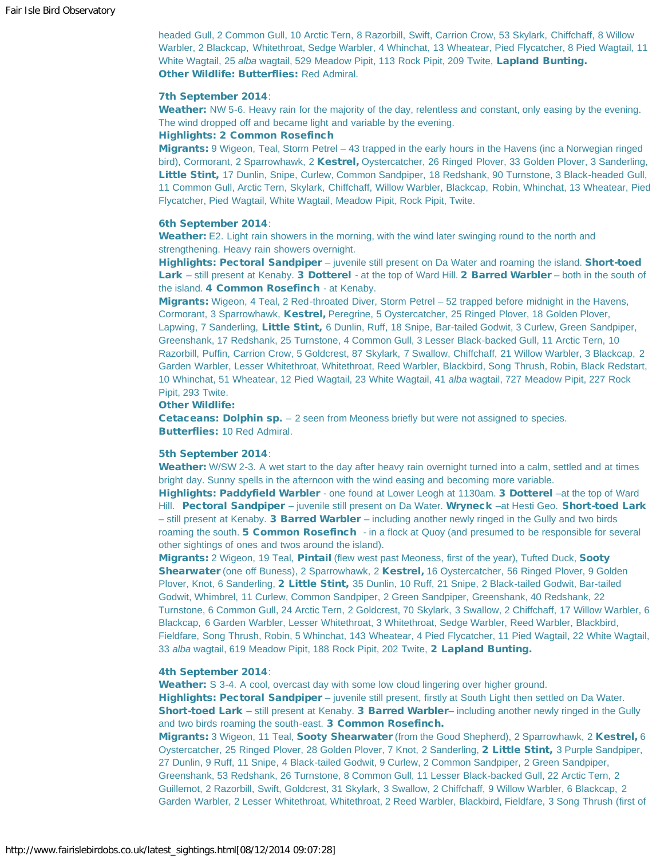headed Gull, 2 Common Gull, 10 Arctic Tern, 8 Razorbill, Swift, Carrion Crow, 53 Skylark, Chiffchaff, 8 Willow Warbler, 2 Blackcap, Whitethroat, Sedge Warbler, 4 Whinchat, 13 Wheatear, Pied Flycatcher, 8 Pied Wagtail, 11 White Wagtail, 25 *alba* wagtail, 529 Meadow Pipit, 113 Rock Pipit, 209 Twite, Lapland Bunting. Other Wildlife: Butterflies: Red Admiral.

#### 7th September 2014:

Weather: NW 5-6. Heavy rain for the majority of the day, relentless and constant, only easing by the evening. The wind dropped off and became light and variable by the evening.

## Highlights: 2 Common Rosefinch

Migrants: 9 Wigeon, Teal, Storm Petrel – 43 trapped in the early hours in the Havens (inc a Norwegian ringed bird), Cormorant, 2 Sparrowhawk, 2 Kestrel, Oystercatcher, 26 Ringed Plover, 33 Golden Plover, 3 Sanderling, Little Stint, 17 Dunlin, Snipe, Curlew, Common Sandpiper, 18 Redshank, 90 Turnstone, 3 Black-headed Gull. 11 Common Gull, Arctic Tern, Skylark, Chiffchaff, Willow Warbler, Blackcap, Robin, Whinchat, 13 Wheatear, Pied Flycatcher, Pied Wagtail, White Wagtail, Meadow Pipit, Rock Pipit, Twite.

#### 6th September 2014:

Weather: E2. Light rain showers in the morning, with the wind later swinging round to the north and strengthening. Heavy rain showers overnight.

Highlights: Pectoral Sandpiper – juvenile still present on Da Water and roaming the island. Short-toed Lark – still present at Kenaby. 3 Dotterel - at the top of Ward Hill. 2 Barred Warbler – both in the south of the island. 4 Common Rosefinch - at Kenaby.

Migrants: Wigeon, 4 Teal, 2 Red-throated Diver, Storm Petrel – 52 trapped before midnight in the Havens, Cormorant, 3 Sparrowhawk, Kestrel, Peregrine, 5 Oystercatcher, 25 Ringed Plover, 18 Golden Plover, Lapwing, 7 Sanderling, Little Stint, 6 Dunlin, Ruff, 18 Snipe, Bar-tailed Godwit, 3 Curlew, Green Sandpiper, Greenshank, 17 Redshank, 25 Turnstone, 4 Common Gull, 3 Lesser Black-backed Gull, 11 Arctic Tern, 10 Razorbill, Puffin, Carrion Crow, 5 Goldcrest, 87 Skylark, 7 Swallow, Chiffchaff, 21 Willow Warbler, 3 Blackcap, 2 Garden Warbler, Lesser Whitethroat, Whitethroat, Reed Warbler, Blackbird, Song Thrush, Robin, Black Redstart, 10 Whinchat, 51 Wheatear, 12 Pied Wagtail, 23 White Wagtail, 41 *alba* wagtail, 727 Meadow Pipit, 227 Rock Pipit, 293 Twite.

#### Other Wildlife:

**Cetaceans: Dolphin sp.** – 2 seen from Meoness briefly but were not assigned to species. Butterflies: 10 Red Admiral.

#### 5th September 2014:

Weather: W/SW 2-3. A wet start to the day after heavy rain overnight turned into a calm, settled and at times bright day. Sunny spells in the afternoon with the wind easing and becoming more variable.

Highlights: Paddyfield Warbler - one found at Lower Leogh at 1130am. 3 Dotterel –at the top of Ward Hill. Pectoral Sandpiper – juvenile still present on Da Water. Wryneck –at Hesti Geo. Short-toed Lark – still present at Kenaby. 3 Barred Warbler – including another newly ringed in the Gully and two birds roaming the south. **5 Common Rosefinch** - in a flock at Quoy (and presumed to be responsible for several other sightings of ones and twos around the island).

**Migrants:** 2 Wigeon, 19 Teal, **Pintail** (flew west past Meoness, first of the year), Tufted Duck, **Sooty** Shearwater (one off Buness), 2 Sparrowhawk, 2 Kestrel, 16 Oystercatcher, 56 Ringed Plover, 9 Golden Plover, Knot, 6 Sanderling, 2 Little Stint, 35 Dunlin, 10 Ruff, 21 Snipe, 2 Black-tailed Godwit, Bar-tailed Godwit, Whimbrel, 11 Curlew, Common Sandpiper, 2 Green Sandpiper, Greenshank, 40 Redshank, 22 Turnstone, 6 Common Gull, 24 Arctic Tern, 2 Goldcrest, 70 Skylark, 3 Swallow, 2 Chiffchaff, 17 Willow Warbler, 6 Blackcap, 6 Garden Warbler, Lesser Whitethroat, 3 Whitethroat, Sedge Warbler, Reed Warbler, Blackbird, Fieldfare, Song Thrush, Robin, 5 Whinchat, 143 Wheatear, 4 Pied Flycatcher, 11 Pied Wagtail, 22 White Wagtail, 33 *alba* wagtail, 619 Meadow Pipit, 188 Rock Pipit, 202 Twite, 2 Lapland Bunting.

#### 4th September 2014:

Weather: S 3-4. A cool, overcast day with some low cloud lingering over higher ground. Highlights: Pectoral Sandpiper – juvenile still present, firstly at South Light then settled on Da Water. Short-toed Lark – still present at Kenaby. 3 Barred Warbler– including another newly ringed in the Gully and two birds roaming the south-east. 3 Common Rosefinch.

Migrants: 3 Wigeon, 11 Teal, Sooty Shearwater (from the Good Shepherd), 2 Sparrowhawk, 2 Kestrel, 6 Oystercatcher, 25 Ringed Plover, 28 Golden Plover, 7 Knot, 2 Sanderling, 2 Little Stint, 3 Purple Sandpiper, 27 Dunlin, 9 Ruff, 11 Snipe, 4 Black-tailed Godwit, 9 Curlew, 2 Common Sandpiper, 2 Green Sandpiper, Greenshank, 53 Redshank, 26 Turnstone, 8 Common Gull, 11 Lesser Black-backed Gull, 22 Arctic Tern, 2 Guillemot, 2 Razorbill, Swift, Goldcrest, 31 Skylark, 3 Swallow, 2 Chiffchaff, 9 Willow Warbler, 6 Blackcap, 2 Garden Warbler, 2 Lesser Whitethroat, Whitethroat, 2 Reed Warbler, Blackbird, Fieldfare, 3 Song Thrush (first of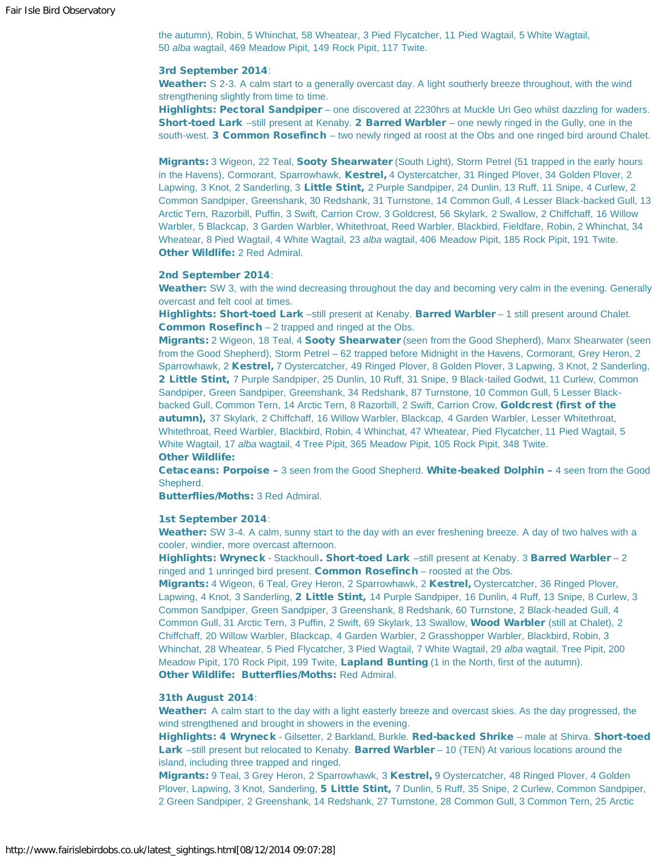the autumn), Robin, 5 Whinchat, 58 Wheatear, 3 Pied Flycatcher, 11 Pied Wagtail, 5 White Wagtail, 50 *alba* wagtail, 469 Meadow Pipit, 149 Rock Pipit, 117 Twite.

#### 3rd September 2014:

Weather: S 2-3. A calm start to a generally overcast day. A light southerly breeze throughout, with the wind strengthening slightly from time to time.

Highlights: Pectoral Sandpiper – one discovered at 2230hrs at Muckle Uri Geo whilst dazzling for waders. Short-toed Lark –still present at Kenaby. 2 Barred Warbler – one newly ringed in the Gully, one in the south-west. 3 Common Rosefinch – two newly ringed at roost at the Obs and one ringed bird around Chalet.

Migrants: 3 Wigeon, 22 Teal, Sooty Shearwater (South Light), Storm Petrel (51 trapped in the early hours in the Havens), Cormorant, Sparrowhawk, Kestrel, 4 Oystercatcher, 31 Ringed Plover, 34 Golden Plover, 2 Lapwing, 3 Knot, 2 Sanderling, 3 Little Stint, 2 Purple Sandpiper, 24 Dunlin, 13 Ruff, 11 Snipe, 4 Curlew, 2 Common Sandpiper, Greenshank, 30 Redshank, 31 Turnstone, 14 Common Gull, 4 Lesser Black-backed Gull, 13 Arctic Tern, Razorbill, Puffin, 3 Swift, Carrion Crow, 3 Goldcrest, 56 Skylark, 2 Swallow, 2 Chiffchaff, 16 Willow Warbler, 5 Blackcap, 3 Garden Warbler, Whitethroat, Reed Warbler, Blackbird, Fieldfare, Robin, 2 Whinchat, 34 Wheatear, 8 Pied Wagtail, 4 White Wagtail, 23 *alba* wagtail, 406 Meadow Pipit, 185 Rock Pipit, 191 Twite. Other Wildlife: 2 Red Admiral.

#### 2nd September 2014:

Weather: SW 3, with the wind decreasing throughout the day and becoming very calm in the evening. Generally overcast and felt cool at times.

Highlights: Short-toed Lark -still present at Kenaby. Barred Warbler - 1 still present around Chalet. Common Rosefinch – 2 trapped and ringed at the Obs.

Migrants: 2 Wigeon, 18 Teal, 4 Sooty Shearwater (seen from the Good Shepherd), Manx Shearwater (seen from the Good Shepherd), Storm Petrel – 62 trapped before Midnight in the Havens, Cormorant, Grey Heron, 2 Sparrowhawk, 2 Kestrel, 7 Oystercatcher, 49 Ringed Plover, 8 Golden Plover, 3 Lapwing, 3 Knot, 2 Sanderling, 2 Little Stint, 7 Purple Sandpiper, 25 Dunlin, 10 Ruff, 31 Snipe, 9 Black-tailed Godwit, 11 Curlew, Common Sandpiper, Green Sandpiper, Greenshank, 34 Redshank, 87 Turnstone, 10 Common Gull, 5 Lesser Blackbacked Gull, Common Tern, 14 Arctic Tern, 8 Razorbill, 2 Swift, Carrion Crow, Goldcrest (first of the autumn), 37 Skylark, 2 Chiffchaff, 16 Willow Warbler, Blackcap, 4 Garden Warbler, Lesser Whitethroat, Whitethroat, Reed Warbler, Blackbird, Robin, 4 Whinchat, 47 Wheatear, Pied Flycatcher, 11 Pied Wagtail, 5 White Wagtail, 17 *alba* wagtail, 4 Tree Pipit, 365 Meadow Pipit, 105 Rock Pipit, 348 Twite. Other Wildlife:

Cetaceans: Porpoise – 3 seen from the Good Shepherd. White-beaked Dolphin – 4 seen from the Good Shepherd.

Butterflies/Moths: 3 Red Admiral.

## 1st September 2014:

Weather: SW 3-4. A calm, sunny start to the day with an ever freshening breeze. A day of two halves with a cooler, windier, more overcast afternoon.

Highlights: Wryneck - Stackhoull. Short-toed Lark –still present at Kenaby. 3 Barred Warbler – 2 ringed and 1 unringed bird present. Common Rosefinch - roosted at the Obs.

Migrants: 4 Wigeon, 6 Teal, Grey Heron, 2 Sparrowhawk, 2 Kestrel, Oystercatcher, 36 Ringed Plover, Lapwing, 4 Knot, 3 Sanderling, 2 Little Stint, 14 Purple Sandpiper, 16 Dunlin, 4 Ruff, 13 Snipe, 8 Curlew, 3 Common Sandpiper, Green Sandpiper, 3 Greenshank, 8 Redshank, 60 Turnstone, 2 Black-headed Gull, 4 Common Gull, 31 Arctic Tern, 3 Puffin, 2 Swift, 69 Skylark, 13 Swallow, Wood Warbler (still at Chalet), 2 Chiffchaff, 20 Willow Warbler, Blackcap, 4 Garden Warbler, 2 Grasshopper Warbler, Blackbird, Robin, 3 Whinchat, 28 Wheatear, 5 Pied Flycatcher, 3 Pied Wagtail, 7 White Wagtail, 29 *alba* wagtail, Tree Pipit, 200 Meadow Pipit, 170 Rock Pipit, 199 Twite, Lapland Bunting (1 in the North, first of the autumn). Other Wildlife: Butterflies/Moths: Red Admiral.

#### 31th August 2014:

Weather: A calm start to the day with a light easterly breeze and overcast skies. As the day progressed, the wind strengthened and brought in showers in the evening.

Highlights: 4 Wryneck - Gilsetter, 2 Barkland, Burkle. Red-backed Shrike - male at Shirva. Short-toed Lark -still present but relocated to Kenaby. Barred Warbler - 10 (TEN) At various locations around the island, including three trapped and ringed.

Migrants: 9 Teal, 3 Grey Heron, 2 Sparrowhawk, 3 Kestrel, 9 Oystercatcher, 48 Ringed Plover, 4 Golden Plover, Lapwing, 3 Knot, Sanderling, 5 Little Stint, 7 Dunlin, 5 Ruff, 35 Snipe, 2 Curlew, Common Sandpiper, 2 Green Sandpiper, 2 Greenshank, 14 Redshank, 27 Turnstone, 28 Common Gull, 3 Common Tern, 25 Arctic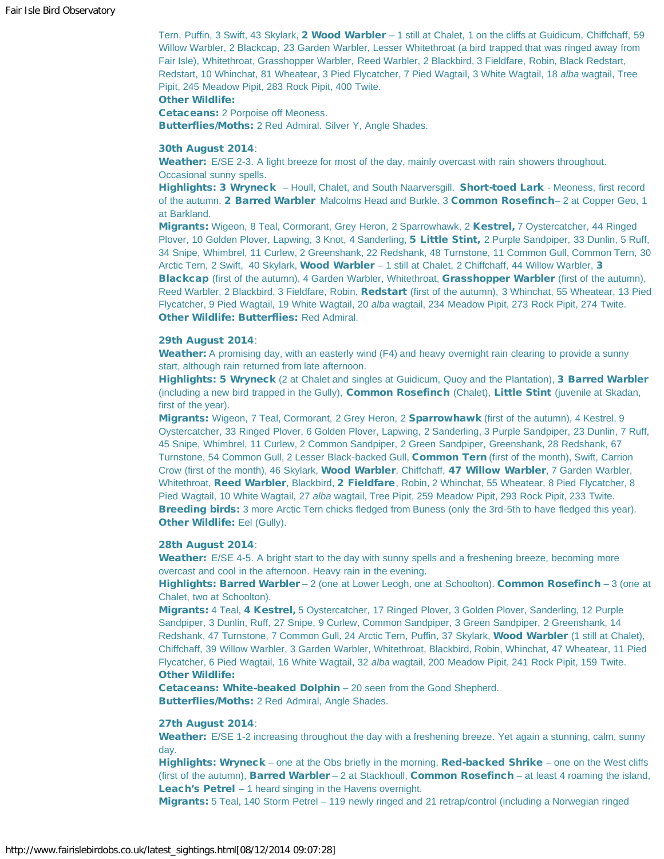Tern, Puffin, 3 Swift, 43 Skylark, 2 Wood Warbler - 1 still at Chalet, 1 on the cliffs at Guidicum, Chiffchaff, 59 Willow Warbler, 2 Blackcap, 23 Garden Warbler, Lesser Whitethroat (a bird trapped that was ringed away from Fair Isle), Whitethroat, Grasshopper Warbler, Reed Warbler, 2 Blackbird, 3 Fieldfare, Robin, Black Redstart, Redstart, 10 Whinchat, 81 Wheatear, 3 Pied Flycatcher, 7 Pied Wagtail, 3 White Wagtail, 18 *alba* wagtail, Tree Pipit, 245 Meadow Pipit, 283 Rock Pipit, 400 Twite.

# Other Wildlife:

Cetaceans: 2 Porpoise off Meoness. Butterflies/Moths: 2 Red Admiral. Silver Y, Angle Shades.

#### 30th August 2014:

Weather: E/SE 2-3. A light breeze for most of the day, mainly overcast with rain showers throughout. Occasional sunny spells.

Highlights: 3 Wryneck – Houll, Chalet, and South Naarversgill. Short-toed Lark - Meoness, first record of the autumn. 2 Barred Warbler Malcolms Head and Burkle. 3 Common Rosefinch– 2 at Copper Geo, 1 at Barkland.

Migrants: Wigeon, 8 Teal, Cormorant, Grey Heron, 2 Sparrowhawk, 2 Kestrel, 7 Oystercatcher, 44 Ringed Plover, 10 Golden Plover, Lapwing, 3 Knot, 4 Sanderling, 5 Little Stint, 2 Purple Sandpiper, 33 Dunlin, 5 Ruff, 34 Snipe, Whimbrel, 11 Curlew, 2 Greenshank, 22 Redshank, 48 Turnstone, 11 Common Gull, Common Tern, 30 Arctic Tern, 2 Swift, 40 Skylark, Wood Warbler – 1 still at Chalet, 2 Chiffchaff, 44 Willow Warbler, 3 Blackcap (first of the autumn), 4 Garden Warbler, Whitethroat, Grasshopper Warbler (first of the autumn), Reed Warbler, 2 Blackbird, 3 Fieldfare, Robin, Redstart (first of the autumn), 3 Whinchat, 55 Wheatear, 13 Pied Flycatcher, 9 Pied Wagtail, 19 White Wagtail, 20 *alba* wagtail, 234 Meadow Pipit, 273 Rock Pipit, 274 Twite. Other Wildlife: Butterflies: Red Admiral.

# 29th August 2014:

Weather: A promising day, with an easterly wind (F4) and heavy overnight rain clearing to provide a sunny start, although rain returned from late afternoon.

Highlights: 5 Wryneck (2 at Chalet and singles at Guidicum, Quoy and the Plantation), 3 Barred Warbler (including a new bird trapped in the Gully), Common Rosefinch (Chalet), Little Stint (juvenile at Skadan, first of the year).

Migrants: Wigeon, 7 Teal, Cormorant, 2 Grey Heron, 2 Sparrowhawk (first of the autumn), 4 Kestrel, 9 Oystercatcher, 33 Ringed Plover, 6 Golden Plover, Lapwing, 2 Sanderling, 3 Purple Sandpiper, 23 Dunlin, 7 Ruff, 45 Snipe, Whimbrel, 11 Curlew, 2 Common Sandpiper, 2 Green Sandpiper, Greenshank, 28 Redshank, 67 Turnstone, 54 Common Gull, 2 Lesser Black-backed Gull, Common Tern (first of the month), Swift, Carrion Crow (first of the month), 46 Skylark, Wood Warbler, Chiffchaff, 47 Willow Warbler, 7 Garden Warbler, Whitethroat, Reed Warbler, Blackbird, 2 Fieldfare, Robin, 2 Whinchat, 55 Wheatear, 8 Pied Flycatcher, 8 Pied Wagtail, 10 White Wagtail, 27 *alba* wagtail, Tree Pipit, 259 Meadow Pipit, 293 Rock Pipit, 233 Twite. **Breeding birds:** 3 more Arctic Tern chicks fledged from Buness (only the 3rd-5th to have fledged this year). Other Wildlife: Eel (Gully).

#### 28th August 2014:

Weather: E/SE 4-5. A bright start to the day with sunny spells and a freshening breeze, becoming more overcast and cool in the afternoon. Heavy rain in the evening.

Highlights: Barred Warbler – 2 (one at Lower Leogh, one at Schoolton). Common Rosefinch – 3 (one at Chalet, two at Schoolton).

Migrants: 4 Teal, 4 Kestrel, 5 Oystercatcher, 17 Ringed Plover, 3 Golden Plover, Sanderling, 12 Purple Sandpiper, 3 Dunlin, Ruff, 27 Snipe, 9 Curlew, Common Sandpiper, 3 Green Sandpiper, 2 Greenshank, 14 Redshank, 47 Turnstone, 7 Common Gull, 24 Arctic Tern, Puffin, 37 Skylark, Wood Warbler (1 still at Chalet), Chiffchaff, 39 Willow Warbler, 3 Garden Warbler, Whitethroat, Blackbird, Robin, Whinchat, 47 Wheatear, 11 Pied Flycatcher, 6 Pied Wagtail, 16 White Wagtail, 32 *alba* wagtail, 200 Meadow Pipit, 241 Rock Pipit, 159 Twite. Other Wildlife:

Cetaceans: White-beaked Dolphin – 20 seen from the Good Shepherd. Butterflies/Moths: 2 Red Admiral, Angle Shades.

#### 27th August 2014:

Weather: E/SE 1-2 increasing throughout the day with a freshening breeze. Yet again a stunning, calm, sunny day.

Highlights: Wryneck – one at the Obs briefly in the morning, Red-backed Shrike – one on the West cliffs (first of the autumn), **Barred Warbler** – 2 at Stackhoull, **Common Rosefinch** – at least 4 roaming the island, Leach's Petrel – 1 heard singing in the Havens overnight.

Migrants: 5 Teal, 140 Storm Petrel – 119 newly ringed and 21 retrap/control (including a Norwegian ringed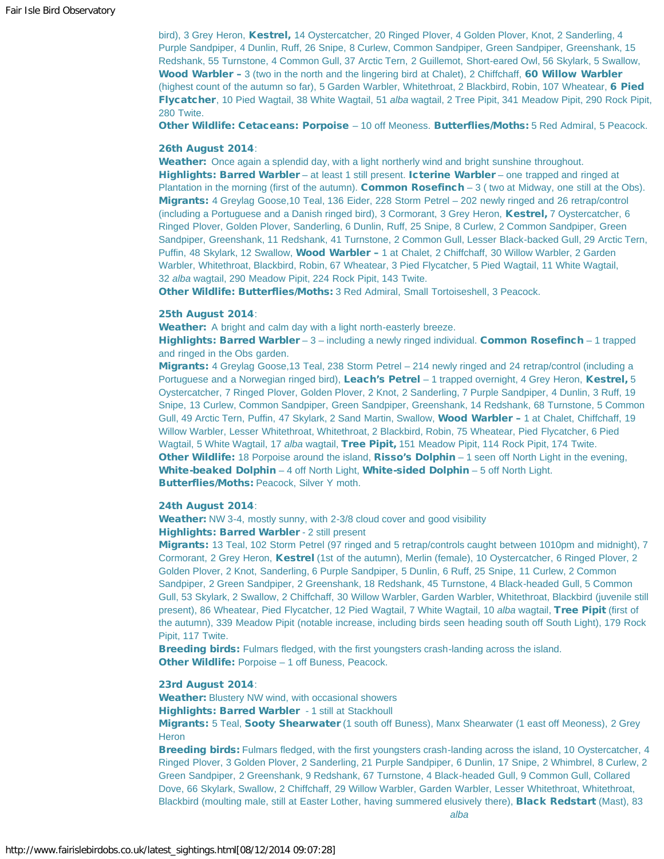bird), 3 Grey Heron, Kestrel, 14 Oystercatcher, 20 Ringed Plover, 4 Golden Plover, Knot, 2 Sanderling, 4 Purple Sandpiper, 4 Dunlin, Ruff, 26 Snipe, 8 Curlew, Common Sandpiper, Green Sandpiper, Greenshank, 15 Redshank, 55 Turnstone, 4 Common Gull, 37 Arctic Tern, 2 Guillemot, Short-eared Owl, 56 Skylark, 5 Swallow, Wood Warbler – 3 (two in the north and the lingering bird at Chalet), 2 Chiffchaff, 60 Willow Warbler (highest count of the autumn so far), 5 Garden Warbler, Whitethroat, 2 Blackbird, Robin, 107 Wheatear, 6 Pied Flycatcher, 10 Pied Wagtail, 38 White Wagtail, 51 *alba* wagtail, 2 Tree Pipit, 341 Meadow Pipit, 290 Rock Pipit, 280 Twite.

Other Wildlife: Cetaceans: Porpoise – 10 off Meoness. Butterflies/Moths: 5 Red Admiral, 5 Peacock.

#### 26th August 2014:

Weather: Once again a splendid day, with a light northerly wind and bright sunshine throughout. Highlights: Barred Warbler – at least 1 still present. Icterine Warbler – one trapped and ringed at Plantation in the morning (first of the autumn). **Common Rosefinch**  $-3$  (two at Midway, one still at the Obs). Migrants: 4 Greylag Goose,10 Teal, 136 Eider, 228 Storm Petrel – 202 newly ringed and 26 retrap/control (including a Portuguese and a Danish ringed bird), 3 Cormorant, 3 Grey Heron, Kestrel, 7 Oystercatcher, 6 Ringed Plover, Golden Plover, Sanderling, 6 Dunlin, Ruff, 25 Snipe, 8 Curlew, 2 Common Sandpiper, Green Sandpiper, Greenshank, 11 Redshank, 41 Turnstone, 2 Common Gull, Lesser Black-backed Gull, 29 Arctic Tern, Puffin, 48 Skylark, 12 Swallow, Wood Warbler - 1 at Chalet, 2 Chiffchaff, 30 Willow Warbler, 2 Garden Warbler, Whitethroat, Blackbird, Robin, 67 Wheatear, 3 Pied Flycatcher, 5 Pied Wagtail, 11 White Wagtail, 32 *alba* wagtail, 290 Meadow Pipit, 224 Rock Pipit, 143 Twite.

Other Wildlife: Butterflies/Moths: 3 Red Admiral, Small Tortoiseshell, 3 Peacock.

#### 25th August 2014:

Weather: A bright and calm day with a light north-easterly breeze.

Highlights: Barred Warbler - 3 - including a newly ringed individual. Common Rosefinch - 1 trapped and ringed in the Obs garden.

Migrants: 4 Greylag Goose, 13 Teal, 238 Storm Petrel - 214 newly ringed and 24 retrap/control (including a Portuguese and a Norwegian ringed bird), Leach's Petrel – 1 trapped overnight, 4 Grey Heron, Kestrel, 5 Oystercatcher, 7 Ringed Plover, Golden Plover, 2 Knot, 2 Sanderling, 7 Purple Sandpiper, 4 Dunlin, 3 Ruff, 19 Snipe, 13 Curlew, Common Sandpiper, Green Sandpiper, Greenshank, 14 Redshank, 68 Turnstone, 5 Common Gull, 49 Arctic Tern, Puffin, 47 Skylark, 2 Sand Martin, Swallow, Wood Warbler - 1 at Chalet, Chiffchaff, 19 Willow Warbler, Lesser Whitethroat, Whitethroat, 2 Blackbird, Robin, 75 Wheatear, Pied Flycatcher, 6 Pied Wagtail, 5 White Wagtail, 17 *alba* wagtail, Tree Pipit, 151 Meadow Pipit, 114 Rock Pipit, 174 Twite. Other Wildlife: 18 Porpoise around the island, Risso's Dolphin – 1 seen off North Light in the evening, White-beaked Dolphin - 4 off North Light, White-sided Dolphin - 5 off North Light. Butterflies/Moths: Peacock, Silver Y moth.

#### 24th August 2014:

Weather: NW 3-4, mostly sunny, with 2-3/8 cloud cover and good visibility Highlights: Barred Warbler - 2 still present

Migrants: 13 Teal, 102 Storm Petrel (97 ringed and 5 retrap/controls caught between 1010pm and midnight), 7 Cormorant, 2 Grey Heron, Kestrel (1st of the autumn), Merlin (female), 10 Oystercatcher, 6 Ringed Plover, 2 Golden Plover, 2 Knot, Sanderling, 6 Purple Sandpiper, 5 Dunlin, 6 Ruff, 25 Snipe, 11 Curlew, 2 Common Sandpiper, 2 Green Sandpiper, 2 Greenshank, 18 Redshank, 45 Turnstone, 4 Black-headed Gull, 5 Common Gull, 53 Skylark, 2 Swallow, 2 Chiffchaff, 30 Willow Warbler, Garden Warbler, Whitethroat, Blackbird (juvenile still present), 86 Wheatear, Pied Flycatcher, 12 Pied Wagtail, 7 White Wagtail, 10 *alba* wagtail, Tree Pipit (first of the autumn), 339 Meadow Pipit (notable increase, including birds seen heading south off South Light), 179 Rock Pipit, 117 Twite.

Breeding birds: Fulmars fledged, with the first youngsters crash-landing across the island. Other Wildlife: Porpoise – 1 off Buness, Peacock.

# 23rd August 2014:

Weather: Blustery NW wind, with occasional showers

Highlights: Barred Warbler - 1 still at Stackhoull

Migrants: 5 Teal, Sooty Shearwater (1 south off Buness), Manx Shearwater (1 east off Meoness), 2 Grey **Heron** 

**Breeding birds:** Fulmars fledged, with the first youngsters crash-landing across the island, 10 Oystercatcher, 4 Ringed Plover, 3 Golden Plover, 2 Sanderling, 21 Purple Sandpiper, 6 Dunlin, 17 Snipe, 2 Whimbrel, 8 Curlew, 2 Green Sandpiper, 2 Greenshank, 9 Redshank, 67 Turnstone, 4 Black-headed Gull, 9 Common Gull, Collared Dove, 66 Skylark, Swallow, 2 Chiffchaff, 29 Willow Warbler, Garden Warbler, Lesser Whitethroat, Whitethroat, Blackbird (moulting male, still at Easter Lother, having summered elusively there), **Black Redstart** (Mast), 83

*alba*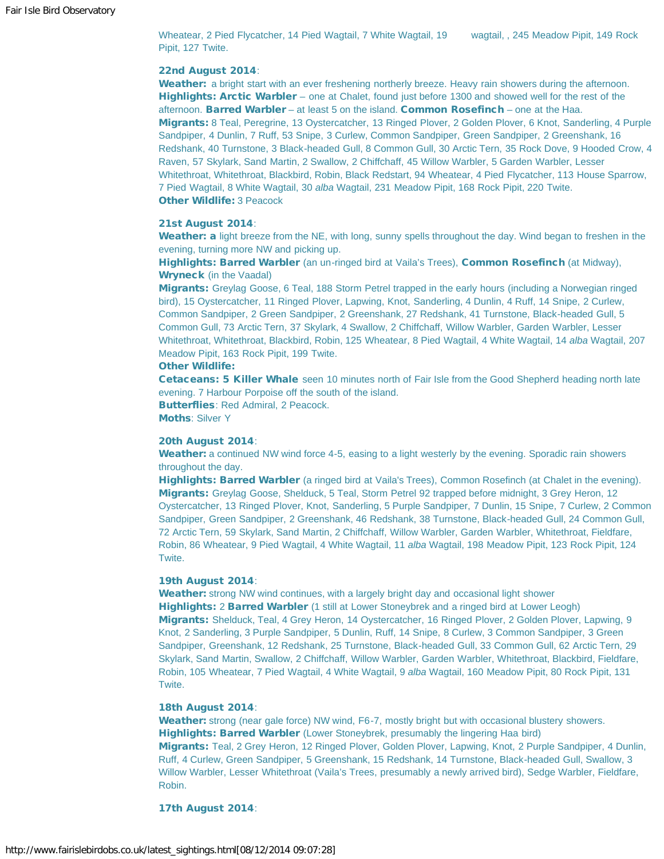Wheatear, 2 Pied Flycatcher, 14 Pied Wagtail, 7 White Wagtail, 19 wagtail, , 245 Meadow Pipit, 149 Rock Pipit, 127 Twite.

#### 22nd August 2014:

Weather: a bright start with an ever freshening northerly breeze. Heavy rain showers during the afternoon. Highlights: Arctic Warbler – one at Chalet, found just before 1300 and showed well for the rest of the afternoon. Barred Warbler – at least 5 on the island. Common Rosefinch – one at the Haa. Migrants: 8 Teal, Peregrine, 13 Oystercatcher, 13 Ringed Plover, 2 Golden Plover, 6 Knot, Sanderling, 4 Purple Sandpiper, 4 Dunlin, 7 Ruff, 53 Snipe, 3 Curlew, Common Sandpiper, Green Sandpiper, 2 Greenshank, 16 Redshank, 40 Turnstone, 3 Black-headed Gull, 8 Common Gull, 30 Arctic Tern, 35 Rock Dove, 9 Hooded Crow, 4 Raven, 57 Skylark, Sand Martin, 2 Swallow, 2 Chiffchaff, 45 Willow Warbler, 5 Garden Warbler, Lesser Whitethroat, Whitethroat, Blackbird, Robin, Black Redstart, 94 Wheatear, 4 Pied Flycatcher, 113 House Sparrow, 7 Pied Wagtail, 8 White Wagtail, 30 *alba* Wagtail, 231 Meadow Pipit, 168 Rock Pipit, 220 Twite. **Other Wildlife: 3 Peacock** 

#### 21st August 2014:

Weather: a light breeze from the NE, with long, sunny spells throughout the day. Wind began to freshen in the evening, turning more NW and picking up.

Highlights: Barred Warbler (an un-ringed bird at Vaila's Trees), Common Rosefinch (at Midway), Wryneck (in the Vaadal)

Migrants: Greylag Goose, 6 Teal, 188 Storm Petrel trapped in the early hours (including a Norwegian ringed bird), 15 Oystercatcher, 11 Ringed Plover, Lapwing, Knot, Sanderling, 4 Dunlin, 4 Ruff, 14 Snipe, 2 Curlew, Common Sandpiper, 2 Green Sandpiper, 2 Greenshank, 27 Redshank, 41 Turnstone, Black-headed Gull, 5 Common Gull, 73 Arctic Tern, 37 Skylark, 4 Swallow, 2 Chiffchaff, Willow Warbler, Garden Warbler, Lesser Whitethroat, Whitethroat, Blackbird, Robin, 125 Wheatear, 8 Pied Wagtail, 4 White Wagtail, 14 *alba* Wagtail, 207 Meadow Pipit, 163 Rock Pipit, 199 Twite.

#### Other Wildlife:

**Cetaceans: 5 Killer Whale** seen 10 minutes north of Fair Isle from the Good Shepherd heading north late evening. 7 Harbour Porpoise off the south of the island.

Butterflies: Red Admiral, 2 Peacock.

Moths: Silver Y

#### 20th August 2014:

Weather: a continued NW wind force 4-5, easing to a light westerly by the evening. Sporadic rain showers throughout the day.

Highlights: Barred Warbler (a ringed bird at Vaila's Trees), Common Rosefinch (at Chalet in the evening). Migrants: Greylag Goose, Shelduck, 5 Teal, Storm Petrel 92 trapped before midnight, 3 Grey Heron, 12 Oystercatcher, 13 Ringed Plover, Knot, Sanderling, 5 Purple Sandpiper, 7 Dunlin, 15 Snipe, 7 Curlew, 2 Common Sandpiper, Green Sandpiper, 2 Greenshank, 46 Redshank, 38 Turnstone, Black-headed Gull, 24 Common Gull, 72 Arctic Tern, 59 Skylark, Sand Martin, 2 Chiffchaff, Willow Warbler, Garden Warbler, Whitethroat, Fieldfare, Robin, 86 Wheatear, 9 Pied Wagtail, 4 White Wagtail, 11 *alba* Wagtail, 198 Meadow Pipit, 123 Rock Pipit, 124 Twite.

#### 19th August 2014:

Weather: strong NW wind continues, with a largely bright day and occasional light shower Highlights: 2 Barred Warbler (1 still at Lower Stoneybrek and a ringed bird at Lower Leogh) Migrants: Shelduck, Teal, 4 Grey Heron, 14 Oystercatcher, 16 Ringed Plover, 2 Golden Plover, Lapwing, 9 Knot, 2 Sanderling, 3 Purple Sandpiper, 5 Dunlin, Ruff, 14 Snipe, 8 Curlew, 3 Common Sandpiper, 3 Green Sandpiper, Greenshank, 12 Redshank, 25 Turnstone, Black-headed Gull, 33 Common Gull, 62 Arctic Tern, 29 Skylark, Sand Martin, Swallow, 2 Chiffchaff, Willow Warbler, Garden Warbler, Whitethroat, Blackbird, Fieldfare, Robin, 105 Wheatear, 7 Pied Wagtail, 4 White Wagtail, 9 *alba* Wagtail, 160 Meadow Pipit, 80 Rock Pipit, 131 Twite.

#### 18th August 2014:

Weather: strong (near gale force) NW wind, F6-7, mostly bright but with occasional blustery showers. Highlights: Barred Warbler (Lower Stoneybrek, presumably the lingering Haa bird) Migrants: Teal, 2 Grey Heron, 12 Ringed Plover, Golden Plover, Lapwing, Knot, 2 Purple Sandpiper, 4 Dunlin, Ruff, 4 Curlew, Green Sandpiper, 5 Greenshank, 15 Redshank, 14 Turnstone, Black-headed Gull, Swallow, 3 Willow Warbler, Lesser Whitethroat (Vaila's Trees, presumably a newly arrived bird), Sedge Warbler, Fieldfare, Robin.

17th August 2014: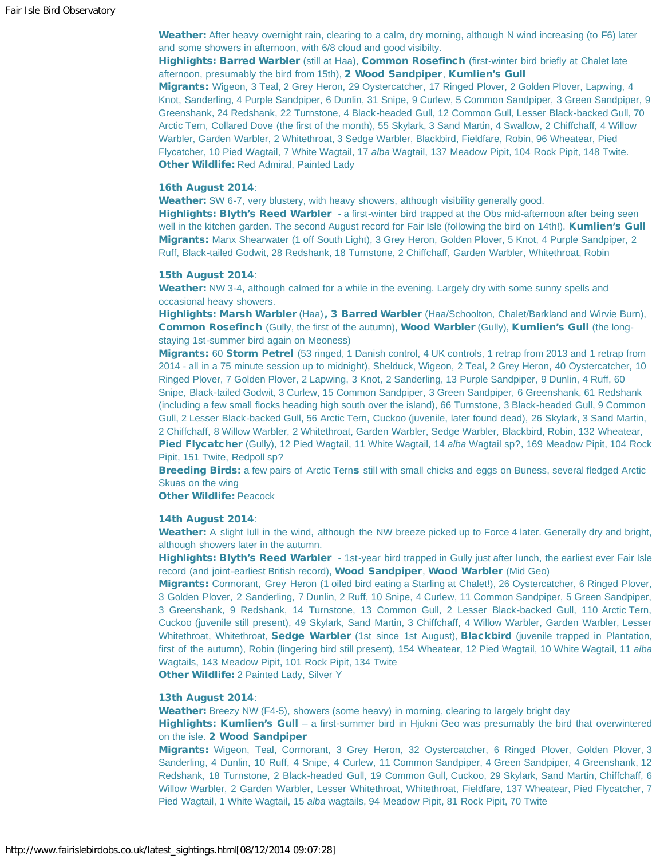Weather: After heavy overnight rain, clearing to a calm, dry morning, although N wind increasing (to F6) later and some showers in afternoon, with 6/8 cloud and good visibilty.

Highlights: Barred Warbler (still at Haa), Common Rosefinch (first-winter bird briefly at Chalet late afternoon, presumably the bird from 15th), 2 Wood Sandpiper, Kumlien's Gull

Migrants: Wigeon, 3 Teal, 2 Grey Heron, 29 Oystercatcher, 17 Ringed Plover, 2 Golden Plover, Lapwing, 4 Knot, Sanderling, 4 Purple Sandpiper, 6 Dunlin, 31 Snipe, 9 Curlew, 5 Common Sandpiper, 3 Green Sandpiper, 9 Greenshank, 24 Redshank, 22 Turnstone, 4 Black-headed Gull, 12 Common Gull, Lesser Black-backed Gull, 70 Arctic Tern, Collared Dove (the first of the month), 55 Skylark, 3 Sand Martin, 4 Swallow, 2 Chiffchaff, 4 Willow Warbler, Garden Warbler, 2 Whitethroat, 3 Sedge Warbler, Blackbird, Fieldfare, Robin, 96 Wheatear, Pied Flycatcher, 10 Pied Wagtail, 7 White Wagtail, 17 *alba* Wagtail, 137 Meadow Pipit, 104 Rock Pipit, 148 Twite. **Other Wildlife: Red Admiral, Painted Lady** 

#### 16th August 2014:

Weather: SW 6-7, very blustery, with heavy showers, although visibility generally good.

Highlights: Blyth's Reed Warbler - a first-winter bird trapped at the Obs mid-afternoon after being seen well in the kitchen garden. The second August record for Fair Isle (following the bird on 14th!). Kumlien's Gull Migrants: Manx Shearwater (1 off South Light), 3 Grey Heron, Golden Plover, 5 Knot, 4 Purple Sandpiper, 2 Ruff, Black-tailed Godwit, 28 Redshank, 18 Turnstone, 2 Chiffchaff, Garden Warbler, Whitethroat, Robin

#### 15th August 2014:

Weather: NW 3-4, although calmed for a while in the evening. Largely dry with some sunny spells and occasional heavy showers.

Highlights: Marsh Warbler (Haa), 3 Barred Warbler (Haa/Schoolton, Chalet/Barkland and Wirvie Burn), Common Rosefinch (Gully, the first of the autumn), Wood Warbler (Gully), Kumlien's Gull (the longstaying 1st-summer bird again on Meoness)

Migrants: 60 Storm Petrel (53 ringed, 1 Danish control, 4 UK controls, 1 retrap from 2013 and 1 retrap from 2014 - all in a 75 minute session up to midnight), Shelduck, Wigeon, 2 Teal, 2 Grey Heron, 40 Oystercatcher, 10 Ringed Plover, 7 Golden Plover, 2 Lapwing, 3 Knot, 2 Sanderling, 13 Purple Sandpiper, 9 Dunlin, 4 Ruff, 60 Snipe, Black-tailed Godwit, 3 Curlew, 15 Common Sandpiper, 3 Green Sandpiper, 6 Greenshank, 61 Redshank (including a few small flocks heading high south over the island), 66 Turnstone, 3 Black-headed Gull, 9 Common Gull, 2 Lesser Black-backed Gull, 56 Arctic Tern, Cuckoo (juvenile, later found dead), 26 Skylark, 3 Sand Martin, 2 Chiffchaff, 8 Willow Warbler, 2 Whitethroat, Garden Warbler, Sedge Warbler, Blackbird, Robin, 132 Wheatear, Pied Flycatcher (Gully), 12 Pied Wagtail, 11 White Wagtail, 14 *alba* Wagtail sp?, 169 Meadow Pipit, 104 Rock Pipit, 151 Twite, Redpoll sp?

Breeding Birds: a few pairs of Arctic Terns still with small chicks and eggs on Buness, several fledged Arctic Skuas on the wing

**Other Wildlife: Peacock** 

## 14th August 2014:

Weather: A slight lull in the wind, although the NW breeze picked up to Force 4 later. Generally dry and bright, although showers later in the autumn.

Highlights: Blyth's Reed Warbler - 1st-year bird trapped in Gully just after lunch, the earliest ever Fair Isle record (and joint-earliest British record), Wood Sandpiper, Wood Warbler (Mid Geo)

Migrants: Cormorant, Grey Heron (1 oiled bird eating a Starling at Chalet!), 26 Oystercatcher, 6 Ringed Plover, 3 Golden Plover, 2 Sanderling, 7 Dunlin, 2 Ruff, 10 Snipe, 4 Curlew, 11 Common Sandpiper, 5 Green Sandpiper, 3 Greenshank, 9 Redshank, 14 Turnstone, 13 Common Gull, 2 Lesser Black-backed Gull, 110 Arctic Tern, Cuckoo (juvenile still present), 49 Skylark, Sand Martin, 3 Chiffchaff, 4 Willow Warbler, Garden Warbler, Lesser Whitethroat, Whitethroat, Sedge Warbler (1st since 1st August), Blackbird (juvenile trapped in Plantation, first of the autumn), Robin (lingering bird still present), 154 Wheatear, 12 Pied Wagtail, 10 White Wagtail, 11 *alba* Wagtails, 143 Meadow Pipit, 101 Rock Pipit, 134 Twite

**Other Wildlife: 2 Painted Lady, Silver Y** 

#### 13th August 2014:

Weather: Breezy NW (F4-5), showers (some heavy) in morning, clearing to largely bright day

Highlights: Kumlien's Gull – a first-summer bird in Hjukni Geo was presumably the bird that overwintered on the isle. 2 Wood Sandpiper

Migrants: Wigeon, Teal, Cormorant, 3 Grey Heron, 32 Oystercatcher, 6 Ringed Plover, Golden Plover, 3 Sanderling, 4 Dunlin, 10 Ruff, 4 Snipe, 4 Curlew, 11 Common Sandpiper, 4 Green Sandpiper, 4 Greenshank, 12 Redshank, 18 Turnstone, 2 Black-headed Gull, 19 Common Gull, Cuckoo, 29 Skylark, Sand Martin, Chiffchaff, 6 Willow Warbler, 2 Garden Warbler, Lesser Whitethroat, Whitethroat, Fieldfare, 137 Wheatear, Pied Flycatcher, 7 Pied Wagtail, 1 White Wagtail, 15 *alba* wagtails, 94 Meadow Pipit, 81 Rock Pipit, 70 Twite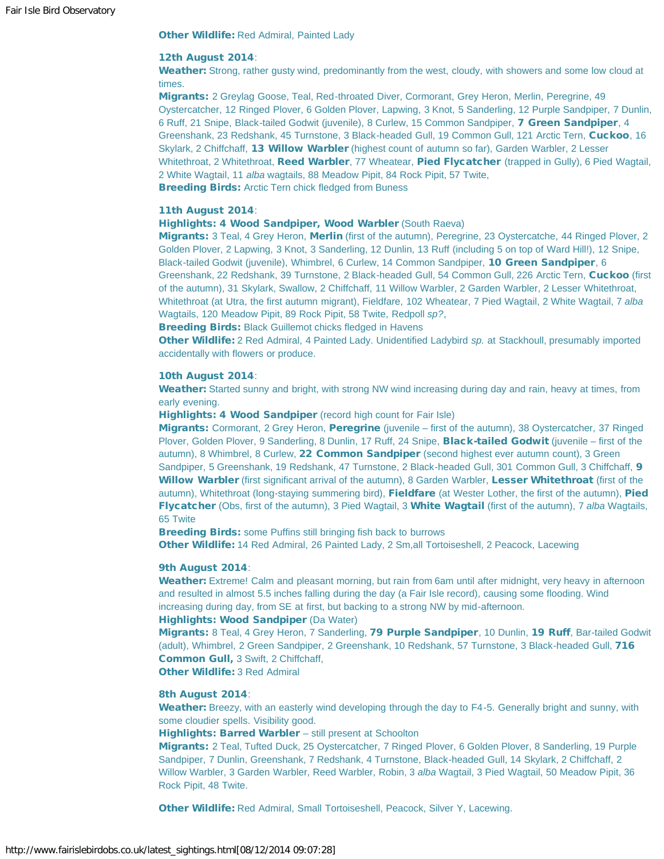Other Wildlife: Red Admiral, Painted Lady

#### 12th August 2014:

Weather: Strong, rather gusty wind, predominantly from the west, cloudy, with showers and some low cloud at times.

Migrants: 2 Greylag Goose, Teal, Red-throated Diver, Cormorant, Grey Heron, Merlin, Peregrine, 49 Oystercatcher, 12 Ringed Plover, 6 Golden Plover, Lapwing, 3 Knot, 5 Sanderling, 12 Purple Sandpiper, 7 Dunlin, 6 Ruff, 21 Snipe, Black-tailed Godwit (juvenile), 8 Curlew, 15 Common Sandpiper, 7 Green Sandpiper, 4 Greenshank, 23 Redshank, 45 Turnstone, 3 Black-headed Gull, 19 Common Gull, 121 Arctic Tern, Cuckoo, 16 Skylark, 2 Chiffchaff, 13 Willow Warbler (highest count of autumn so far), Garden Warbler, 2 Lesser Whitethroat, 2 Whitethroat, Reed Warbler, 77 Wheatear, Pied Flycatcher (trapped in Gully), 6 Pied Wagtail, 2 White Wagtail, 11 *alba* wagtails, 88 Meadow Pipit, 84 Rock Pipit, 57 Twite, **Breeding Birds: Arctic Tern chick fledged from Buness** 

#### 11th August 2014:

Highlights: 4 Wood Sandpiper, Wood Warbler (South Raeva)

Migrants: 3 Teal, 4 Grey Heron, Merlin (first of the autumn), Peregrine, 23 Oystercatche, 44 Ringed Plover, 2 Golden Plover, 2 Lapwing, 3 Knot, 3 Sanderling, 12 Dunlin, 13 Ruff (including 5 on top of Ward Hill!), 12 Snipe, Black-tailed Godwit (juvenile), Whimbrel, 6 Curlew, 14 Common Sandpiper, 10 Green Sandpiper, 6 Greenshank, 22 Redshank, 39 Turnstone, 2 Black-headed Gull, 54 Common Gull, 226 Arctic Tern, Cuckoo (first of the autumn), 31 Skylark, Swallow, 2 Chiffchaff, 11 Willow Warbler, 2 Garden Warbler, 2 Lesser Whitethroat, Whitethroat (at Utra, the first autumn migrant), Fieldfare, 102 Wheatear, 7 Pied Wagtail, 2 White Wagtail, 7 *alba* Wagtails, 120 Meadow Pipit, 89 Rock Pipit, 58 Twite, Redpoll *sp?*,

**Breeding Birds: Black Guillemot chicks fledged in Havens** 

Other Wildlife: 2 Red Admiral, 4 Painted Lady. Unidentified Ladybird *sp.* at Stackhoull, presumably imported accidentally with flowers or produce.

#### 10th August 2014:

Weather: Started sunny and bright, with strong NW wind increasing during day and rain, heavy at times, from early evening.

Highlights: 4 Wood Sandpiper (record high count for Fair Isle)

Migrants: Cormorant, 2 Grey Heron, Peregrine (juvenile – first of the autumn), 38 Oystercatcher, 37 Ringed Plover, Golden Plover, 9 Sanderling, 8 Dunlin, 17 Ruff, 24 Snipe, **Black-tailed Godwit** (juvenile – first of the autumn), 8 Whimbrel, 8 Curlew, 22 Common Sandpiper (second highest ever autumn count), 3 Green Sandpiper, 5 Greenshank, 19 Redshank, 47 Turnstone, 2 Black-headed Gull, 301 Common Gull, 3 Chiffchaff, 9 Willow Warbler (first significant arrival of the autumn), 8 Garden Warbler, Lesser Whitethroat (first of the autumn), Whitethroat (long-staying summering bird), Fieldfare (at Wester Lother, the first of the autumn), Pied Flycatcher (Obs, first of the autumn), 3 Pied Wagtail, 3 White Wagtail (first of the autumn), 7 *alba* Wagtails, 65 Twite

**Breeding Birds:** some Puffins still bringing fish back to burrows

Other Wildlife: 14 Red Admiral, 26 Painted Lady, 2 Sm,all Tortoiseshell, 2 Peacock, Lacewing

#### 9th August 2014:

Weather: Extreme! Calm and pleasant morning, but rain from 6am until after midnight, very heavy in afternoon and resulted in almost 5.5 inches falling during the day (a Fair Isle record), causing some flooding. Wind increasing during day, from SE at first, but backing to a strong NW by mid-afternoon.

# Highlights: Wood Sandpiper (Da Water)

Migrants: 8 Teal, 4 Grey Heron, 7 Sanderling, 79 Purple Sandpiper, 10 Dunlin, 19 Ruff, Bar-tailed Godwit (adult), Whimbrel, 2 Green Sandpiper, 2 Greenshank, 10 Redshank, 57 Turnstone, 3 Black-headed Gull, 716 Common Gull, 3 Swift, 2 Chiffchaff,

Other Wildlife: 3 Red Admiral

#### 8th August 2014:

Weather: Breezy, with an easterly wind developing through the day to F4-5. Generally bright and sunny, with some cloudier spells. Visibility good.

Highlights: Barred Warbler - still present at Schoolton

Migrants: 2 Teal, Tufted Duck, 25 Oystercatcher, 7 Ringed Plover, 6 Golden Plover, 8 Sanderling, 19 Purple Sandpiper, 7 Dunlin, Greenshank, 7 Redshank, 4 Turnstone, Black-headed Gull, 14 Skylark, 2 Chiffchaff, 2 Willow Warbler, 3 Garden Warbler, Reed Warbler, Robin, 3 *alba* Wagtail, 3 Pied Wagtail, 50 Meadow Pipit, 36 Rock Pipit, 48 Twite.

Other Wildlife: Red Admiral, Small Tortoiseshell, Peacock, Silver Y, Lacewing.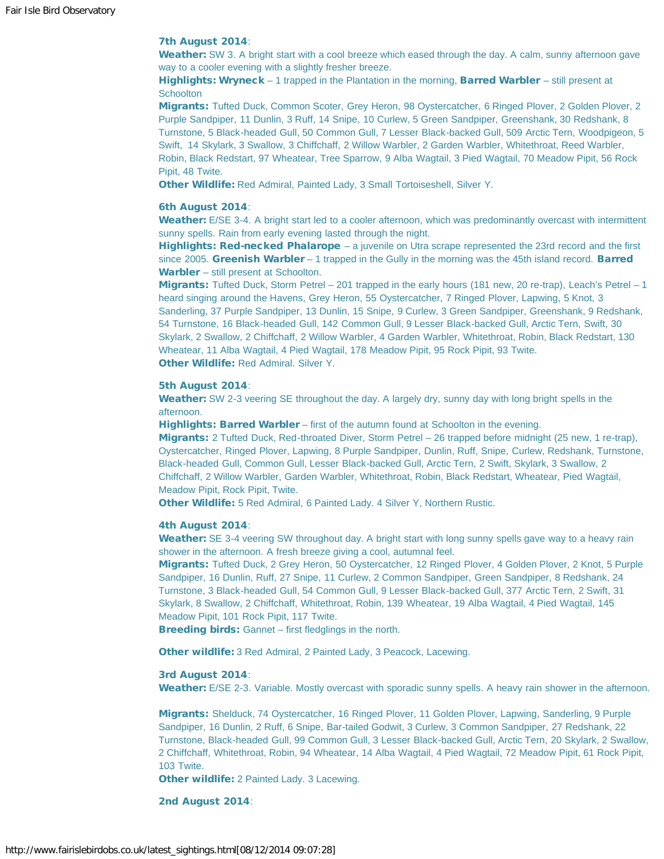# 7th August 2014:

Weather: SW 3. A bright start with a cool breeze which eased through the day. A calm, sunny afternoon gave way to a cooler evening with a slightly fresher breeze.

Highlights: Wryneck - 1 trapped in the Plantation in the morning, Barred Warbler - still present at **Schoolton** 

Migrants: Tufted Duck, Common Scoter, Grey Heron, 98 Oystercatcher, 6 Ringed Plover, 2 Golden Plover, 2 Purple Sandpiper, 11 Dunlin, 3 Ruff, 14 Snipe, 10 Curlew, 5 Green Sandpiper, Greenshank, 30 Redshank, 8 Turnstone, 5 Black-headed Gull, 50 Common Gull, 7 Lesser Black-backed Gull, 509 Arctic Tern, Woodpigeon, 5 Swift, 14 Skylark, 3 Swallow, 3 Chiffchaff, 2 Willow Warbler, 2 Garden Warbler, Whitethroat, Reed Warbler, Robin, Black Redstart, 97 Wheatear, Tree Sparrow, 9 Alba Wagtail, 3 Pied Wagtail, 70 Meadow Pipit, 56 Rock Pipit, 48 Twite.

Other Wildlife: Red Admiral, Painted Lady, 3 Small Tortoiseshell, Silver Y.

#### 6th August 2014:

Weather: E/SE 3-4. A bright start led to a cooler afternoon, which was predominantly overcast with intermittent sunny spells. Rain from early evening lasted through the night.

Highlights: Red-necked Phalarope – a juvenile on Utra scrape represented the 23rd record and the first since 2005. Greenish Warbler – 1 trapped in the Gully in the morning was the 45th island record. Barred Warbler – still present at Schoolton.

Migrants: Tufted Duck, Storm Petrel – 201 trapped in the early hours (181 new, 20 re-trap), Leach's Petrel – 1 heard singing around the Havens, Grey Heron, 55 Oystercatcher, 7 Ringed Plover, Lapwing, 5 Knot, 3 Sanderling, 37 Purple Sandpiper, 13 Dunlin, 15 Snipe, 9 Curlew, 3 Green Sandpiper, Greenshank, 9 Redshank, 54 Turnstone, 16 Black-headed Gull, 142 Common Gull, 9 Lesser Black-backed Gull, Arctic Tern, Swift, 30 Skylark, 2 Swallow, 2 Chiffchaff, 2 Willow Warbler, 4 Garden Warbler, Whitethroat, Robin, Black Redstart, 130 Wheatear, 11 Alba Wagtail, 4 Pied Wagtail, 178 Meadow Pipit, 95 Rock Pipit, 93 Twite. Other Wildlife: Red Admiral. Silver Y.

#### 5th August 2014:

Weather: SW 2-3 veering SE throughout the day. A largely dry, sunny day with long bright spells in the afternoon.

Highlights: Barred Warbler – first of the autumn found at Schoolton in the evening.

Migrants: 2 Tufted Duck, Red-throated Diver, Storm Petrel – 26 trapped before midnight (25 new, 1 re-trap), Oystercatcher, Ringed Plover, Lapwing, 8 Purple Sandpiper, Dunlin, Ruff, Snipe, Curlew, Redshank, Turnstone, Black-headed Gull, Common Gull, Lesser Black-backed Gull, Arctic Tern, 2 Swift, Skylark, 3 Swallow, 2 Chiffchaff, 2 Willow Warbler, Garden Warbler, Whitethroat, Robin, Black Redstart, Wheatear, Pied Wagtail, Meadow Pipit, Rock Pipit, Twite.

Other Wildlife: 5 Red Admiral, 6 Painted Lady. 4 Silver Y, Northern Rustic.

#### 4th August 2014:

Weather: SE 3-4 veering SW throughout day. A bright start with long sunny spells gave way to a heavy rain shower in the afternoon. A fresh breeze giving a cool, autumnal feel.

Migrants: Tufted Duck, 2 Grey Heron, 50 Oystercatcher, 12 Ringed Plover, 4 Golden Plover, 2 Knot, 5 Purple Sandpiper, 16 Dunlin, Ruff, 27 Snipe, 11 Curlew, 2 Common Sandpiper, Green Sandpiper, 8 Redshank, 24 Turnstone, 3 Black-headed Gull, 54 Common Gull, 9 Lesser Black-backed Gull, 377 Arctic Tern, 2 Swift, 31 Skylark, 8 Swallow, 2 Chiffchaff, Whitethroat, Robin, 139 Wheatear, 19 Alba Wagtail, 4 Pied Wagtail, 145 Meadow Pipit, 101 Rock Pipit, 117 Twite.

Breeding birds: Gannet – first fledglings in the north.

Other wildlife: 3 Red Admiral, 2 Painted Lady, 3 Peacock, Lacewing.

#### 3rd August 2014:

Weather: E/SE 2-3. Variable. Mostly overcast with sporadic sunny spells. A heavy rain shower in the afternoon.

Migrants: Shelduck, 74 Oystercatcher, 16 Ringed Plover, 11 Golden Plover, Lapwing, Sanderling, 9 Purple Sandpiper, 16 Dunlin, 2 Ruff, 6 Snipe, Bar-tailed Godwit, 3 Curlew, 3 Common Sandpiper, 27 Redshank, 22 Turnstone, Black-headed Gull, 99 Common Gull, 3 Lesser Black-backed Gull, Arctic Tern, 20 Skylark, 2 Swallow, 2 Chiffchaff, Whitethroat, Robin, 94 Wheatear, 14 Alba Wagtail, 4 Pied Wagtail, 72 Meadow Pipit, 61 Rock Pipit, 103 Twite.

Other wildlife: 2 Painted Lady. 3 Lacewing.

2nd August 2014: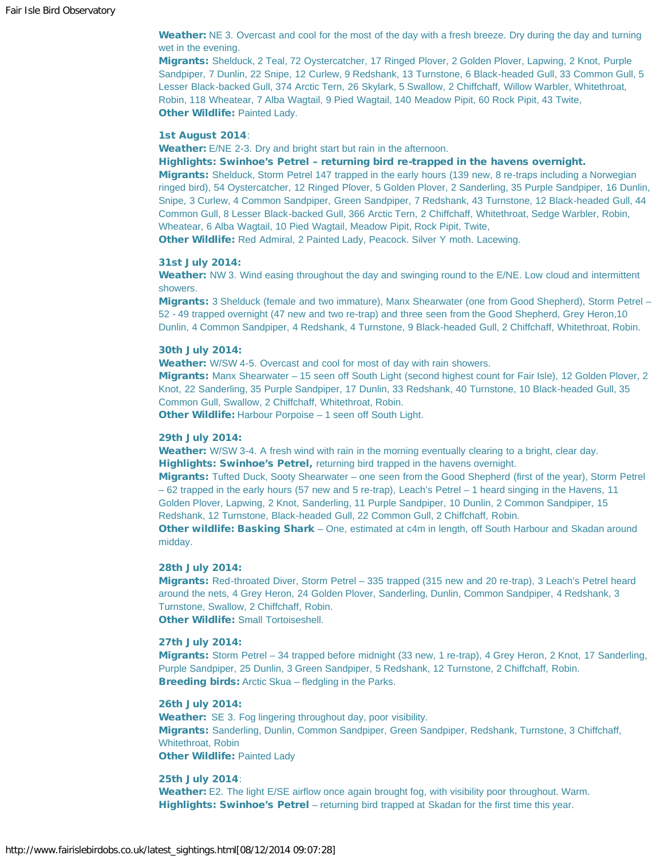Weather: NE 3. Overcast and cool for the most of the day with a fresh breeze. Dry during the day and turning wet in the evening.

Migrants: Shelduck, 2 Teal, 72 Oystercatcher, 17 Ringed Plover, 2 Golden Plover, Lapwing, 2 Knot, Purple Sandpiper, 7 Dunlin, 22 Snipe, 12 Curlew, 9 Redshank, 13 Turnstone, 6 Black-headed Gull, 33 Common Gull, 5 Lesser Black-backed Gull, 374 Arctic Tern, 26 Skylark, 5 Swallow, 2 Chiffchaff, Willow Warbler, Whitethroat, Robin, 118 Wheatear, 7 Alba Wagtail, 9 Pied Wagtail, 140 Meadow Pipit, 60 Rock Pipit, 43 Twite, **Other Wildlife: Painted Lady.** 

#### 1st August 2014:

Weather: E/NE 2-3. Dry and bright start but rain in the afternoon.

Highlights: Swinhoe's Petrel – returning bird re-trapped in the havens overnight.

Migrants: Shelduck, Storm Petrel 147 trapped in the early hours (139 new, 8 re-traps including a Norwegian ringed bird), 54 Oystercatcher, 12 Ringed Plover, 5 Golden Plover, 2 Sanderling, 35 Purple Sandpiper, 16 Dunlin, Snipe, 3 Curlew, 4 Common Sandpiper, Green Sandpiper, 7 Redshank, 43 Turnstone, 12 Black-headed Gull, 44 Common Gull, 8 Lesser Black-backed Gull, 366 Arctic Tern, 2 Chiffchaff, Whitethroat, Sedge Warbler, Robin, Wheatear, 6 Alba Wagtail, 10 Pied Wagtail, Meadow Pipit, Rock Pipit, Twite,

Other Wildlife: Red Admiral, 2 Painted Lady, Peacock. Silver Y moth. Lacewing.

#### 31st July 2014:

Weather: NW 3. Wind easing throughout the day and swinging round to the E/NE. Low cloud and intermittent showers.

Migrants: 3 Shelduck (female and two immature), Manx Shearwater (one from Good Shepherd), Storm Petrel – 52 - 49 trapped overnight (47 new and two re-trap) and three seen from the Good Shepherd, Grey Heron,10 Dunlin, 4 Common Sandpiper, 4 Redshank, 4 Turnstone, 9 Black-headed Gull, 2 Chiffchaff, Whitethroat, Robin.

# 30th July 2014:

Weather: W/SW 4-5. Overcast and cool for most of day with rain showers.

Migrants: Manx Shearwater – 15 seen off South Light (second highest count for Fair Isle), 12 Golden Plover, 2 Knot, 22 Sanderling, 35 Purple Sandpiper, 17 Dunlin, 33 Redshank, 40 Turnstone, 10 Black-headed Gull, 35 Common Gull, Swallow, 2 Chiffchaff, Whitethroat, Robin.

**Other Wildlife:** Harbour Porpoise – 1 seen off South Light.

#### 29th July 2014:

Weather: W/SW 3-4. A fresh wind with rain in the morning eventually clearing to a bright, clear day. Highlights: Swinhoe's Petrel, returning bird trapped in the havens overnight.

Migrants: Tufted Duck, Sooty Shearwater – one seen from the Good Shepherd (first of the year), Storm Petrel – 62 trapped in the early hours (57 new and 5 re-trap), Leach's Petrel – 1 heard singing in the Havens, 11 Golden Plover, Lapwing, 2 Knot, Sanderling, 11 Purple Sandpiper, 10 Dunlin, 2 Common Sandpiper, 15 Redshank, 12 Turnstone, Black-headed Gull, 22 Common Gull, 2 Chiffchaff, Robin.

Other wildlife: Basking Shark – One, estimated at c4m in length, off South Harbour and Skadan around midday.

#### 28th July 2014:

Migrants: Red-throated Diver, Storm Petrel – 335 trapped (315 new and 20 re-trap), 3 Leach's Petrel heard around the nets, 4 Grey Heron, 24 Golden Plover, Sanderling, Dunlin, Common Sandpiper, 4 Redshank, 3 Turnstone, Swallow, 2 Chiffchaff, Robin. **Other Wildlife: Small Tortoiseshell.** 

# 27th July 2014:

Migrants: Storm Petrel – 34 trapped before midnight (33 new, 1 re-trap), 4 Grey Heron, 2 Knot, 17 Sanderling, Purple Sandpiper, 25 Dunlin, 3 Green Sandpiper, 5 Redshank, 12 Turnstone, 2 Chiffchaff, Robin. Breeding birds: Arctic Skua – fledgling in the Parks.

# 26th July 2014:

Weather: SE 3. Fog lingering throughout day, poor visibility. Migrants: Sanderling, Dunlin, Common Sandpiper, Green Sandpiper, Redshank, Turnstone, 3 Chiffchaff, Whitethroat, Robin **Other Wildlife: Painted Lady** 

#### 25th July 2014:

Weather: E2. The light E/SE airflow once again brought fog, with visibility poor throughout. Warm. Highlights: Swinhoe's Petrel – returning bird trapped at Skadan for the first time this year.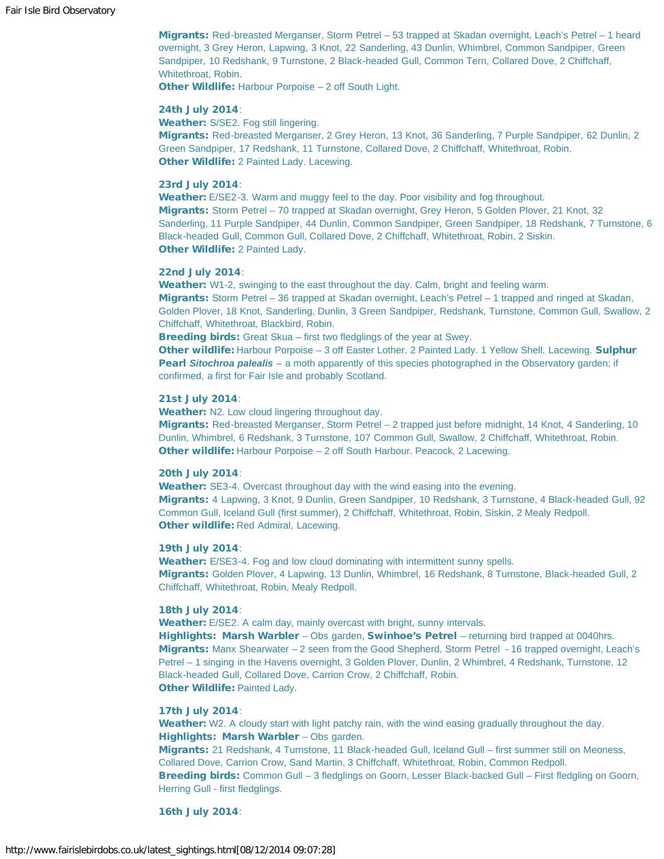Migrants: Red-breasted Merganser, Storm Petrel – 53 trapped at Skadan overnight, Leach's Petrel – 1 heard overnight, 3 Grey Heron, Lapwing, 3 Knot, 22 Sanderling, 43 Dunlin, Whimbrel, Common Sandpiper, Green Sandpiper, 10 Redshank, 9 Turnstone, 2 Black-headed Gull, Common Tern, Collared Dove, 2 Chiffchaff, Whitethroat, Robin.

Other Wildlife: Harbour Porpoise – 2 off South Light.

#### 24th July 2014:

Weather: S/SE2. Fog still lingering.

Migrants: Red-breasted Merganser, 2 Grey Heron, 13 Knot, 36 Sanderling, 7 Purple Sandpiper, 62 Dunlin, 2 Green Sandpiper, 17 Redshank, 11 Turnstone, Collared Dove, 2 Chiffchaff, Whitethroat, Robin. **Other Wildlife: 2 Painted Lady. Lacewing.** 

#### 23rd July 2014:

Weather: E/SE2-3. Warm and muggy feel to the day. Poor visibility and fog throughout. Migrants: Storm Petrel – 70 trapped at Skadan overnight, Grey Heron, 5 Golden Plover, 21 Knot, 32 Sanderling, 11 Purple Sandpiper, 44 Dunlin, Common Sandpiper, Green Sandpiper, 18 Redshank, 7 Turnstone, 6 Black-headed Gull, Common Gull, Collared Dove, 2 Chiffchaff, Whitethroat, Robin, 2 Siskin. Other Wildlife: 2 Painted Lady.

# 22nd July 2014:

Weather: W1-2, swinging to the east throughout the day. Calm, bright and feeling warm.

Migrants: Storm Petrel – 36 trapped at Skadan overnight, Leach's Petrel – 1 trapped and ringed at Skadan, Golden Plover, 18 Knot, Sanderling, Dunlin, 3 Green Sandpiper, Redshank, Turnstone, Common Gull, Swallow, 2 Chiffchaff, Whitethroat, Blackbird, Robin.

**Breeding birds:** Great Skua – first two fledglings of the year at Swey.

Other wildlife: Harbour Porpoise - 3 off Easter Lother. 2 Painted Lady. 1 Yellow Shell. Lacewing. Sulphur Pearl *Sitochroa palealis* – a moth apparently of this species photographed in the Observatory garden; if confirmed, a first for Fair Isle and probably Scotland.

# 21st July 2014:

Weather: N2. Low cloud lingering throughout day.

Migrants: Red-breasted Merganser, Storm Petrel – 2 trapped just before midnight, 14 Knot, 4 Sanderling, 10 Dunlin, Whimbrel, 6 Redshank, 3 Turnstone, 107 Common Gull, Swallow, 2 Chiffchaff, Whitethroat, Robin. Other wildlife: Harbour Porpoise – 2 off South Harbour. Peacock, 2 Lacewing.

#### 20th July 2014:

Weather: SE3-4. Overcast throughout day with the wind easing into the evening. Migrants: 4 Lapwing, 3 Knot, 9 Dunlin, Green Sandpiper, 10 Redshank, 3 Turnstone, 4 Black-headed Gull, 92 Common Gull, Iceland Gull (first summer), 2 Chiffchaff, Whitethroat, Robin, Siskin, 2 Mealy Redpoll. **Other wildlife: Red Admiral, Lacewing.** 

#### 19th July 2014:

Weather: E/SE3-4. Fog and low cloud dominating with intermittent sunny spells. Migrants: Golden Plover, 4 Lapwing, 13 Dunlin, Whimbrel, 16 Redshank, 8 Turnstone, Black-headed Gull, 2 Chiffchaff, Whitethroat, Robin, Mealy Redpoll.

#### 18th July 2014:

Weather: E/SE2. A calm day, mainly overcast with bright, sunny intervals.

Highlights: Marsh Warbler – Obs garden, Swinhoe's Petrel – returning bird trapped at 0040hrs. Migrants: Manx Shearwater – 2 seen from the Good Shepherd, Storm Petrel - 16 trapped overnight, Leach's Petrel – 1 singing in the Havens overnight, 3 Golden Plover, Dunlin, 2 Whimbrel, 4 Redshank, Turnstone, 12 Black-headed Gull, Collared Dove, Carrion Crow, 2 Chiffchaff, Robin. Other Wildlife: Painted Lady.

# 17th July 2014:

Weather: W2. A cloudy start with light patchy rain, with the wind easing gradually throughout the day. Highlights: Marsh Warbler - Obs garden.

Migrants: 21 Redshank, 4 Turnstone, 11 Black-headed Gull, Iceland Gull – first summer still on Meoness, Collared Dove, Carrion Crow, Sand Martin, 3 Chiffchaff, Whitethroat, Robin, Common Redpoll. Breeding birds: Common Gull - 3 fledglings on Goorn, Lesser Black-backed Gull - First fledgling on Goorn, Herring Gull - first fledglings.

#### 16th July 2014: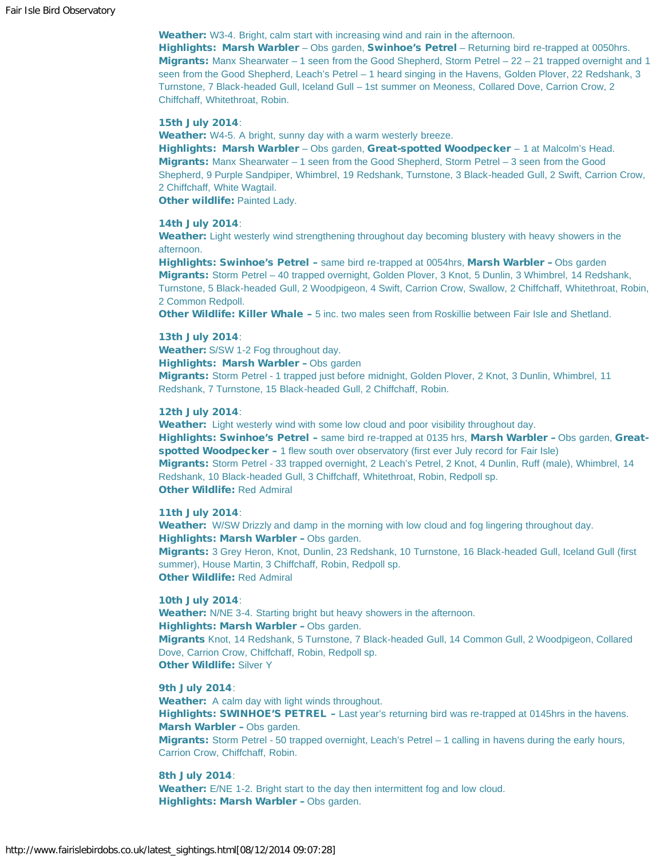Weather: W3-4. Bright, calm start with increasing wind and rain in the afternoon.

Highlights: Marsh Warbler - Obs garden, Swinhoe's Petrel - Returning bird re-trapped at 0050hrs. Migrants: Manx Shearwater – 1 seen from the Good Shepherd, Storm Petrel – 22 – 21 trapped overnight and 1 seen from the Good Shepherd, Leach's Petrel – 1 heard singing in the Havens, Golden Plover, 22 Redshank, 3 Turnstone, 7 Black-headed Gull, Iceland Gull – 1st summer on Meoness, Collared Dove, Carrion Crow, 2 Chiffchaff, Whitethroat, Robin.

#### 15th July 2014:

Weather: W4-5. A bright, sunny day with a warm westerly breeze.

Highlights: Marsh Warbler – Obs garden, Great-spotted Woodpecker – 1 at Malcolm's Head. Migrants: Manx Shearwater – 1 seen from the Good Shepherd, Storm Petrel – 3 seen from the Good Shepherd, 9 Purple Sandpiper, Whimbrel, 19 Redshank, Turnstone, 3 Black-headed Gull, 2 Swift, Carrion Crow, 2 Chiffchaff, White Wagtail.

**Other wildlife: Painted Lady.** 

#### 14th July 2014:

Weather: Light westerly wind strengthening throughout day becoming blustery with heavy showers in the afternoon.

Highlights: Swinhoe's Petrel – same bird re-trapped at 0054hrs, Marsh Warbler – Obs garden Migrants: Storm Petrel – 40 trapped overnight, Golden Plover, 3 Knot, 5 Dunlin, 3 Whimbrel, 14 Redshank, Turnstone, 5 Black-headed Gull, 2 Woodpigeon, 4 Swift, Carrion Crow, Swallow, 2 Chiffchaff, Whitethroat, Robin, 2 Common Redpoll.

Other Wildlife: Killer Whale - 5 inc. two males seen from Roskillie between Fair Isle and Shetland.

#### 13th July 2014:

Weather: S/SW 1-2 Fog throughout day.

Highlights: Marsh Warbler – Obs garden

Migrants: Storm Petrel - 1 trapped just before midnight, Golden Plover, 2 Knot, 3 Dunlin, Whimbrel, 11 Redshank, 7 Turnstone, 15 Black-headed Gull, 2 Chiffchaff, Robin.

# 12th July 2014:

Weather: Light westerly wind with some low cloud and poor visibility throughout day.

Highlights: Swinhoe's Petrel – same bird re-trapped at 0135 hrs, Marsh Warbler – Obs garden, Greatspotted Woodpecker - 1 flew south over observatory (first ever July record for Fair Isle) Migrants: Storm Petrel - 33 trapped overnight, 2 Leach's Petrel, 2 Knot, 4 Dunlin, Ruff (male), Whimbrel, 14 Redshank, 10 Black-headed Gull, 3 Chiffchaff, Whitethroat, Robin, Redpoll sp. Other Wildlife: Red Admiral

11th July 2014:

Weather: W/SW Drizzly and damp in the morning with low cloud and fog lingering throughout day. Highlights: Marsh Warbler – Obs garden. Migrants: 3 Grey Heron, Knot, Dunlin, 23 Redshank, 10 Turnstone, 16 Black-headed Gull, Iceland Gull (first summer), House Martin, 3 Chiffchaff, Robin, Redpoll sp. Other Wildlife: Red Admiral

10th July 2014:

Weather: N/NE 3-4. Starting bright but heavy showers in the afternoon. Highlights: Marsh Warbler – Obs garden.

Migrants Knot, 14 Redshank, 5 Turnstone, 7 Black-headed Gull, 14 Common Gull, 2 Woodpigeon, Collared Dove, Carrion Crow, Chiffchaff, Robin, Redpoll sp. **Other Wildlife: Silver Y** 

#### 9th July 2014:

Weather: A calm day with light winds throughout. Highlights: SWINHOE'S PETREL - Last year's returning bird was re-trapped at 0145hrs in the havens. Marsh Warbler – Obs garden. Migrants: Storm Petrel - 50 trapped overnight, Leach's Petrel - 1 calling in havens during the early hours,

Carrion Crow, Chiffchaff, Robin.

# 8th July 2014:

Weather: E/NE 1-2. Bright start to the day then intermittent fog and low cloud. Highlights: Marsh Warbler – Obs garden.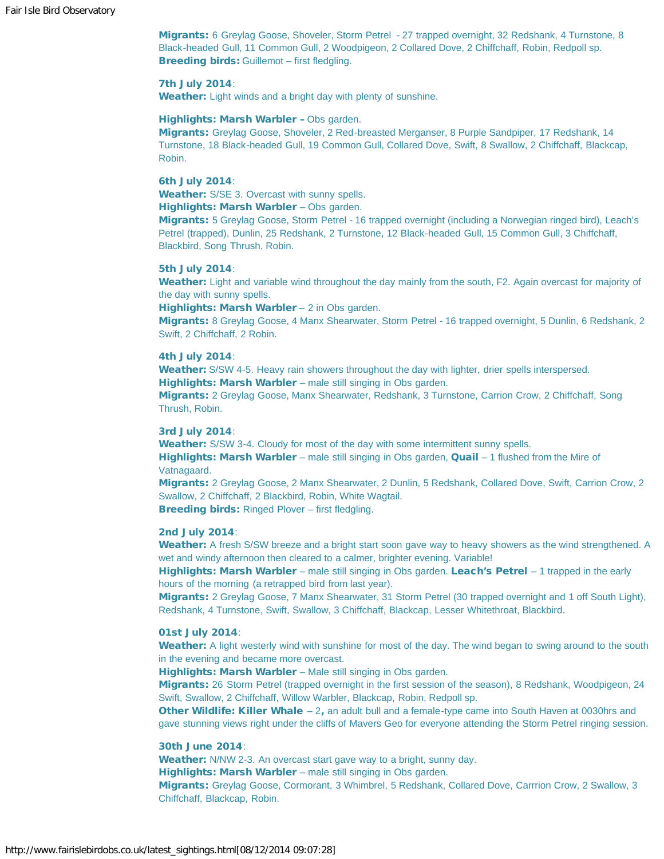Migrants: 6 Greylag Goose, Shoveler, Storm Petrel - 27 trapped overnight, 32 Redshank, 4 Turnstone, 8 Black-headed Gull, 11 Common Gull, 2 Woodpigeon, 2 Collared Dove, 2 Chiffchaff, Robin, Redpoll sp. Breeding birds: Guillemot - first fledgling.

#### 7th July 2014:

Weather: Light winds and a bright day with plenty of sunshine.

#### Highlights: Marsh Warbler – Obs garden.

Migrants: Greylag Goose, Shoveler, 2 Red-breasted Merganser, 8 Purple Sandpiper, 17 Redshank, 14 Turnstone, 18 Black-headed Gull, 19 Common Gull, Collared Dove, Swift, 8 Swallow, 2 Chiffchaff, Blackcap, Robin.

# 6th July 2014:

Weather: S/SE 3. Overcast with sunny spells.

Highlights: Marsh Warbler - Obs garden.

Migrants: 5 Greylag Goose, Storm Petrel - 16 trapped overnight (including a Norwegian ringed bird), Leach's Petrel (trapped), Dunlin, 25 Redshank, 2 Turnstone, 12 Black-headed Gull, 15 Common Gull, 3 Chiffchaff, Blackbird, Song Thrush, Robin.

## 5th July 2014:

Weather: Light and variable wind throughout the day mainly from the south, F2. Again overcast for majority of the day with sunny spells.

Highlights: Marsh Warbler – 2 in Obs garden.

Migrants: 8 Greylag Goose, 4 Manx Shearwater, Storm Petrel - 16 trapped overnight, 5 Dunlin, 6 Redshank, 2 Swift, 2 Chiffchaff, 2 Robin.

# 4th July 2014:

Weather: S/SW 4-5. Heavy rain showers throughout the day with lighter, drier spells interspersed. Highlights: Marsh Warbler – male still singing in Obs garden.

Migrants: 2 Greylag Goose, Manx Shearwater, Redshank, 3 Turnstone, Carrion Crow, 2 Chiffchaff, Song Thrush, Robin.

#### 3rd July 2014:

Weather: S/SW 3-4. Cloudy for most of the day with some intermittent sunny spells.

Highlights: Marsh Warbler – male still singing in Obs garden, Quail – 1 flushed from the Mire of Vatnagaard.

Migrants: 2 Greylag Goose, 2 Manx Shearwater, 2 Dunlin, 5 Redshank, Collared Dove, Swift, Carrion Crow, 2 Swallow, 2 Chiffchaff, 2 Blackbird, Robin, White Wagtail.

Breeding birds: Ringed Plover – first fledgling.

#### 2nd July 2014:

Weather: A fresh S/SW breeze and a bright start soon gave way to heavy showers as the wind strengthened. A wet and windy afternoon then cleared to a calmer, brighter evening. Variable!

Highlights: Marsh Warbler – male still singing in Obs garden. Leach's Petrel – 1 trapped in the early hours of the morning (a retrapped bird from last year).

Migrants: 2 Greylag Goose, 7 Manx Shearwater, 31 Storm Petrel (30 trapped overnight and 1 off South Light), Redshank, 4 Turnstone, Swift, Swallow, 3 Chiffchaff, Blackcap, Lesser Whitethroat, Blackbird.

# 01st July 2014:

Weather: A light westerly wind with sunshine for most of the day. The wind began to swing around to the south in the evening and became more overcast.

Highlights: Marsh Warbler – Male still singing in Obs garden.

Migrants: 26 Storm Petrel (trapped overnight in the first session of the season), 8 Redshank, Woodpigeon, 24 Swift, Swallow, 2 Chiffchaff, Willow Warbler, Blackcap, Robin, Redpoll sp.

Other Wildlife: Killer Whale - 2, an adult bull and a female-type came into South Haven at 0030hrs and gave stunning views right under the cliffs of Mavers Geo for everyone attending the Storm Petrel ringing session.

#### 30th June 2014:

Weather: N/NW 2-3. An overcast start gave way to a bright, sunny day.

Highlights: Marsh Warbler – male still singing in Obs garden.

Migrants: Greylag Goose, Cormorant, 3 Whimbrel, 5 Redshank, Collared Dove, Carrrion Crow, 2 Swallow, 3 Chiffchaff, Blackcap, Robin.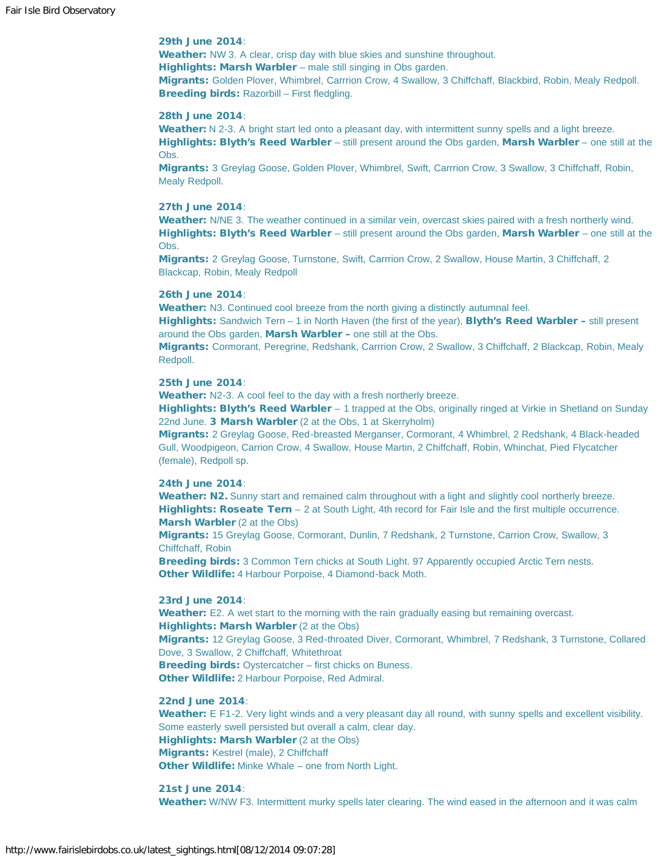# 29th June 2014:

Weather: NW 3. A clear, crisp day with blue skies and sunshine throughout. Highlights: Marsh Warbler – male still singing in Obs garden. Migrants: Golden Plover, Whimbrel, Carrrion Crow, 4 Swallow, 3 Chiffchaff, Blackbird, Robin, Mealy Redpoll. Breeding birds: Razorbill - First fledgling.

#### 28th June 2014:

Weather: N 2-3. A bright start led onto a pleasant day, with intermittent sunny spells and a light breeze. Highlights: Blyth's Reed Warbler – still present around the Obs garden, Marsh Warbler – one still at the Obs.

Migrants: 3 Greylag Goose, Golden Plover, Whimbrel, Swift, Carrrion Crow, 3 Swallow, 3 Chiffchaff, Robin, Mealy Redpoll.

#### 27th June 2014:

Weather: N/NE 3. The weather continued in a similar vein, overcast skies paired with a fresh northerly wind. Highlights: Blyth's Reed Warbler – still present around the Obs garden, Marsh Warbler – one still at the Obs.

Migrants: 2 Greylag Goose, Turnstone, Swift, Carrrion Crow, 2 Swallow, House Martin, 3 Chiffchaff, 2 Blackcap, Robin, Mealy Redpoll

#### 26th June 2014:

Weather: N3. Continued cool breeze from the north giving a distinctly autumnal feel.

Highlights: Sandwich Tern - 1 in North Haven (the first of the year), Blyth's Reed Warbler - still present around the Obs garden, Marsh Warbler - one still at the Obs.

Migrants: Cormorant, Peregrine, Redshank, Carrrion Crow, 2 Swallow, 3 Chiffchaff, 2 Blackcap, Robin, Mealy Redpoll.

## 25th June 2014:

Weather: N2-3. A cool feel to the day with a fresh northerly breeze.

Highlights: Blyth's Reed Warbler – 1 trapped at the Obs, originally ringed at Virkie in Shetland on Sunday 22nd June. 3 Marsh Warbler (2 at the Obs, 1 at Skerryholm)

Migrants: 2 Greylag Goose, Red-breasted Merganser, Cormorant, 4 Whimbrel, 2 Redshank, 4 Black-headed Gull, Woodpigeon, Carrion Crow, 4 Swallow, House Martin, 2 Chiffchaff, Robin, Whinchat, Pied Flycatcher (female), Redpoll sp.

#### 24th June 2014:

Weather: N2. Sunny start and remained calm throughout with a light and slightly cool northerly breeze. Highlights: Roseate Tern – 2 at South Light, 4th record for Fair Isle and the first multiple occurrence. Marsh Warbler (2 at the Obs)

Migrants: 15 Greylag Goose, Cormorant, Dunlin, 7 Redshank, 2 Turnstone, Carrion Crow, Swallow, 3 Chiffchaff, Robin

**Breeding birds:** 3 Common Tern chicks at South Light. 97 Apparently occupied Arctic Tern nests. Other Wildlife: 4 Harbour Porpoise, 4 Diamond-back Moth.

#### 23rd June 2014:

Weather: E2. A wet start to the morning with the rain gradually easing but remaining overcast. Highlights: Marsh Warbler (2 at the Obs)

Migrants: 12 Greylag Goose, 3 Red-throated Diver, Cormorant, Whimbrel, 7 Redshank, 3 Turnstone, Collared Dove, 3 Swallow, 2 Chiffchaff, Whitethroat

Breeding birds: Oystercatcher – first chicks on Buness. Other Wildlife: 2 Harbour Porpoise, Red Admiral.

#### 22nd June 2014:

Weather: E F1-2. Very light winds and a very pleasant day all round, with sunny spells and excellent visibility. Some easterly swell persisted but overall a calm, clear day. Highlights: Marsh Warbler (2 at the Obs) Migrants: Kestrel (male), 2 Chiffchaff Other Wildlife: Minke Whale – one from North Light.

#### 21st June 2014:

Weather: W/NW F3. Intermittent murky spells later clearing. The wind eased in the afternoon and it was calm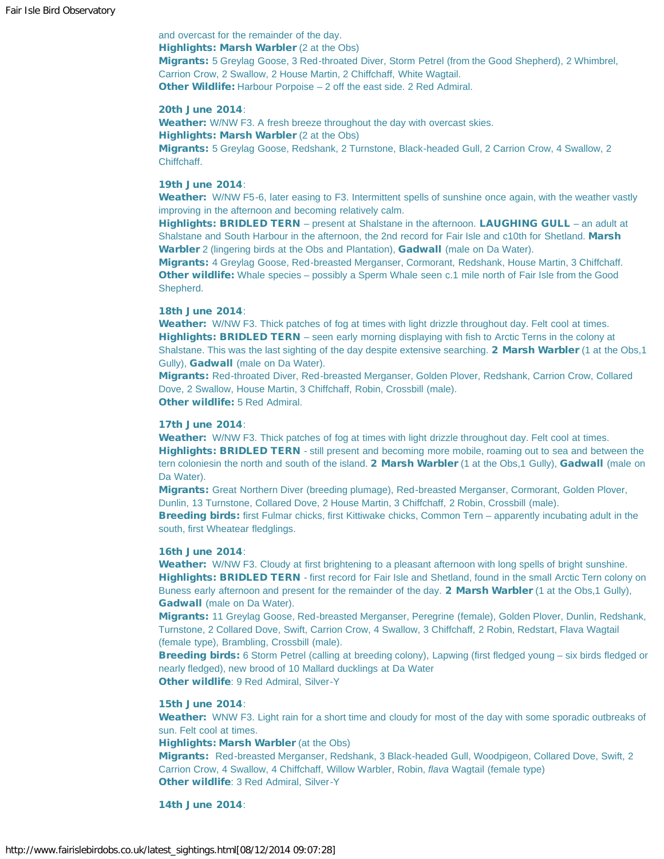and overcast for the remainder of the day. Highlights: Marsh Warbler (2 at the Obs) Migrants: 5 Greylag Goose, 3 Red-throated Diver, Storm Petrel (from the Good Shepherd), 2 Whimbrel, Carrion Crow, 2 Swallow, 2 House Martin, 2 Chiffchaff, White Wagtail. Other Wildlife: Harbour Porpoise – 2 off the east side. 2 Red Admiral.

#### 20th June 2014:

Weather: W/NW F3. A fresh breeze throughout the day with overcast skies. Highlights: Marsh Warbler (2 at the Obs)

Migrants: 5 Greylag Goose, Redshank, 2 Turnstone, Black-headed Gull, 2 Carrion Crow, 4 Swallow, 2 Chiffchaff.

# 19th June 2014:

Weather: W/NW F5-6, later easing to F3. Intermittent spells of sunshine once again, with the weather vastly improving in the afternoon and becoming relatively calm.

Highlights: BRIDLED TERN – present at Shalstane in the afternoon. LAUGHING GULL – an adult at Shalstane and South Harbour in the afternoon, the 2nd record for Fair Isle and c10th for Shetland. Marsh Warbler 2 (lingering birds at the Obs and Plantation), Gadwall (male on Da Water).

Migrants: 4 Greylag Goose, Red-breasted Merganser, Cormorant, Redshank, House Martin, 3 Chiffchaff. Other wildlife: Whale species – possibly a Sperm Whale seen c.1 mile north of Fair Isle from the Good Shepherd.

#### 18th June 2014:

Weather: W/NW F3. Thick patches of fog at times with light drizzle throughout day. Felt cool at times. Highlights: BRIDLED TERN – seen early morning displaying with fish to Arctic Terns in the colony at Shalstane. This was the last sighting of the day despite extensive searching. 2 Marsh Warbler (1 at the Obs,1 Gully), Gadwall (male on Da Water).

Migrants: Red-throated Diver, Red-breasted Merganser, Golden Plover, Redshank, Carrion Crow, Collared Dove, 2 Swallow, House Martin, 3 Chiffchaff, Robin, Crossbill (male). Other wildlife: 5 Red Admiral.

#### 17th June 2014:

Weather: W/NW F3. Thick patches of fog at times with light drizzle throughout day. Felt cool at times. Highlights: BRIDLED TERN - still present and becoming more mobile, roaming out to sea and between the tern coloniesin the north and south of the island. 2 Marsh Warbler (1 at the Obs,1 Gully), Gadwall (male on Da Water).

Migrants: Great Northern Diver (breeding plumage), Red-breasted Merganser, Cormorant, Golden Plover, Dunlin, 13 Turnstone, Collared Dove, 2 House Martin, 3 Chiffchaff, 2 Robin, Crossbill (male).

Breeding birds: first Fulmar chicks, first Kittiwake chicks, Common Tern – apparently incubating adult in the south, first Wheatear fledglings.

#### 16th June 2014:

Weather: W/NW F3. Cloudy at first brightening to a pleasant afternoon with long spells of bright sunshine. Highlights: BRIDLED TERN - first record for Fair Isle and Shetland, found in the small Arctic Tern colony on Buness early afternoon and present for the remainder of the day. 2 Marsh Warbler (1 at the Obs,1 Gully), Gadwall (male on Da Water).

Migrants: 11 Greylag Goose, Red-breasted Merganser, Peregrine (female), Golden Plover, Dunlin, Redshank, Turnstone, 2 Collared Dove, Swift, Carrion Crow, 4 Swallow, 3 Chiffchaff, 2 Robin, Redstart, Flava Wagtail (female type), Brambling, Crossbill (male).

Breeding birds: 6 Storm Petrel (calling at breeding colony), Lapwing (first fledged young – six birds fledged or nearly fledged), new brood of 10 Mallard ducklings at Da Water Other wildlife: 9 Red Admiral, Silver-Y

#### 15th June 2014:

Weather: WNW F3. Light rain for a short time and cloudy for most of the day with some sporadic outbreaks of sun. Felt cool at times.

Highlights: Marsh Warbler (at the Obs)

Migrants: Red-breasted Merganser, Redshank, 3 Black-headed Gull, Woodpigeon, Collared Dove, Swift, 2 Carrion Crow, 4 Swallow, 4 Chiffchaff, Willow Warbler, Robin, *flava* Wagtail (female type) Other wildlife: 3 Red Admiral, Silver-Y

14th June 2014: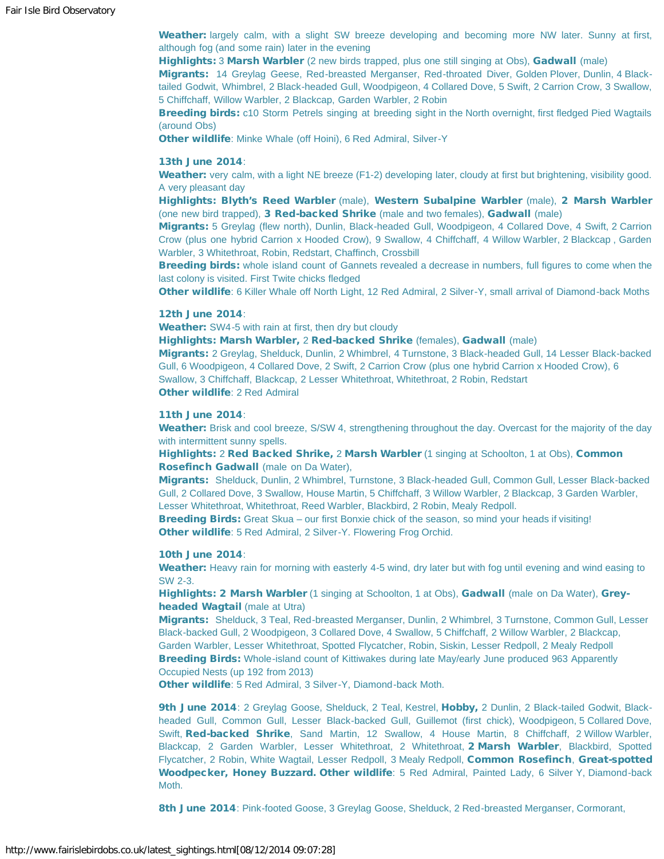Weather: largely calm, with a slight SW breeze developing and becoming more NW later. Sunny at first, although fog (and some rain) later in the evening

Highlights: 3 Marsh Warbler (2 new birds trapped, plus one still singing at Obs), Gadwall (male)

Migrants: 14 Greylag Geese, Red-breasted Merganser, Red-throated Diver, Golden Plover, Dunlin, 4 Blacktailed Godwit, Whimbrel, 2 Black-headed Gull, Woodpigeon, 4 Collared Dove, 5 Swift, 2 Carrion Crow, 3 Swallow, 5 Chiffchaff, Willow Warbler, 2 Blackcap, Garden Warbler, 2 Robin

Breeding birds: c10 Storm Petrels singing at breeding sight in the North overnight, first fledged Pied Wagtails (around Obs)

Other wildlife: Minke Whale (off Hoini), 6 Red Admiral, Silver-Y

#### 13th June 2014:

Weather: very calm, with a light NE breeze (F1-2) developing later, cloudy at first but brightening, visibility good. A very pleasant day

Highlights: Blyth's Reed Warbler (male), Western Subalpine Warbler (male), 2 Marsh Warbler (one new bird trapped), 3 Red-backed Shrike (male and two females), Gadwall (male)

Migrants: 5 Greylag (flew north), Dunlin, Black-headed Gull, Woodpigeon, 4 Collared Dove, 4 Swift, 2 Carrion Crow (plus one hybrid Carrion x Hooded Crow), 9 Swallow, 4 Chiffchaff, 4 Willow Warbler, 2 Blackcap , Garden Warbler, 3 Whitethroat, Robin, Redstart, Chaffinch, Crossbill

**Breeding birds:** whole island count of Gannets revealed a decrease in numbers, full figures to come when the last colony is visited. First Twite chicks fledged

Other wildlife: 6 Killer Whale off North Light, 12 Red Admiral, 2 Silver-Y, small arrival of Diamond-back Moths

#### 12th June 2014:

Weather: SW4-5 with rain at first, then dry but cloudy

Highlights: Marsh Warbler, 2 Red-backed Shrike (females), Gadwall (male)

Migrants: 2 Greylag, Shelduck, Dunlin, 2 Whimbrel, 4 Turnstone, 3 Black-headed Gull, 14 Lesser Black-backed Gull, 6 Woodpigeon, 4 Collared Dove, 2 Swift, 2 Carrion Crow (plus one hybrid Carrion x Hooded Crow), 6 Swallow, 3 Chiffchaff, Blackcap, 2 Lesser Whitethroat, Whitethroat, 2 Robin, Redstart Other wildlife: 2 Red Admiral

#### 11th June 2014:

Weather: Brisk and cool breeze, S/SW 4, strengthening throughout the day. Overcast for the majority of the day with intermittent sunny spells.

Highlights: 2 Red Backed Shrike, 2 Marsh Warbler (1 singing at Schoolton, 1 at Obs), Common Rosefinch Gadwall (male on Da Water),

Migrants: Shelduck, Dunlin, 2 Whimbrel, Turnstone, 3 Black-headed Gull, Common Gull, Lesser Black-backed Gull, 2 Collared Dove, 3 Swallow, House Martin, 5 Chiffchaff, 3 Willow Warbler, 2 Blackcap, 3 Garden Warbler, Lesser Whitethroat, Whitethroat, Reed Warbler, Blackbird, 2 Robin, Mealy Redpoll.

Breeding Birds: Great Skua – our first Bonxie chick of the season, so mind your heads if visiting! Other wildlife: 5 Red Admiral, 2 Silver-Y. Flowering Frog Orchid.

#### 10th June 2014:

Weather: Heavy rain for morning with easterly 4-5 wind, dry later but with fog until evening and wind easing to SW 2-3.

Highlights: 2 Marsh Warbler (1 singing at Schoolton, 1 at Obs), Gadwall (male on Da Water), Greyheaded Wagtail (male at Utra)

Migrants: Shelduck, 3 Teal, Red-breasted Merganser, Dunlin, 2 Whimbrel, 3 Turnstone, Common Gull, Lesser Black-backed Gull, 2 Woodpigeon, 3 Collared Dove, 4 Swallow, 5 Chiffchaff, 2 Willow Warbler, 2 Blackcap, Garden Warbler, Lesser Whitethroat, Spotted Flycatcher, Robin, Siskin, Lesser Redpoll, 2 Mealy Redpoll **Breeding Birds:** Whole-island count of Kittiwakes during late May/early June produced 963 Apparently Occupied Nests (up 192 from 2013)

Other wildlife: 5 Red Admiral, 3 Silver-Y, Diamond-back Moth.

9th June 2014: 2 Greylag Goose, Shelduck, 2 Teal, Kestrel, Hobby, 2 Dunlin, 2 Black-tailed Godwit, Blackheaded Gull, Common Gull, Lesser Black-backed Gull, Guillemot (first chick), Woodpigeon, 5 Collared Dove, Swift, Red-backed Shrike, Sand Martin, 12 Swallow, 4 House Martin, 8 Chiffchaff, 2 Willow Warbler, Blackcap, 2 Garden Warbler, Lesser Whitethroat, 2 Whitethroat, 2 Marsh Warbler, Blackbird, Spotted Flycatcher, 2 Robin, White Wagtail, Lesser Redpoll, 3 Mealy Redpoll, Common Rosefinch, Great-spotted Woodpecker, Honey Buzzard. Other wildlife: 5 Red Admiral, Painted Lady, 6 Silver Y, Diamond-back Moth.

8th June 2014: Pink-footed Goose, 3 Greylag Goose, Shelduck, 2 Red-breasted Merganser, Cormorant,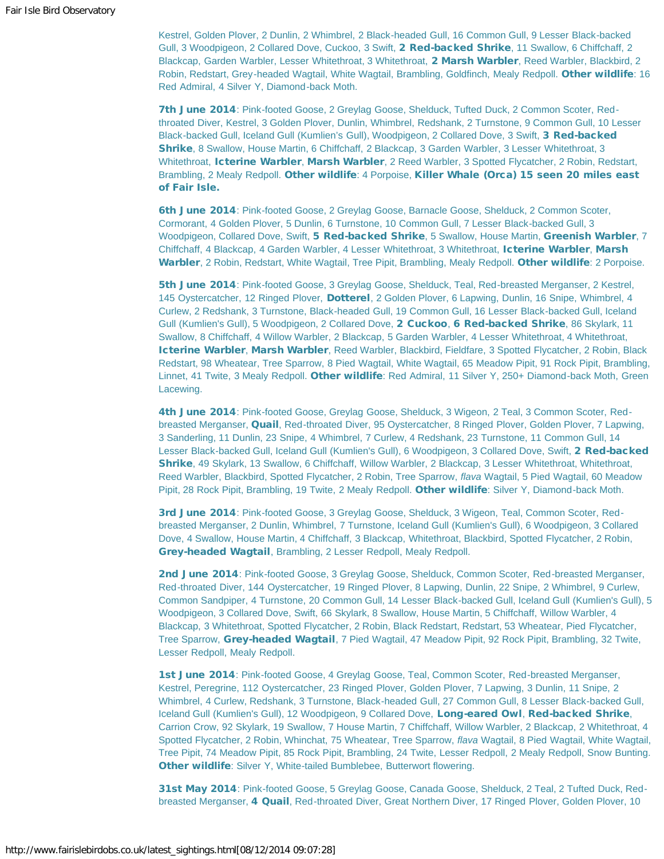Kestrel, Golden Plover, 2 Dunlin, 2 Whimbrel, 2 Black-headed Gull, 16 Common Gull, 9 Lesser Black-backed Gull, 3 Woodpigeon, 2 Collared Dove, Cuckoo, 3 Swift, 2 Red-backed Shrike, 11 Swallow, 6 Chiffchaff, 2 Blackcap, Garden Warbler, Lesser Whitethroat, 3 Whitethroat, 2 Marsh Warbler, Reed Warbler, Blackbird, 2 Robin, Redstart, Grey-headed Wagtail, White Wagtail, Brambling, Goldfinch, Mealy Redpoll. Other wildlife: 16 Red Admiral, 4 Silver Y, Diamond-back Moth.

7th June 2014: Pink-footed Goose, 2 Greylag Goose, Shelduck, Tufted Duck, 2 Common Scoter, Redthroated Diver, Kestrel, 3 Golden Plover, Dunlin, Whimbrel, Redshank, 2 Turnstone, 9 Common Gull, 10 Lesser Black-backed Gull, Iceland Gull (Kumlien's Gull), Woodpigeon, 2 Collared Dove, 3 Swift, 3 Red-backed Shrike, 8 Swallow, House Martin, 6 Chiffchaff, 2 Blackcap, 3 Garden Warbler, 3 Lesser Whitethroat, 3 Whitethroat, Icterine Warbler, Marsh Warbler, 2 Reed Warbler, 3 Spotted Flycatcher, 2 Robin, Redstart, Brambling, 2 Mealy Redpoll. Other wildlife: 4 Porpoise, Killer Whale (Orca) 15 seen 20 miles east of Fair Isle.

6th June 2014: Pink-footed Goose, 2 Greylag Goose, Barnacle Goose, Shelduck, 2 Common Scoter, Cormorant, 4 Golden Plover, 5 Dunlin, 6 Turnstone, 10 Common Gull, 7 Lesser Black-backed Gull, 3 Woodpigeon, Collared Dove, Swift, 5 Red-backed Shrike, 5 Swallow, House Martin, Greenish Warbler, 7 Chiffchaff, 4 Blackcap, 4 Garden Warbler, 4 Lesser Whitethroat, 3 Whitethroat, Icterine Warbler, Marsh Warbler, 2 Robin, Redstart, White Wagtail, Tree Pipit, Brambling, Mealy Redpoll. Other wildlife: 2 Porpoise.

5th June 2014: Pink-footed Goose, 3 Greylag Goose, Shelduck, Teal, Red-breasted Merganser, 2 Kestrel, 145 Oystercatcher, 12 Ringed Plover, Dotterel, 2 Golden Plover, 6 Lapwing, Dunlin, 16 Snipe, Whimbrel, 4 Curlew, 2 Redshank, 3 Turnstone, Black-headed Gull, 19 Common Gull, 16 Lesser Black-backed Gull, Iceland Gull (Kumlien's Gull), 5 Woodpigeon, 2 Collared Dove, 2 Cuckoo, 6 Red-backed Shrike, 86 Skylark, 11 Swallow, 8 Chiffchaff, 4 Willow Warbler, 2 Blackcap, 5 Garden Warbler, 4 Lesser Whitethroat, 4 Whitethroat, Icterine Warbler, Marsh Warbler, Reed Warbler, Blackbird, Fieldfare, 3 Spotted Flycatcher, 2 Robin, Black Redstart, 98 Wheatear, Tree Sparrow, 8 Pied Wagtail, White Wagtail, 65 Meadow Pipit, 91 Rock Pipit, Brambling, Linnet, 41 Twite, 3 Mealy Redpoll. Other wildlife: Red Admiral, 11 Silver Y, 250+ Diamond-back Moth, Green Lacewing.

4th June 2014: Pink-footed Goose, Greylag Goose, Shelduck, 3 Wigeon, 2 Teal, 3 Common Scoter, Redbreasted Merganser, Quail, Red-throated Diver, 95 Oystercatcher, 8 Ringed Plover, Golden Plover, 7 Lapwing, 3 Sanderling, 11 Dunlin, 23 Snipe, 4 Whimbrel, 7 Curlew, 4 Redshank, 23 Turnstone, 11 Common Gull, 14 Lesser Black-backed Gull, Iceland Gull (Kumlien's Gull), 6 Woodpigeon, 3 Collared Dove, Swift, 2 Red-backed Shrike, 49 Skylark, 13 Swallow, 6 Chiffchaff, Willow Warbler, 2 Blackcap, 3 Lesser Whitethroat, Whitethroat, Reed Warbler, Blackbird, Spotted Flycatcher, 2 Robin, Tree Sparrow, *flava* Wagtail, 5 Pied Wagtail, 60 Meadow Pipit, 28 Rock Pipit, Brambling, 19 Twite, 2 Mealy Redpoll. Other wildlife: Silver Y, Diamond-back Moth.

3rd June 2014: Pink-footed Goose, 3 Greylag Goose, Shelduck, 3 Wigeon, Teal, Common Scoter, Redbreasted Merganser, 2 Dunlin, Whimbrel, 7 Turnstone, Iceland Gull (Kumlien's Gull), 6 Woodpigeon, 3 Collared Dove, 4 Swallow, House Martin, 4 Chiffchaff, 3 Blackcap, Whitethroat, Blackbird, Spotted Flycatcher, 2 Robin, Grey-headed Wagtail, Brambling, 2 Lesser Redpoll, Mealy Redpoll.

2nd June 2014: Pink-footed Goose, 3 Greylag Goose, Shelduck, Common Scoter, Red-breasted Merganser, Red-throated Diver, 144 Oystercatcher, 19 Ringed Plover, 8 Lapwing, Dunlin, 22 Snipe, 2 Whimbrel, 9 Curlew, Common Sandpiper, 4 Turnstone, 20 Common Gull, 14 Lesser Black-backed Gull, Iceland Gull (Kumlien's Gull), 5 Woodpigeon, 3 Collared Dove, Swift, 66 Skylark, 8 Swallow, House Martin, 5 Chiffchaff, Willow Warbler, 4 Blackcap, 3 Whitethroat, Spotted Flycatcher, 2 Robin, Black Redstart, Redstart, 53 Wheatear, Pied Flycatcher, Tree Sparrow, Grey-headed Wagtail, 7 Pied Wagtail, 47 Meadow Pipit, 92 Rock Pipit, Brambling, 32 Twite, Lesser Redpoll, Mealy Redpoll.

1st June 2014: Pink-footed Goose, 4 Greylag Goose, Teal, Common Scoter, Red-breasted Merganser, Kestrel, Peregrine, 112 Oystercatcher, 23 Ringed Plover, Golden Plover, 7 Lapwing, 3 Dunlin, 11 Snipe, 2 Whimbrel, 4 Curlew, Redshank, 3 Turnstone, Black-headed Gull, 27 Common Gull, 8 Lesser Black-backed Gull, Iceland Gull (Kumlien's Gull), 12 Woodpigeon, 9 Collared Dove, Long-eared Owl, Red-backed Shrike, Carrion Crow, 92 Skylark, 19 Swallow, 7 House Martin, 7 Chiffchaff, Willow Warbler, 2 Blackcap, 2 Whitethroat, 4 Spotted Flycatcher, 2 Robin, Whinchat, 75 Wheatear, Tree Sparrow, *flava* Wagtail, 8 Pied Wagtail, White Wagtail, Tree Pipit, 74 Meadow Pipit, 85 Rock Pipit, Brambling, 24 Twite, Lesser Redpoll, 2 Mealy Redpoll, Snow Bunting. **Other wildlife:** Silver Y, White-tailed Bumblebee, Butterwort flowering.

31st May 2014: Pink-footed Goose, 5 Greylag Goose, Canada Goose, Shelduck, 2 Teal, 2 Tufted Duck, Redbreasted Merganser, 4 Quail, Red-throated Diver, Great Northern Diver, 17 Ringed Plover, Golden Plover, 10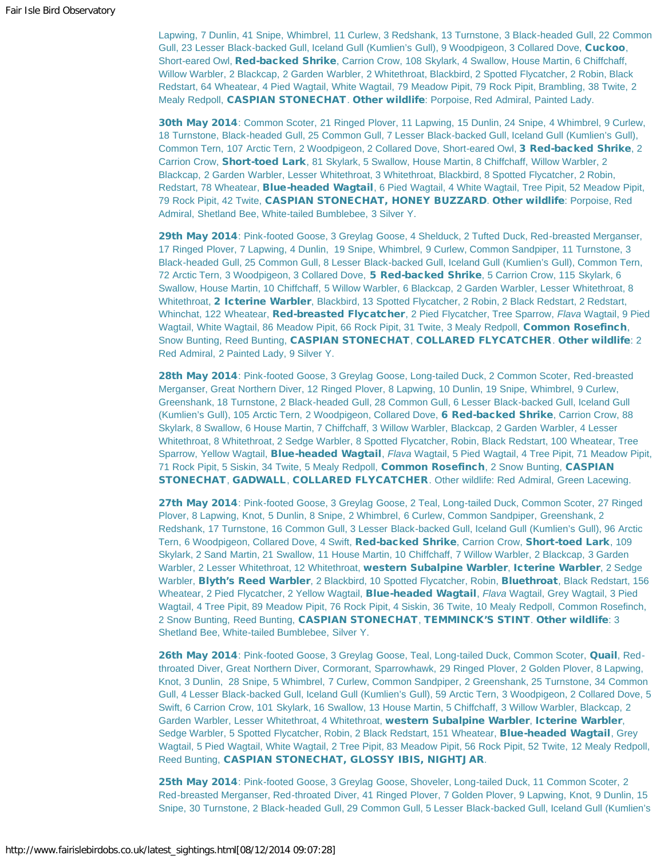Lapwing, 7 Dunlin, 41 Snipe, Whimbrel, 11 Curlew, 3 Redshank, 13 Turnstone, 3 Black-headed Gull, 22 Common Gull, 23 Lesser Black-backed Gull, Iceland Gull (Kumlien's Gull), 9 Woodpigeon, 3 Collared Dove, Cuckoo, Short-eared Owl, Red-backed Shrike, Carrion Crow, 108 Skylark, 4 Swallow, House Martin, 6 Chiffchaff, Willow Warbler, 2 Blackcap, 2 Garden Warbler, 2 Whitethroat, Blackbird, 2 Spotted Flycatcher, 2 Robin, Black Redstart, 64 Wheatear, 4 Pied Wagtail, White Wagtail, 79 Meadow Pipit, 79 Rock Pipit, Brambling, 38 Twite, 2 Mealy Redpoll, CASPIAN STONECHAT. Other wildlife: Porpoise, Red Admiral, Painted Lady.

30th May 2014: Common Scoter, 21 Ringed Plover, 11 Lapwing, 15 Dunlin, 24 Snipe, 4 Whimbrel, 9 Curlew, 18 Turnstone, Black-headed Gull, 25 Common Gull, 7 Lesser Black-backed Gull, Iceland Gull (Kumlien's Gull), Common Tern, 107 Arctic Tern, 2 Woodpigeon, 2 Collared Dove, Short-eared Owl, 3 Red-backed Shrike, 2 Carrion Crow, Short-toed Lark, 81 Skylark, 5 Swallow, House Martin, 8 Chiffchaff, Willow Warbler, 2 Blackcap, 2 Garden Warbler, Lesser Whitethroat, 3 Whitethroat, Blackbird, 8 Spotted Flycatcher, 2 Robin, Redstart, 78 Wheatear, **Blue-headed Wagtail**, 6 Pied Wagtail, 4 White Wagtail, Tree Pipit, 52 Meadow Pipit, 79 Rock Pipit, 42 Twite, CASPIAN STONECHAT, HONEY BUZZARD. Other wildlife: Porpoise, Red Admiral, Shetland Bee, White-tailed Bumblebee, 3 Silver Y.

29th May 2014: Pink-footed Goose, 3 Greylag Goose, 4 Shelduck, 2 Tufted Duck, Red-breasted Merganser, 17 Ringed Plover, 7 Lapwing, 4 Dunlin, 19 Snipe, Whimbrel, 9 Curlew, Common Sandpiper, 11 Turnstone, 3 Black-headed Gull, 25 Common Gull, 8 Lesser Black-backed Gull, Iceland Gull (Kumlien's Gull), Common Tern, 72 Arctic Tern, 3 Woodpigeon, 3 Collared Dove, 5 Red-backed Shrike, 5 Carrion Crow, 115 Skylark, 6 Swallow, House Martin, 10 Chiffchaff, 5 Willow Warbler, 6 Blackcap, 2 Garden Warbler, Lesser Whitethroat, 8 Whitethroat, 2 Icterine Warbler, Blackbird, 13 Spotted Flycatcher, 2 Robin, 2 Black Redstart, 2 Redstart, Whinchat, 122 Wheatear, Red-breasted Flycatcher, 2 Pied Flycatcher, Tree Sparrow, *Flava* Wagtail, 9 Pied Wagtail, White Wagtail, 86 Meadow Pipit, 66 Rock Pipit, 31 Twite, 3 Mealy Redpoll, Common Rosefinch, Snow Bunting, Reed Bunting, CASPIAN STONECHAT, COLLARED FLYCATCHER. Other wildlife: 2 Red Admiral, 2 Painted Lady, 9 Silver Y.

28th May 2014: Pink-footed Goose, 3 Greylag Goose, Long-tailed Duck, 2 Common Scoter, Red-breasted Merganser, Great Northern Diver, 12 Ringed Plover, 8 Lapwing, 10 Dunlin, 19 Snipe, Whimbrel, 9 Curlew, Greenshank, 18 Turnstone, 2 Black-headed Gull, 28 Common Gull, 6 Lesser Black-backed Gull, Iceland Gull (Kumlien's Gull), 105 Arctic Tern, 2 Woodpigeon, Collared Dove, 6 Red-backed Shrike, Carrion Crow, 88 Skylark, 8 Swallow, 6 House Martin, 7 Chiffchaff, 3 Willow Warbler, Blackcap, 2 Garden Warbler, 4 Lesser Whitethroat, 8 Whitethroat, 2 Sedge Warbler, 8 Spotted Flycatcher, Robin, Black Redstart, 100 Wheatear, Tree Sparrow, Yellow Wagtail, Blue-headed Wagtail, *Flava* Wagtail, 5 Pied Wagtail, 4 Tree Pipit, 71 Meadow Pipit, 71 Rock Pipit, 5 Siskin, 34 Twite, 5 Mealy Redpoll, Common Rosefinch, 2 Snow Bunting, CASPIAN STONECHAT, GADWALL, COLLARED FLYCATCHER. Other wildlife: Red Admiral, Green Lacewing.

27th May 2014: Pink-footed Goose, 3 Greylag Goose, 2 Teal, Long-tailed Duck, Common Scoter, 27 Ringed Plover, 8 Lapwing, Knot, 5 Dunlin, 8 Snipe, 2 Whimbrel, 6 Curlew, Common Sandpiper, Greenshank, 2 Redshank, 17 Turnstone, 16 Common Gull, 3 Lesser Black-backed Gull, Iceland Gull (Kumlien's Gull), 96 Arctic Tern, 6 Woodpigeon, Collared Dove, 4 Swift, Red-backed Shrike, Carrion Crow, Short-toed Lark, 109 Skylark, 2 Sand Martin, 21 Swallow, 11 House Martin, 10 Chiffchaff, 7 Willow Warbler, 2 Blackcap, 3 Garden Warbler, 2 Lesser Whitethroat, 12 Whitethroat, western Subalpine Warbler, Icterine Warbler, 2 Sedge Warbler, Blyth's Reed Warbler, 2 Blackbird, 10 Spotted Flycatcher, Robin, Bluethroat, Black Redstart, 156 Wheatear, 2 Pied Flycatcher, 2 Yellow Wagtail, Blue-headed Wagtail, *Flava* Wagtail, Grey Wagtail, 3 Pied Wagtail, 4 Tree Pipit, 89 Meadow Pipit, 76 Rock Pipit, 4 Siskin, 36 Twite, 10 Mealy Redpoll, Common Rosefinch, 2 Snow Bunting, Reed Bunting, CASPIAN STONECHAT, TEMMINCK'S STINT. Other wildlife: 3 Shetland Bee, White-tailed Bumblebee, Silver Y.

26th May 2014: Pink-footed Goose, 3 Greylag Goose, Teal, Long-tailed Duck, Common Scoter, Quail, Redthroated Diver, Great Northern Diver, Cormorant, Sparrowhawk, 29 Ringed Plover, 2 Golden Plover, 8 Lapwing, Knot, 3 Dunlin, 28 Snipe, 5 Whimbrel, 7 Curlew, Common Sandpiper, 2 Greenshank, 25 Turnstone, 34 Common Gull, 4 Lesser Black-backed Gull, Iceland Gull (Kumlien's Gull), 59 Arctic Tern, 3 Woodpigeon, 2 Collared Dove, 5 Swift, 6 Carrion Crow, 101 Skylark, 16 Swallow, 13 House Martin, 5 Chiffchaff, 3 Willow Warbler, Blackcap, 2 Garden Warbler, Lesser Whitethroat, 4 Whitethroat, western Subalpine Warbler, Icterine Warbler, Sedge Warbler, 5 Spotted Flycatcher, Robin, 2 Black Redstart, 151 Wheatear, Blue-headed Wagtail, Grey Wagtail, 5 Pied Wagtail, White Wagtail, 2 Tree Pipit, 83 Meadow Pipit, 56 Rock Pipit, 52 Twite, 12 Mealy Redpoll, Reed Bunting, CASPIAN STONECHAT, GLOSSY IBIS, NIGHTJAR.

25th May 2014: Pink-footed Goose, 3 Greylag Goose, Shoveler, Long-tailed Duck, 11 Common Scoter, 2 Red-breasted Merganser, Red-throated Diver, 41 Ringed Plover, 7 Golden Plover, 9 Lapwing, Knot, 9 Dunlin, 15 Snipe, 30 Turnstone, 2 Black-headed Gull, 29 Common Gull, 5 Lesser Black-backed Gull, Iceland Gull (Kumlien's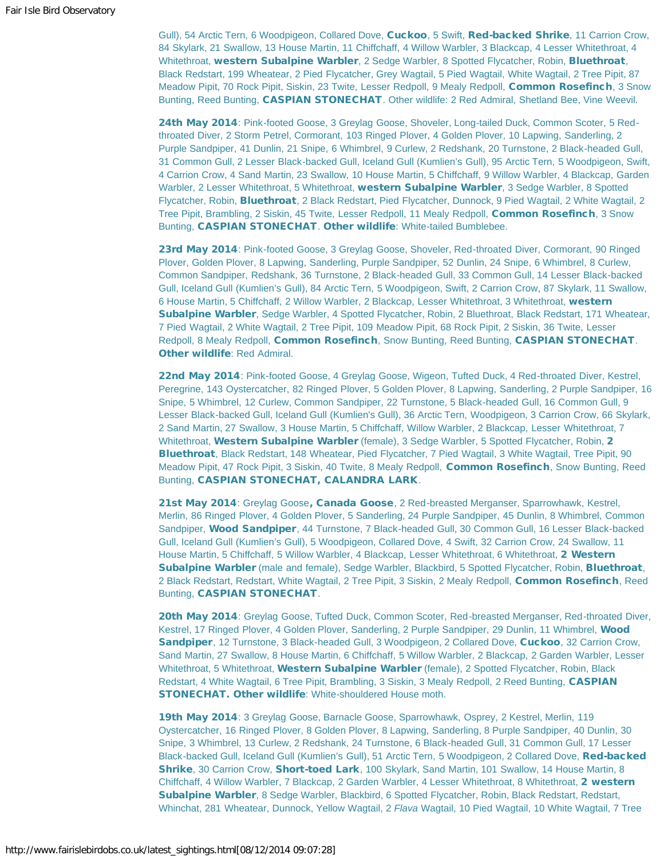Gull), 54 Arctic Tern, 6 Woodpigeon, Collared Dove, Cuckoo, 5 Swift, Red-backed Shrike, 11 Carrion Crow, 84 Skylark, 21 Swallow, 13 House Martin, 11 Chiffchaff, 4 Willow Warbler, 3 Blackcap, 4 Lesser Whitethroat, 4 Whitethroat, western Subalpine Warbler, 2 Sedge Warbler, 8 Spotted Flycatcher, Robin, Bluethroat, Black Redstart, 199 Wheatear, 2 Pied Flycatcher, Grey Wagtail, 5 Pied Wagtail, White Wagtail, 2 Tree Pipit, 87 Meadow Pipit, 70 Rock Pipit, Siskin, 23 Twite, Lesser Redpoll, 9 Mealy Redpoll, Common Rosefinch, 3 Snow Bunting, Reed Bunting, CASPIAN STONECHAT. Other wildlife: 2 Red Admiral, Shetland Bee, Vine Weevil.

24th May 2014: Pink-footed Goose, 3 Greylag Goose, Shoveler, Long-tailed Duck, Common Scoter, 5 Redthroated Diver, 2 Storm Petrel, Cormorant, 103 Ringed Plover, 4 Golden Plover, 10 Lapwing, Sanderling, 2 Purple Sandpiper, 41 Dunlin, 21 Snipe, 6 Whimbrel, 9 Curlew, 2 Redshank, 20 Turnstone, 2 Black-headed Gull, 31 Common Gull, 2 Lesser Black-backed Gull, Iceland Gull (Kumlien's Gull), 95 Arctic Tern, 5 Woodpigeon, Swift, 4 Carrion Crow, 4 Sand Martin, 23 Swallow, 10 House Martin, 5 Chiffchaff, 9 Willow Warbler, 4 Blackcap, Garden Warbler, 2 Lesser Whitethroat, 5 Whitethroat, western Subalpine Warbler, 3 Sedge Warbler, 8 Spotted Flycatcher, Robin, **Bluethroat**, 2 Black Redstart, Pied Flycatcher, Dunnock, 9 Pied Wagtail, 2 White Wagtail, 2 Tree Pipit, Brambling, 2 Siskin, 45 Twite, Lesser Redpoll, 11 Mealy Redpoll, Common Rosefinch, 3 Snow Bunting, CASPIAN STONECHAT. Other wildlife: White-tailed Bumblebee.

23rd May 2014: Pink-footed Goose, 3 Greylag Goose, Shoveler, Red-throated Diver, Cormorant, 90 Ringed Plover, Golden Plover, 8 Lapwing, Sanderling, Purple Sandpiper, 52 Dunlin, 24 Snipe, 6 Whimbrel, 8 Curlew, Common Sandpiper, Redshank, 36 Turnstone, 2 Black-headed Gull, 33 Common Gull, 14 Lesser Black-backed Gull, Iceland Gull (Kumlien's Gull), 84 Arctic Tern, 5 Woodpigeon, Swift, 2 Carrion Crow, 87 Skylark, 11 Swallow, 6 House Martin, 5 Chiffchaff, 2 Willow Warbler, 2 Blackcap, Lesser Whitethroat, 3 Whitethroat, western Subalpine Warbler, Sedge Warbler, 4 Spotted Flycatcher, Robin, 2 Bluethroat, Black Redstart, 171 Wheatear, 7 Pied Wagtail, 2 White Wagtail, 2 Tree Pipit, 109 Meadow Pipit, 68 Rock Pipit, 2 Siskin, 36 Twite, Lesser Redpoll, 8 Mealy Redpoll, Common Rosefinch, Snow Bunting, Reed Bunting, CASPIAN STONECHAT. Other wildlife: Red Admiral.

22nd May 2014: Pink-footed Goose, 4 Greylag Goose, Wigeon, Tufted Duck, 4 Red-throated Diver, Kestrel, Peregrine, 143 Oystercatcher, 82 Ringed Plover, 5 Golden Plover, 8 Lapwing, Sanderling, 2 Purple Sandpiper, 16 Snipe, 5 Whimbrel, 12 Curlew, Common Sandpiper, 22 Turnstone, 5 Black-headed Gull, 16 Common Gull, 9 Lesser Black-backed Gull, Iceland Gull (Kumlien's Gull), 36 Arctic Tern, Woodpigeon, 3 Carrion Crow, 66 Skylark, 2 Sand Martin, 27 Swallow, 3 House Martin, 5 Chiffchaff, Willow Warbler, 2 Blackcap, Lesser Whitethroat, 7 Whitethroat, Western Subalpine Warbler (female), 3 Sedge Warbler, 5 Spotted Flycatcher, Robin, 2 Bluethroat, Black Redstart, 148 Wheatear, Pied Flycatcher, 7 Pied Wagtail, 3 White Wagtail, Tree Pipit, 90 Meadow Pipit, 47 Rock Pipit, 3 Siskin, 40 Twite, 8 Mealy Redpoll, Common Rosefinch, Snow Bunting, Reed Bunting, CASPIAN STONECHAT, CALANDRA LARK.

21st May 2014: Greylag Goose, Canada Goose, 2 Red-breasted Merganser, Sparrowhawk, Kestrel, Merlin, 86 Ringed Plover, 4 Golden Plover, 5 Sanderling, 24 Purple Sandpiper, 45 Dunlin, 8 Whimbrel, Common Sandpiper, Wood Sandpiper, 44 Turnstone, 7 Black-headed Gull, 30 Common Gull, 16 Lesser Black-backed Gull, Iceland Gull (Kumlien's Gull), 5 Woodpigeon, Collared Dove, 4 Swift, 32 Carrion Crow, 24 Swallow, 11 House Martin, 5 Chiffchaff, 5 Willow Warbler, 4 Blackcap, Lesser Whitethroat, 6 Whitethroat, 2 Western Subalpine Warbler (male and female), Sedge Warbler, Blackbird, 5 Spotted Flycatcher, Robin, Bluethroat, 2 Black Redstart, Redstart, White Wagtail, 2 Tree Pipit, 3 Siskin, 2 Mealy Redpoll, Common Rosefinch, Reed Bunting, CASPIAN STONECHAT.

20th May 2014: Greylag Goose, Tufted Duck, Common Scoter, Red-breasted Merganser, Red-throated Diver, Kestrel, 17 Ringed Plover, 4 Golden Plover, Sanderling, 2 Purple Sandpiper, 29 Dunlin, 11 Whimbrel, Wood Sandpiper, 12 Turnstone, 3 Black-headed Gull, 3 Woodpigeon, 2 Collared Dove, Cuckoo, 32 Carrion Crow, Sand Martin, 27 Swallow, 8 House Martin, 6 Chiffchaff, 5 Willow Warbler, 2 Blackcap, 2 Garden Warbler, Lesser Whitethroat, 5 Whitethroat, Western Subalpine Warbler (female), 2 Spotted Flycatcher, Robin, Black Redstart, 4 White Wagtail, 6 Tree Pipit, Brambling, 3 Siskin, 3 Mealy Redpoll, 2 Reed Bunting, CASPIAN STONECHAT. Other wildlife: White-shouldered House moth.

19th May 2014: 3 Greylag Goose, Barnacle Goose, Sparrowhawk, Osprey, 2 Kestrel, Merlin, 119 Oystercatcher, 16 Ringed Plover, 8 Golden Plover, 8 Lapwing, Sanderling, 8 Purple Sandpiper, 40 Dunlin, 30 Snipe, 3 Whimbrel, 13 Curlew, 2 Redshank, 24 Turnstone, 6 Black-headed Gull, 31 Common Gull, 17 Lesser Black-backed Gull, Iceland Gull (Kumlien's Gull), 51 Arctic Tern, 5 Woodpigeon, 2 Collared Dove, Red-backed Shrike, 30 Carrion Crow, Short-toed Lark, 100 Skylark, Sand Martin, 101 Swallow, 14 House Martin, 8 Chiffchaff, 4 Willow Warbler, 7 Blackcap, 2 Garden Warbler, 4 Lesser Whitethroat, 8 Whitethroat, 2 western Subalpine Warbler, 8 Sedge Warbler, Blackbird, 6 Spotted Flycatcher, Robin, Black Redstart, Redstart, Whinchat, 281 Wheatear, Dunnock, Yellow Wagtail, 2 *Flava* Wagtail, 10 Pied Wagtail, 10 White Wagtail, 7 Tree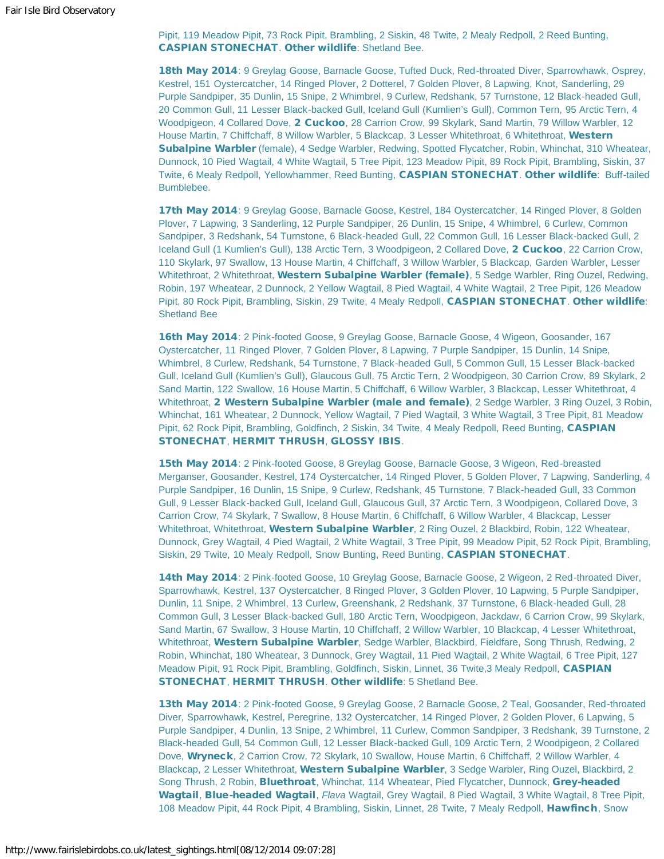Pipit, 119 Meadow Pipit, 73 Rock Pipit, Brambling, 2 Siskin, 48 Twite, 2 Mealy Redpoll, 2 Reed Bunting, CASPIAN STONECHAT. Other wildlife: Shetland Bee.

18th May 2014: 9 Greylag Goose, Barnacle Goose, Tufted Duck, Red-throated Diver, Sparrowhawk, Osprey, Kestrel, 151 Oystercatcher, 14 Ringed Plover, 2 Dotterel, 7 Golden Plover, 8 Lapwing, Knot, Sanderling, 29 Purple Sandpiper, 35 Dunlin, 15 Snipe, 2 Whimbrel, 9 Curlew, Redshank, 57 Turnstone, 12 Black-headed Gull, 20 Common Gull, 11 Lesser Black-backed Gull, Iceland Gull (Kumlien's Gull), Common Tern, 95 Arctic Tern, 4 Woodpigeon, 4 Collared Dove, 2 Cuckoo, 28 Carrion Crow, 99 Skylark, Sand Martin, 79 Willow Warbler, 12 House Martin, 7 Chiffchaff, 8 Willow Warbler, 5 Blackcap, 3 Lesser Whitethroat, 6 Whitethroat, Western Subalpine Warbler (female), 4 Sedge Warbler, Redwing, Spotted Flycatcher, Robin, Whinchat, 310 Wheatear, Dunnock, 10 Pied Wagtail, 4 White Wagtail, 5 Tree Pipit, 123 Meadow Pipit, 89 Rock Pipit, Brambling, Siskin, 37 Twite, 6 Mealy Redpoll, Yellowhammer, Reed Bunting, CASPIAN STONECHAT. Other wildlife: Buff-tailed Bumblebee.

17th May 2014: 9 Greylag Goose, Barnacle Goose, Kestrel, 184 Oystercatcher, 14 Ringed Plover, 8 Golden Plover, 7 Lapwing, 3 Sanderling, 12 Purple Sandpiper, 26 Dunlin, 15 Snipe, 4 Whimbrel, 6 Curlew, Common Sandpiper, 3 Redshank, 54 Turnstone, 6 Black-headed Gull, 22 Common Gull, 16 Lesser Black-backed Gull, 2 Iceland Gull (1 Kumlien's Gull), 138 Arctic Tern, 3 Woodpigeon, 2 Collared Dove, 2 Cuckoo, 22 Carrion Crow, 110 Skylark, 97 Swallow, 13 House Martin, 4 Chiffchaff, 3 Willow Warbler, 5 Blackcap, Garden Warbler, Lesser Whitethroat, 2 Whitethroat, Western Subalpine Warbler (female), 5 Sedge Warbler, Ring Ouzel, Redwing, Robin, 197 Wheatear, 2 Dunnock, 2 Yellow Wagtail, 8 Pied Wagtail, 4 White Wagtail, 2 Tree Pipit, 126 Meadow Pipit, 80 Rock Pipit, Brambling, Siskin, 29 Twite, 4 Mealy Redpoll, CASPIAN STONECHAT. Other wildlife: Shetland Bee

16th May 2014: 2 Pink-footed Goose, 9 Greylag Goose, Barnacle Goose, 4 Wigeon, Goosander, 167 Oystercatcher, 11 Ringed Plover, 7 Golden Plover, 8 Lapwing, 7 Purple Sandpiper, 15 Dunlin, 14 Snipe, Whimbrel, 8 Curlew, Redshank, 54 Turnstone, 7 Black-headed Gull, 5 Common Gull, 15 Lesser Black-backed Gull, Iceland Gull (Kumlien's Gull), Glaucous Gull, 75 Arctic Tern, 2 Woodpigeon, 30 Carrion Crow, 89 Skylark, 2 Sand Martin, 122 Swallow, 16 House Martin, 5 Chiffchaff, 6 Willow Warbler, 3 Blackcap, Lesser Whitethroat, 4 Whitethroat, 2 Western Subalpine Warbler (male and female), 2 Sedge Warbler, 3 Ring Ouzel, 3 Robin, Whinchat, 161 Wheatear, 2 Dunnock, Yellow Wagtail, 7 Pied Wagtail, 3 White Wagtail, 3 Tree Pipit, 81 Meadow Pipit, 62 Rock Pipit, Brambling, Goldfinch, 2 Siskin, 34 Twite, 4 Mealy Redpoll, Reed Bunting, CASPIAN STONECHAT, HERMIT THRUSH, GLOSSY IBIS.

15th May 2014: 2 Pink-footed Goose, 8 Greylag Goose, Barnacle Goose, 3 Wigeon, Red-breasted Merganser, Goosander, Kestrel, 174 Oystercatcher, 14 Ringed Plover, 5 Golden Plover, 7 Lapwing, Sanderling, 4 Purple Sandpiper, 16 Dunlin, 15 Snipe, 9 Curlew, Redshank, 45 Turnstone, 7 Black-headed Gull, 33 Common Gull, 9 Lesser Black-backed Gull, Iceland Gull, Glaucous Gull, 37 Arctic Tern, 3 Woodpigeon, Collared Dove, 3 Carrion Crow, 74 Skylark, 7 Swallow, 8 House Martin, 6 Chiffchaff, 6 Willow Warbler, 4 Blackcap, Lesser Whitethroat, Whitethroat, Western Subalpine Warbler, 2 Ring Ouzel, 2 Blackbird, Robin, 122 Wheatear, Dunnock, Grey Wagtail, 4 Pied Wagtail, 2 White Wagtail, 3 Tree Pipit, 99 Meadow Pipit, 52 Rock Pipit, Brambling, Siskin, 29 Twite, 10 Mealy Redpoll, Snow Bunting, Reed Bunting, CASPIAN STONECHAT.

14th May 2014: 2 Pink-footed Goose, 10 Greylag Goose, Barnacle Goose, 2 Wigeon, 2 Red-throated Diver, Sparrowhawk, Kestrel, 137 Oystercatcher, 8 Ringed Plover, 3 Golden Plover, 10 Lapwing, 5 Purple Sandpiper, Dunlin, 11 Snipe, 2 Whimbrel, 13 Curlew, Greenshank, 2 Redshank, 37 Turnstone, 6 Black-headed Gull, 28 Common Gull, 3 Lesser Black-backed Gull, 180 Arctic Tern, Woodpigeon, Jackdaw, 6 Carrion Crow, 99 Skylark, Sand Martin, 67 Swallow, 3 House Martin, 10 Chiffchaff, 2 Willow Warbler, 10 Blackcap, 4 Lesser Whitethroat, Whitethroat, Western Subalpine Warbler, Sedge Warbler, Blackbird, Fieldfare, Song Thrush, Redwing, 2 Robin, Whinchat, 180 Wheatear, 3 Dunnock, Grey Wagtail, 11 Pied Wagtail, 2 White Wagtail, 6 Tree Pipit, 127 Meadow Pipit, 91 Rock Pipit, Brambling, Goldfinch, Siskin, Linnet, 36 Twite,3 Mealy Redpoll, CASPIAN STONECHAT, HERMIT THRUSH. Other wildlife: 5 Shetland Bee.

13th May 2014: 2 Pink-footed Goose, 9 Greylag Goose, 2 Barnacle Goose, 2 Teal, Goosander, Red-throated Diver, Sparrowhawk, Kestrel, Peregrine, 132 Oystercatcher, 14 Ringed Plover, 2 Golden Plover, 6 Lapwing, 5 Purple Sandpiper, 4 Dunlin, 13 Snipe, 2 Whimbrel, 11 Curlew, Common Sandpiper, 3 Redshank, 39 Turnstone, 2 Black-headed Gull, 54 Common Gull, 12 Lesser Black-backed Gull, 109 Arctic Tern, 2 Woodpigeon, 2 Collared Dove, Wryneck, 2 Carrion Crow, 72 Skylark, 10 Swallow, House Martin, 6 Chiffchaff, 2 Willow Warbler, 4 Blackcap, 2 Lesser Whitethroat, Western Subalpine Warbler, 3 Sedge Warbler, Ring Ouzel, Blackbird, 2 Song Thrush, 2 Robin, Bluethroat, Whinchat, 114 Wheatear, Pied Flycatcher, Dunnock, Grey-headed Wagtail, Blue-headed Wagtail, *Flava* Wagtail, Grey Wagtail, 8 Pied Wagtail, 3 White Wagtail, 8 Tree Pipit, 108 Meadow Pipit, 44 Rock Pipit, 4 Brambling, Siskin, Linnet, 28 Twite, 7 Mealy Redpoll, Hawfinch, Snow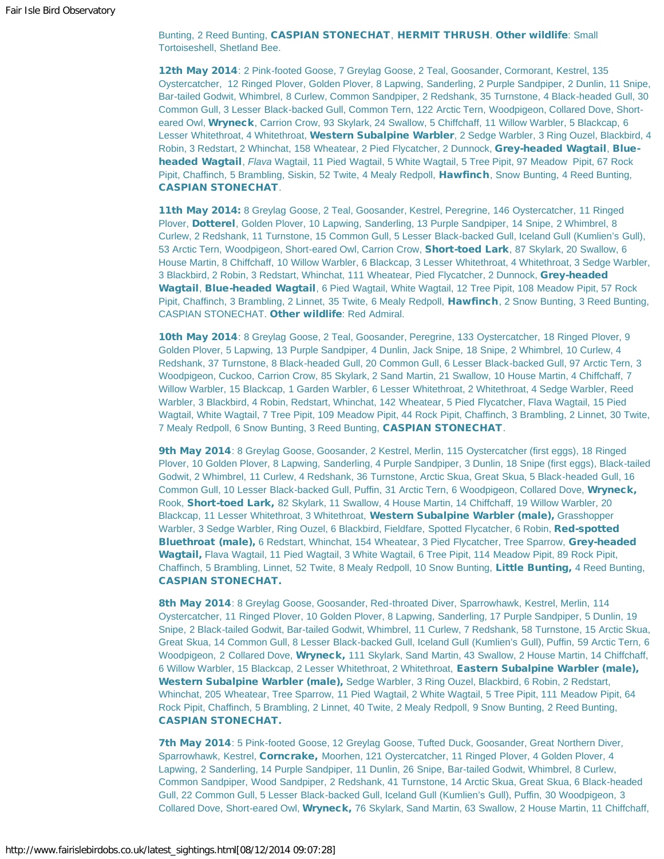Bunting, 2 Reed Bunting, CASPIAN STONECHAT, HERMIT THRUSH. Other wildlife: Small Tortoiseshell, Shetland Bee.

12th May 2014: 2 Pink-footed Goose, 7 Greylag Goose, 2 Teal, Goosander, Cormorant, Kestrel, 135 Oystercatcher, 12 Ringed Plover, Golden Plover, 8 Lapwing, Sanderling, 2 Purple Sandpiper, 2 Dunlin, 11 Snipe, Bar-tailed Godwit, Whimbrel, 8 Curlew, Common Sandpiper, 2 Redshank, 35 Turnstone, 4 Black-headed Gull, 30 Common Gull, 3 Lesser Black-backed Gull, Common Tern, 122 Arctic Tern, Woodpigeon, Collared Dove, Shorteared Owl, Wryneck, Carrion Crow, 93 Skylark, 24 Swallow, 5 Chiffchaff, 11 Willow Warbler, 5 Blackcap, 6 Lesser Whitethroat, 4 Whitethroat, Western Subalpine Warbler, 2 Sedge Warbler, 3 Ring Ouzel, Blackbird, 4 Robin, 3 Redstart, 2 Whinchat, 158 Wheatear, 2 Pied Flycatcher, 2 Dunnock, Grey-headed Wagtail, Blueheaded Wagtail, *Flava* Wagtail, 11 Pied Wagtail, 5 White Wagtail, 5 Tree Pipit, 97 Meadow Pipit, 67 Rock Pipit, Chaffinch, 5 Brambling, Siskin, 52 Twite, 4 Mealy Redpoll, Hawfinch, Snow Bunting, 4 Reed Bunting, CASPIAN STONECHAT.

11th May 2014: 8 Greylag Goose, 2 Teal, Goosander, Kestrel, Peregrine, 146 Oystercatcher, 11 Ringed Plover, Dotterel, Golden Plover, 10 Lapwing, Sanderling, 13 Purple Sandpiper, 14 Snipe, 2 Whimbrel, 8 Curlew, 2 Redshank, 11 Turnstone, 15 Common Gull, 5 Lesser Black-backed Gull, Iceland Gull (Kumlien's Gull), 53 Arctic Tern, Woodpigeon, Short-eared Owl, Carrion Crow, Short-toed Lark, 87 Skylark, 20 Swallow, 6 House Martin, 8 Chiffchaff, 10 Willow Warbler, 6 Blackcap, 3 Lesser Whitethroat, 4 Whitethroat, 3 Sedge Warbler, 3 Blackbird, 2 Robin, 3 Redstart, Whinchat, 111 Wheatear, Pied Flycatcher, 2 Dunnock, Grey-headed Wagtail, Blue-headed Wagtail, 6 Pied Wagtail, White Wagtail, 12 Tree Pipit, 108 Meadow Pipit, 57 Rock Pipit, Chaffinch, 3 Brambling, 2 Linnet, 35 Twite, 6 Mealy Redpoll, Hawfinch, 2 Snow Bunting, 3 Reed Bunting, CASPIAN STONECHAT. Other wildlife: Red Admiral.

10th May 2014: 8 Greylag Goose, 2 Teal, Goosander, Peregrine, 133 Oystercatcher, 18 Ringed Plover, 9 Golden Plover, 5 Lapwing, 13 Purple Sandpiper, 4 Dunlin, Jack Snipe, 18 Snipe, 2 Whimbrel, 10 Curlew, 4 Redshank, 37 Turnstone, 8 Black-headed Gull, 20 Common Gull, 6 Lesser Black-backed Gull, 97 Arctic Tern, 3 Woodpigeon, Cuckoo, Carrion Crow, 85 Skylark, 2 Sand Martin, 21 Swallow, 10 House Martin, 4 Chiffchaff, 7 Willow Warbler, 15 Blackcap, 1 Garden Warbler, 6 Lesser Whitethroat, 2 Whitethroat, 4 Sedge Warbler, Reed Warbler, 3 Blackbird, 4 Robin, Redstart, Whinchat, 142 Wheatear, 5 Pied Flycatcher, Flava Wagtail, 15 Pied Wagtail, White Wagtail, 7 Tree Pipit, 109 Meadow Pipit, 44 Rock Pipit, Chaffinch, 3 Brambling, 2 Linnet, 30 Twite, 7 Mealy Redpoll, 6 Snow Bunting, 3 Reed Bunting, CASPIAN STONECHAT.

9th May 2014: 8 Greylag Goose, Goosander, 2 Kestrel, Merlin, 115 Oystercatcher (first eggs), 18 Ringed Plover, 10 Golden Plover, 8 Lapwing, Sanderling, 4 Purple Sandpiper, 3 Dunlin, 18 Snipe (first eggs), Black-tailed Godwit, 2 Whimbrel, 11 Curlew, 4 Redshank, 36 Turnstone, Arctic Skua, Great Skua, 5 Black-headed Gull, 16 Common Gull, 10 Lesser Black-backed Gull, Puffin, 31 Arctic Tern, 6 Woodpigeon, Collared Dove, Wryneck, Rook, Short-toed Lark, 82 Skylark, 11 Swallow, 4 House Martin, 14 Chiffchaff, 19 Willow Warbler, 20 Blackcap, 11 Lesser Whitethroat, 3 Whitethroat, Western Subalpine Warbler (male), Grasshopper Warbler, 3 Sedge Warbler, Ring Ouzel, 6 Blackbird, Fieldfare, Spotted Flycatcher, 6 Robin, Red-spotted Bluethroat (male), 6 Redstart, Whinchat, 154 Wheatear, 3 Pied Flycatcher, Tree Sparrow, Grey-headed Wagtail, Flava Wagtail, 11 Pied Wagtail, 3 White Wagtail, 6 Tree Pipit, 114 Meadow Pipit, 89 Rock Pipit, Chaffinch, 5 Brambling, Linnet, 52 Twite, 8 Mealy Redpoll, 10 Snow Bunting, Little Bunting, 4 Reed Bunting, CASPIAN STONECHAT.

8th May 2014: 8 Greylag Goose, Goosander, Red-throated Diver, Sparrowhawk, Kestrel, Merlin, 114 Oystercatcher, 11 Ringed Plover, 10 Golden Plover, 8 Lapwing, Sanderling, 17 Purple Sandpiper, 5 Dunlin, 19 Snipe, 2 Black-tailed Godwit, Bar-tailed Godwit, Whimbrel, 11 Curlew, 7 Redshank, 58 Turnstone, 15 Arctic Skua, Great Skua, 14 Common Gull, 8 Lesser Black-backed Gull, Iceland Gull (Kumlien's Gull), Puffin, 59 Arctic Tern, 6 Woodpigeon, 2 Collared Dove, Wryneck, 111 Skylark, Sand Martin, 43 Swallow, 2 House Martin, 14 Chiffchaff, 6 Willow Warbler, 15 Blackcap, 2 Lesser Whitethroat, 2 Whitethroat, Eastern Subalpine Warbler (male), Western Subalpine Warbler (male), Sedge Warbler, 3 Ring Ouzel, Blackbird, 6 Robin, 2 Redstart, Whinchat, 205 Wheatear, Tree Sparrow, 11 Pied Wagtail, 2 White Wagtail, 5 Tree Pipit, 111 Meadow Pipit, 64 Rock Pipit, Chaffinch, 5 Brambling, 2 Linnet, 40 Twite, 2 Mealy Redpoll, 9 Snow Bunting, 2 Reed Bunting, CASPIAN STONECHAT.

7th May 2014: 5 Pink-footed Goose, 12 Greylag Goose, Tufted Duck, Goosander, Great Northern Diver, Sparrowhawk, Kestrel, Corncrake, Moorhen, 121 Oystercatcher, 11 Ringed Plover, 4 Golden Plover, 4 Lapwing, 2 Sanderling, 14 Purple Sandpiper, 11 Dunlin, 26 Snipe, Bar-tailed Godwit, Whimbrel, 8 Curlew, Common Sandpiper, Wood Sandpiper, 2 Redshank, 41 Turnstone, 14 Arctic Skua, Great Skua, 6 Black-headed Gull, 22 Common Gull, 5 Lesser Black-backed Gull, Iceland Gull (Kumlien's Gull), Puffin, 30 Woodpigeon, 3 Collared Dove, Short-eared Owl, Wryneck, 76 Skylark, Sand Martin, 63 Swallow, 2 House Martin, 11 Chiffchaff,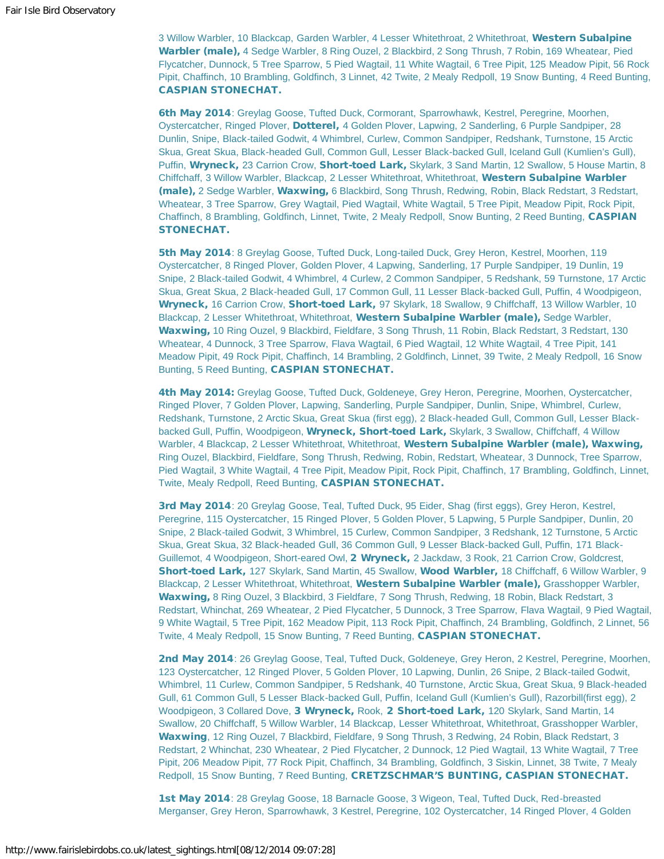3 Willow Warbler, 10 Blackcap, Garden Warbler, 4 Lesser Whitethroat, 2 Whitethroat, Western Subalpine Warbler (male), 4 Sedge Warbler, 8 Ring Ouzel, 2 Blackbird, 2 Song Thrush, 7 Robin, 169 Wheatear, Pied Flycatcher, Dunnock, 5 Tree Sparrow, 5 Pied Wagtail, 11 White Wagtail, 6 Tree Pipit, 125 Meadow Pipit, 56 Rock Pipit, Chaffinch, 10 Brambling, Goldfinch, 3 Linnet, 42 Twite, 2 Mealy Redpoll, 19 Snow Bunting, 4 Reed Bunting, CASPIAN STONECHAT.

6th May 2014: Greylag Goose, Tufted Duck, Cormorant, Sparrowhawk, Kestrel, Peregrine, Moorhen, Oystercatcher, Ringed Plover, Dotterel, 4 Golden Plover, Lapwing, 2 Sanderling, 6 Purple Sandpiper, 28 Dunlin, Snipe, Black-tailed Godwit, 4 Whimbrel, Curlew, Common Sandpiper, Redshank, Turnstone, 15 Arctic Skua, Great Skua, Black-headed Gull, Common Gull, Lesser Black-backed Gull, Iceland Gull (Kumlien's Gull), Puffin, Wryneck, 23 Carrion Crow, Short-toed Lark, Skylark, 3 Sand Martin, 12 Swallow, 5 House Martin, 8 Chiffchaff, 3 Willow Warbler, Blackcap, 2 Lesser Whitethroat, Whitethroat, Western Subalpine Warbler (male), 2 Sedge Warbler, Waxwing, 6 Blackbird, Song Thrush, Redwing, Robin, Black Redstart, 3 Redstart, Wheatear, 3 Tree Sparrow, Grey Wagtail, Pied Wagtail, White Wagtail, 5 Tree Pipit, Meadow Pipit, Rock Pipit, Chaffinch, 8 Brambling, Goldfinch, Linnet, Twite, 2 Mealy Redpoll, Snow Bunting, 2 Reed Bunting, CASPIAN STONECHAT.

5th May 2014: 8 Greylag Goose, Tufted Duck, Long-tailed Duck, Grey Heron, Kestrel, Moorhen, 119 Oystercatcher, 8 Ringed Plover, Golden Plover, 4 Lapwing, Sanderling, 17 Purple Sandpiper, 19 Dunlin, 19 Snipe, 2 Black-tailed Godwit, 4 Whimbrel, 4 Curlew, 2 Common Sandpiper, 5 Redshank, 59 Turnstone, 17 Arctic Skua, Great Skua, 2 Black-headed Gull, 17 Common Gull, 11 Lesser Black-backed Gull, Puffin, 4 Woodpigeon, Wryneck, 16 Carrion Crow, Short-toed Lark, 97 Skylark, 18 Swallow, 9 Chiffchaff, 13 Willow Warbler, 10 Blackcap, 2 Lesser Whitethroat, Whitethroat, Western Subalpine Warbler (male), Sedge Warbler, Waxwing, 10 Ring Ouzel, 9 Blackbird, Fieldfare, 3 Song Thrush, 11 Robin, Black Redstart, 3 Redstart, 130 Wheatear, 4 Dunnock, 3 Tree Sparrow, Flava Wagtail, 6 Pied Wagtail, 12 White Wagtail, 4 Tree Pipit, 141 Meadow Pipit, 49 Rock Pipit, Chaffinch, 14 Brambling, 2 Goldfinch, Linnet, 39 Twite, 2 Mealy Redpoll, 16 Snow Bunting, 5 Reed Bunting, CASPIAN STONECHAT.

4th May 2014: Greylag Goose, Tufted Duck, Goldeneye, Grey Heron, Peregrine, Moorhen, Oystercatcher, Ringed Plover, 7 Golden Plover, Lapwing, Sanderling, Purple Sandpiper, Dunlin, Snipe, Whimbrel, Curlew, Redshank, Turnstone, 2 Arctic Skua, Great Skua (first egg), 2 Black-headed Gull, Common Gull, Lesser Blackbacked Gull, Puffin, Woodpigeon, Wryneck, Short-toed Lark, Skylark, 3 Swallow, Chiffchaff, 4 Willow Warbler, 4 Blackcap, 2 Lesser Whitethroat, Whitethroat, Western Subalpine Warbler (male), Waxwing, Ring Ouzel, Blackbird, Fieldfare, Song Thrush, Redwing, Robin, Redstart, Wheatear, 3 Dunnock, Tree Sparrow, Pied Wagtail, 3 White Wagtail, 4 Tree Pipit, Meadow Pipit, Rock Pipit, Chaffinch, 17 Brambling, Goldfinch, Linnet, Twite, Mealy Redpoll, Reed Bunting, CASPIAN STONECHAT.

3rd May 2014: 20 Greylag Goose, Teal, Tufted Duck, 95 Eider, Shag (first eggs), Grey Heron, Kestrel, Peregrine, 115 Oystercatcher, 15 Ringed Plover, 5 Golden Plover, 5 Lapwing, 5 Purple Sandpiper, Dunlin, 20 Snipe, 2 Black-tailed Godwit, 3 Whimbrel, 15 Curlew, Common Sandpiper, 3 Redshank, 12 Turnstone, 5 Arctic Skua, Great Skua, 32 Black-headed Gull, 36 Common Gull, 9 Lesser Black-backed Gull, Puffin, 171 Black-Guillemot, 4 Woodpigeon, Short-eared Owl, 2 Wryneck, 2 Jackdaw, 3 Rook, 21 Carrion Crow, Goldcrest, Short-toed Lark, 127 Skylark, Sand Martin, 45 Swallow, Wood Warbler, 18 Chiffchaff, 6 Willow Warbler, 9 Blackcap, 2 Lesser Whitethroat, Whitethroat, Western Subalpine Warbler (male), Grasshopper Warbler, Waxwing, 8 Ring Ouzel, 3 Blackbird, 3 Fieldfare, 7 Song Thrush, Redwing, 18 Robin, Black Redstart, 3 Redstart, Whinchat, 269 Wheatear, 2 Pied Flycatcher, 5 Dunnock, 3 Tree Sparrow, Flava Wagtail, 9 Pied Wagtail, 9 White Wagtail, 5 Tree Pipit, 162 Meadow Pipit, 113 Rock Pipit, Chaffinch, 24 Brambling, Goldfinch, 2 Linnet, 56 Twite, 4 Mealy Redpoll, 15 Snow Bunting, 7 Reed Bunting, CASPIAN STONECHAT.

2nd May 2014: 26 Greylag Goose, Teal, Tufted Duck, Goldeneye, Grey Heron, 2 Kestrel, Peregrine, Moorhen, 123 Oystercatcher, 12 Ringed Plover, 5 Golden Plover, 10 Lapwing, Dunlin, 26 Snipe, 2 Black-tailed Godwit, Whimbrel, 11 Curlew, Common Sandpiper, 5 Redshank, 40 Turnstone, Arctic Skua, Great Skua, 9 Black-headed Gull, 61 Common Gull, 5 Lesser Black-backed Gull, Puffin, Iceland Gull (Kumlien's Gull), Razorbill(first egg), 2 Woodpigeon, 3 Collared Dove, 3 Wryneck, Rook, 2 Short-toed Lark, 120 Skylark, Sand Martin, 14 Swallow, 20 Chiffchaff, 5 Willow Warbler, 14 Blackcap, Lesser Whitethroat, Whitethroat, Grasshopper Warbler, Waxwing, 12 Ring Ouzel, 7 Blackbird, Fieldfare, 9 Song Thrush, 3 Redwing, 24 Robin, Black Redstart, 3 Redstart, 2 Whinchat, 230 Wheatear, 2 Pied Flycatcher, 2 Dunnock, 12 Pied Wagtail, 13 White Wagtail, 7 Tree Pipit, 206 Meadow Pipit, 77 Rock Pipit, Chaffinch, 34 Brambling, Goldfinch, 3 Siskin, Linnet, 38 Twite, 7 Mealy Redpoll, 15 Snow Bunting, 7 Reed Bunting, CRETZSCHMAR'S BUNTING, CASPIAN STONECHAT.

1st May 2014: 28 Greylag Goose, 18 Barnacle Goose, 3 Wigeon, Teal, Tufted Duck, Red-breasted Merganser, Grey Heron, Sparrowhawk, 3 Kestrel, Peregrine, 102 Oystercatcher, 14 Ringed Plover, 4 Golden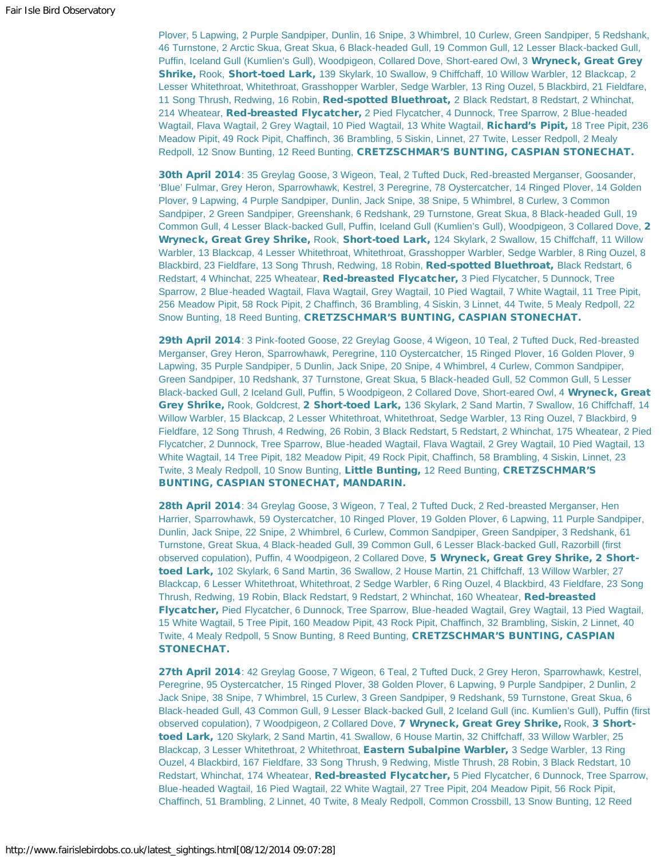Plover, 5 Lapwing, 2 Purple Sandpiper, Dunlin, 16 Snipe, 3 Whimbrel, 10 Curlew, Green Sandpiper, 5 Redshank, 46 Turnstone, 2 Arctic Skua, Great Skua, 6 Black-headed Gull, 19 Common Gull, 12 Lesser Black-backed Gull, Puffin, Iceland Gull (Kumlien's Gull), Woodpigeon, Collared Dove, Short-eared Owl, 3 Wryneck, Great Grey Shrike, Rook, Short-toed Lark, 139 Skylark, 10 Swallow, 9 Chiffchaff, 10 Willow Warbler, 12 Blackcap, 2 Lesser Whitethroat, Whitethroat, Grasshopper Warbler, Sedge Warbler, 13 Ring Ouzel, 5 Blackbird, 21 Fieldfare, 11 Song Thrush, Redwing, 16 Robin, Red-spotted Bluethroat, 2 Black Redstart, 8 Redstart, 2 Whinchat, 214 Wheatear, Red-breasted Flycatcher, 2 Pied Flycatcher, 4 Dunnock, Tree Sparrow, 2 Blue-headed Wagtail, Flava Wagtail, 2 Grey Wagtail, 10 Pied Wagtail, 13 White Wagtail, Richard's Pipit, 18 Tree Pipit, 236 Meadow Pipit, 49 Rock Pipit, Chaffinch, 36 Brambling, 5 Siskin, Linnet, 27 Twite, Lesser Redpoll, 2 Mealy Redpoll, 12 Snow Bunting, 12 Reed Bunting, CRETZSCHMAR'S BUNTING, CASPIAN STONECHAT.

30th April 2014: 35 Greylag Goose, 3 Wigeon, Teal, 2 Tufted Duck, Red-breasted Merganser, Goosander, 'Blue' Fulmar, Grey Heron, Sparrowhawk, Kestrel, 3 Peregrine, 78 Oystercatcher, 14 Ringed Plover, 14 Golden Plover, 9 Lapwing, 4 Purple Sandpiper, Dunlin, Jack Snipe, 38 Snipe, 5 Whimbrel, 8 Curlew, 3 Common Sandpiper, 2 Green Sandpiper, Greenshank, 6 Redshank, 29 Turnstone, Great Skua, 8 Black-headed Gull, 19 Common Gull, 4 Lesser Black-backed Gull, Puffin, Iceland Gull (Kumlien's Gull), Woodpigeon, 3 Collared Dove, 2 Wryneck, Great Grey Shrike, Rook, Short-toed Lark, 124 Skylark, 2 Swallow, 15 Chiffchaff, 11 Willow Warbler, 13 Blackcap, 4 Lesser Whitethroat, Whitethroat, Grasshopper Warbler, Sedge Warbler, 8 Ring Ouzel, 8 Blackbird, 23 Fieldfare, 13 Song Thrush, Redwing, 18 Robin, Red-spotted Bluethroat, Black Redstart, 6 Redstart, 4 Whinchat, 225 Wheatear, Red-breasted Flycatcher, 3 Pied Flycatcher, 5 Dunnock, Tree Sparrow, 2 Blue-headed Wagtail, Flava Wagtail, Grey Wagtail, 10 Pied Wagtail, 7 White Wagtail, 11 Tree Pipit, 256 Meadow Pipit, 58 Rock Pipit, 2 Chaffinch, 36 Brambling, 4 Siskin, 3 Linnet, 44 Twite, 5 Mealy Redpoll, 22 Snow Bunting, 18 Reed Bunting, CRETZSCHMAR'S BUNTING, CASPIAN STONECHAT.

29th April 2014: 3 Pink-footed Goose, 22 Greylag Goose, 4 Wigeon, 10 Teal, 2 Tufted Duck, Red-breasted Merganser, Grey Heron, Sparrowhawk, Peregrine, 110 Oystercatcher, 15 Ringed Plover, 16 Golden Plover, 9 Lapwing, 35 Purple Sandpiper, 5 Dunlin, Jack Snipe, 20 Snipe, 4 Whimbrel, 4 Curlew, Common Sandpiper, Green Sandpiper, 10 Redshank, 37 Turnstone, Great Skua, 5 Black-headed Gull, 52 Common Gull, 5 Lesser Black-backed Gull, 2 Iceland Gull, Puffin, 5 Woodpigeon, 2 Collared Dove, Short-eared Owl, 4 Wryneck, Great Grey Shrike, Rook, Goldcrest, 2 Short-toed Lark, 136 Skylark, 2 Sand Martin, 7 Swallow, 16 Chiffchaff, 14 Willow Warbler, 15 Blackcap, 2 Lesser Whitethroat, Whitethroat, Sedge Warbler, 13 Ring Ouzel, 7 Blackbird, 9 Fieldfare, 12 Song Thrush, 4 Redwing, 26 Robin, 3 Black Redstart, 5 Redstart, 2 Whinchat, 175 Wheatear, 2 Pied Flycatcher, 2 Dunnock, Tree Sparrow, Blue-headed Wagtail, Flava Wagtail, 2 Grey Wagtail, 10 Pied Wagtail, 13 White Wagtail, 14 Tree Pipit, 182 Meadow Pipit, 49 Rock Pipit, Chaffinch, 58 Brambling, 4 Siskin, Linnet, 23 Twite, 3 Mealy Redpoll, 10 Snow Bunting, Little Bunting, 12 Reed Bunting, CRETZSCHMAR'S BUNTING, CASPIAN STONECHAT, MANDARIN.

28th April 2014: 34 Greylag Goose, 3 Wigeon, 7 Teal, 2 Tufted Duck, 2 Red-breasted Merganser, Hen Harrier, Sparrowhawk, 59 Oystercatcher, 10 Ringed Plover, 19 Golden Plover, 6 Lapwing, 11 Purple Sandpiper, Dunlin, Jack Snipe, 22 Snipe, 2 Whimbrel, 6 Curlew, Common Sandpiper, Green Sandpiper, 3 Redshank, 61 Turnstone, Great Skua, 4 Black-headed Gull, 39 Common Gull, 6 Lesser Black-backed Gull, Razorbill (first observed copulation), Puffin, 4 Woodpigeon, 2 Collared Dove, 5 Wryneck, Great Grey Shrike, 2 Shorttoed Lark, 102 Skylark, 6 Sand Martin, 36 Swallow, 2 House Martin, 21 Chiffchaff, 13 Willow Warbler, 27 Blackcap, 6 Lesser Whitethroat, Whitethroat, 2 Sedge Warbler, 6 Ring Ouzel, 4 Blackbird, 43 Fieldfare, 23 Song Thrush, Redwing, 19 Robin, Black Redstart, 9 Redstart, 2 Whinchat, 160 Wheatear, Red-breasted Flycatcher, Pied Flycatcher, 6 Dunnock, Tree Sparrow, Blue-headed Wagtail, Grey Wagtail, 13 Pied Wagtail, 15 White Wagtail, 5 Tree Pipit, 160 Meadow Pipit, 43 Rock Pipit, Chaffinch, 32 Brambling, Siskin, 2 Linnet, 40 Twite, 4 Mealy Redpoll, 5 Snow Bunting, 8 Reed Bunting, CRETZSCHMAR'S BUNTING, CASPIAN STONECHAT.

27th April 2014: 42 Greylag Goose, 7 Wigeon, 6 Teal, 2 Tufted Duck, 2 Grey Heron, Sparrowhawk, Kestrel, Peregrine, 95 Oystercatcher, 15 Ringed Plover, 38 Golden Plover, 6 Lapwing, 9 Purple Sandpiper, 2 Dunlin, 2 Jack Snipe, 38 Snipe, 7 Whimbrel, 15 Curlew, 3 Green Sandpiper, 9 Redshank, 59 Turnstone, Great Skua, 6 Black-headed Gull, 43 Common Gull, 9 Lesser Black-backed Gull, 2 Iceland Gull (inc. Kumlien's Gull), Puffin (first observed copulation), 7 Woodpigeon, 2 Collared Dove, 7 Wryneck, Great Grey Shrike, Rook, 3 Shorttoed Lark, 120 Skylark, 2 Sand Martin, 41 Swallow, 6 House Martin, 32 Chiffchaff, 33 Willow Warbler, 25 Blackcap, 3 Lesser Whitethroat, 2 Whitethroat, Eastern Subalpine Warbler, 3 Sedge Warbler, 13 Ring Ouzel, 4 Blackbird, 167 Fieldfare, 33 Song Thrush, 9 Redwing, Mistle Thrush, 28 Robin, 3 Black Redstart, 10 Redstart, Whinchat, 174 Wheatear, Red-breasted Flycatcher, 5 Pied Flycatcher, 6 Dunnock, Tree Sparrow, Blue-headed Wagtail, 16 Pied Wagtail, 22 White Wagtail, 27 Tree Pipit, 204 Meadow Pipit, 56 Rock Pipit, Chaffinch, 51 Brambling, 2 Linnet, 40 Twite, 8 Mealy Redpoll, Common Crossbill, 13 Snow Bunting, 12 Reed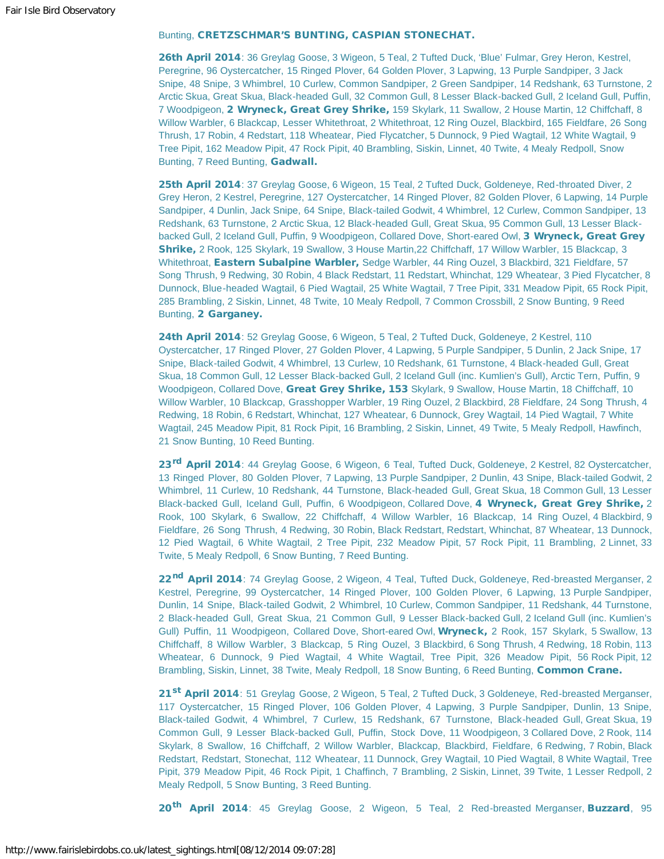#### Bunting, CRETZSCHMAR'S BUNTING, CASPIAN STONECHAT.

26th April 2014: 36 Greylag Goose, 3 Wigeon, 5 Teal, 2 Tufted Duck, 'Blue' Fulmar, Grey Heron, Kestrel, Peregrine, 96 Oystercatcher, 15 Ringed Plover, 64 Golden Plover, 3 Lapwing, 13 Purple Sandpiper, 3 Jack Snipe, 48 Snipe, 3 Whimbrel, 10 Curlew, Common Sandpiper, 2 Green Sandpiper, 14 Redshank, 63 Turnstone, 2 Arctic Skua, Great Skua, Black-headed Gull, 32 Common Gull, 8 Lesser Black-backed Gull, 2 Iceland Gull, Puffin, 7 Woodpigeon, 2 Wryneck, Great Grey Shrike, 159 Skylark, 11 Swallow, 2 House Martin, 12 Chiffchaff, 8 Willow Warbler, 6 Blackcap, Lesser Whitethroat, 2 Whitethroat, 12 Ring Ouzel, Blackbird, 165 Fieldfare, 26 Song Thrush, 17 Robin, 4 Redstart, 118 Wheatear, Pied Flycatcher, 5 Dunnock, 9 Pied Wagtail, 12 White Wagtail, 9 Tree Pipit, 162 Meadow Pipit, 47 Rock Pipit, 40 Brambling, Siskin, Linnet, 40 Twite, 4 Mealy Redpoll, Snow Bunting, 7 Reed Bunting, Gadwall.

25th April 2014: 37 Greylag Goose, 6 Wigeon, 15 Teal, 2 Tufted Duck, Goldeneye, Red-throated Diver, 2 Grey Heron, 2 Kestrel, Peregrine, 127 Oystercatcher, 14 Ringed Plover, 82 Golden Plover, 6 Lapwing, 14 Purple Sandpiper, 4 Dunlin, Jack Snipe, 64 Snipe, Black-tailed Godwit, 4 Whimbrel, 12 Curlew, Common Sandpiper, 13 Redshank, 63 Turnstone, 2 Arctic Skua, 12 Black-headed Gull, Great Skua, 95 Common Gull, 13 Lesser Blackbacked Gull, 2 Iceland Gull, Puffin, 9 Woodpigeon, Collared Dove, Short-eared Owl, 3 Wryneck, Great Grey Shrike, 2 Rook, 125 Skylark, 19 Swallow, 3 House Martin, 22 Chiffchaff, 17 Willow Warbler, 15 Blackcap, 3 Whitethroat, Eastern Subalpine Warbler, Sedge Warbler, 44 Ring Ouzel, 3 Blackbird, 321 Fieldfare, 57 Song Thrush, 9 Redwing, 30 Robin, 4 Black Redstart, 11 Redstart, Whinchat, 129 Wheatear, 3 Pied Flycatcher, 8 Dunnock, Blue-headed Wagtail, 6 Pied Wagtail, 25 White Wagtail, 7 Tree Pipit, 331 Meadow Pipit, 65 Rock Pipit, 285 Brambling, 2 Siskin, Linnet, 48 Twite, 10 Mealy Redpoll, 7 Common Crossbill, 2 Snow Bunting, 9 Reed Bunting, 2 Garganey.

24th April 2014: 52 Greylag Goose, 6 Wigeon, 5 Teal, 2 Tufted Duck, Goldeneye, 2 Kestrel, 110 Oystercatcher, 17 Ringed Plover, 27 Golden Plover, 4 Lapwing, 5 Purple Sandpiper, 5 Dunlin, 2 Jack Snipe, 17 Snipe, Black-tailed Godwit, 4 Whimbrel, 13 Curlew, 10 Redshank, 61 Turnstone, 4 Black-headed Gull, Great Skua, 18 Common Gull, 12 Lesser Black-backed Gull, 2 Iceland Gull (inc. Kumlien's Gull), Arctic Tern, Puffin, 9 Woodpigeon, Collared Dove, Great Grey Shrike, 153 Skylark, 9 Swallow, House Martin, 18 Chiffchaff, 10 Willow Warbler, 10 Blackcap, Grasshopper Warbler, 19 Ring Ouzel, 2 Blackbird, 28 Fieldfare, 24 Song Thrush, 4 Redwing, 18 Robin, 6 Redstart, Whinchat, 127 Wheatear, 6 Dunnock, Grey Wagtail, 14 Pied Wagtail, 7 White Wagtail, 245 Meadow Pipit, 81 Rock Pipit, 16 Brambling, 2 Siskin, Linnet, 49 Twite, 5 Mealy Redpoll, Hawfinch, 21 Snow Bunting, 10 Reed Bunting.

23<sup>rd</sup> April 2014: 44 Greylag Goose, 6 Wigeon, 6 Teal, Tufted Duck, Goldeneye, 2 Kestrel, 82 Oystercatcher, 13 Ringed Plover, 80 Golden Plover, 7 Lapwing, 13 Purple Sandpiper, 2 Dunlin, 43 Snipe, Black-tailed Godwit, 2 Whimbrel, 11 Curlew, 10 Redshank, 44 Turnstone, Black-headed Gull, Great Skua, 18 Common Gull, 13 Lesser Black-backed Gull, Iceland Gull, Puffin, 6 Woodpigeon, Collared Dove, 4 Wryneck, Great Grey Shrike, 2 Rook, 100 Skylark, 6 Swallow, 22 Chiffchaff, 4 Willow Warbler, 16 Blackcap, 14 Ring Ouzel, 4 Blackbird, 9 Fieldfare, 26 Song Thrush, 4 Redwing, 30 Robin, Black Redstart, Redstart, Whinchat, 87 Wheatear, 13 Dunnock, 12 Pied Wagtail, 6 White Wagtail, 2 Tree Pipit, 232 Meadow Pipit, 57 Rock Pipit, 11 Brambling, 2 Linnet, 33 Twite, 5 Mealy Redpoll, 6 Snow Bunting, 7 Reed Bunting.

22<sup>nd</sup> April 2014: 74 Greylag Goose, 2 Wigeon, 4 Teal, Tufted Duck, Goldeneye, Red-breasted Merganser, 2 Kestrel, Peregrine, 99 Oystercatcher, 14 Ringed Plover, 100 Golden Plover, 6 Lapwing, 13 Purple Sandpiper, Dunlin, 14 Snipe, Black-tailed Godwit, 2 Whimbrel, 10 Curlew, Common Sandpiper, 11 Redshank, 44 Turnstone, 2 Black-headed Gull, Great Skua, 21 Common Gull, 9 Lesser Black-backed Gull, 2 Iceland Gull (inc. Kumlien's Gull) Puffin, 11 Woodpigeon, Collared Dove, Short-eared Owl, Wryneck, 2 Rook, 157 Skylark, 5 Swallow, 13 Chiffchaff, 8 Willow Warbler, 3 Blackcap, 5 Ring Ouzel, 3 Blackbird, 6 Song Thrush, 4 Redwing, 18 Robin, 113 Wheatear, 6 Dunnock, 9 Pied Wagtail, 4 White Wagtail, Tree Pipit, 326 Meadow Pipit, 56 Rock Pipit, 12 Brambling, Siskin, Linnet, 38 Twite, Mealy Redpoll, 18 Snow Bunting, 6 Reed Bunting, Common Crane.

21<sup>st</sup> April 2014: 51 Greylag Goose, 2 Wigeon, 5 Teal, 2 Tufted Duck, 3 Goldeneye, Red-breasted Merganser, 117 Oystercatcher, 15 Ringed Plover, 106 Golden Plover, 4 Lapwing, 3 Purple Sandpiper, Dunlin, 13 Snipe, Black-tailed Godwit, 4 Whimbrel, 7 Curlew, 15 Redshank, 67 Turnstone, Black-headed Gull, Great Skua, 19 Common Gull, 9 Lesser Black-backed Gull, Puffin, Stock Dove, 11 Woodpigeon, 3 Collared Dove, 2 Rook, 114 Skylark, 8 Swallow, 16 Chiffchaff, 2 Willow Warbler, Blackcap, Blackbird, Fieldfare, 6 Redwing, 7 Robin, Black Redstart, Redstart, Stonechat, 112 Wheatear, 11 Dunnock, Grey Wagtail, 10 Pied Wagtail, 8 White Wagtail, Tree Pipit, 379 Meadow Pipit, 46 Rock Pipit, 1 Chaffinch, 7 Brambling, 2 Siskin, Linnet, 39 Twite, 1 Lesser Redpoll, 2 Mealy Redpoll, 5 Snow Bunting, 3 Reed Bunting.

20<sup>th</sup> April 2014: 45 Greylag Goose, 2 Wigeon, 5 Teal, 2 Red-breasted Merganser, Buzzard, 95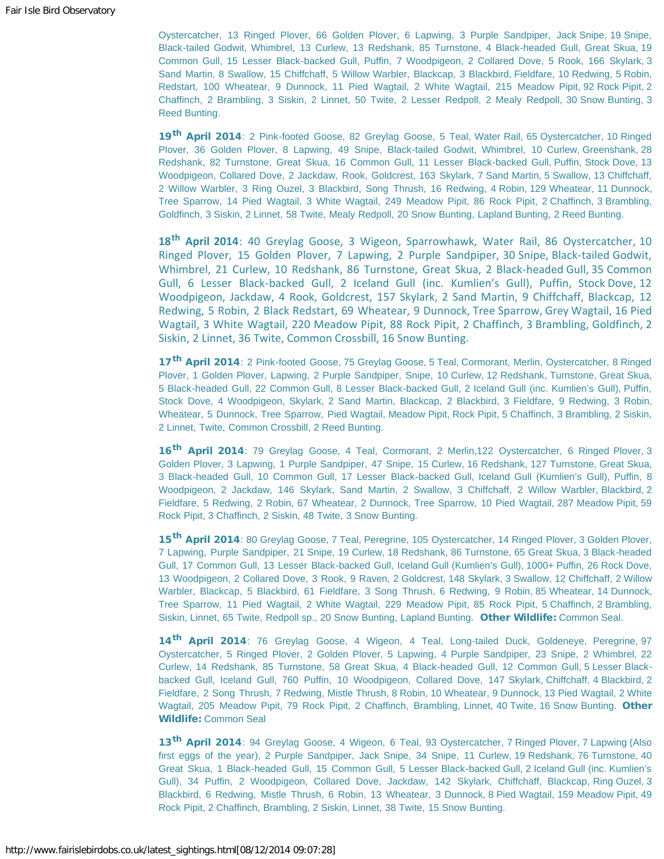Oystercatcher, 13 Ringed Plover, 66 Golden Plover, 6 Lapwing, 3 Purple Sandpiper, Jack Snipe, 19 Snipe, Black-tailed Godwit, Whimbrel, 13 Curlew, 13 Redshank, 85 Turnstone, 4 Black-headed Gull, Great Skua, 19 Common Gull, 15 Lesser Black-backed Gull, Puffin, 7 Woodpigeon, 2 Collared Dove, 5 Rook, 166 Skylark, 3 Sand Martin, 8 Swallow, 15 Chiffchaff, 5 Willow Warbler, Blackcap, 3 Blackbird, Fieldfare, 10 Redwing, 5 Robin, Redstart, 100 Wheatear, 9 Dunnock, 11 Pied Wagtail, 2 White Wagtail, 215 Meadow Pipit, 92 Rock Pipit, 2 Chaffinch, 2 Brambling, 3 Siskin, 2 Linnet, 50 Twite, 2 Lesser Redpoll, 2 Mealy Redpoll, 30 Snow Bunting, 3 Reed Bunting.

19<sup>th</sup> April 2014: 2 Pink-footed Goose, 82 Greylag Goose, 5 Teal, Water Rail, 65 Oystercatcher, 10 Ringed Plover, 36 Golden Plover, 8 Lapwing, 49 Snipe, Black-tailed Godwit, Whimbrel, 10 Curlew, Greenshank, 28 Redshank, 82 Turnstone, Great Skua, 16 Common Gull, 11 Lesser Black-backed Gull, Puffin, Stock Dove, 13 Woodpigeon, Collared Dove, 2 Jackdaw, Rook, Goldcrest, 163 Skylark, 7 Sand Martin, 5 Swallow, 13 Chiffchaff, 2 Willow Warbler, 3 Ring Ouzel, 3 Blackbird, Song Thrush, 16 Redwing, 4 Robin, 129 Wheatear, 11 Dunnock, Tree Sparrow, 14 Pied Wagtail, 3 White Wagtail, 249 Meadow Pipit, 86 Rock Pipit, 2 Chaffinch, 3 Brambling, Goldfinch, 3 Siskin, 2 Linnet, 58 Twite, Mealy Redpoll, 20 Snow Bunting, Lapland Bunting, 2 Reed Bunting.

**18th April 2014**: 40 Greylag Goose, 3 Wigeon, Sparrowhawk, Water Rail, 86 Oystercatcher, 10 Ringed Plover, 15 Golden Plover, 7 Lapwing, 2 Purple Sandpiper, 30 Snipe, Black-tailed Godwit, Whimbrel, 21 Curlew, 10 Redshank, 86 Turnstone, Great Skua, 2 Black-headed Gull, 35 Common Gull, 6 Lesser Black-backed Gull, 2 Iceland Gull (inc. Kumlien's Gull), Puffin, Stock Dove, 12 Woodpigeon, Jackdaw, 4 Rook, Goldcrest, 157 Skylark, 2 Sand Martin, 9 Chiffchaff, Blackcap, 12 Redwing, 5 Robin, 2 Black Redstart, 69 Wheatear, 9 Dunnock, Tree Sparrow, Grey Wagtail, 16 Pied Wagtail, 3 White Wagtail, 220 Meadow Pipit, 88 Rock Pipit, 2 Chaffinch, 3 Brambling, Goldfinch, 2 Siskin, 2 Linnet, 36 Twite, Common Crossbill, 16 Snow Bunting.

17<sup>th</sup> April 2014: 2 Pink-footed Goose, 75 Greylag Goose, 5 Teal, Cormorant, Merlin, Oystercatcher, 8 Ringed Plover, 1 Golden Plover, Lapwing, 2 Purple Sandpiper, Snipe, 10 Curlew, 12 Redshank, Turnstone, Great Skua, 5 Black-headed Gull, 22 Common Gull, 8 Lesser Black-backed Gull, 2 Iceland Gull (inc. Kumlien's Gull), Puffin, Stock Dove, 4 Woodpigeon, Skylark, 2 Sand Martin, Blackcap, 2 Blackbird, 3 Fieldfare, 9 Redwing, 3 Robin, Wheatear, 5 Dunnock, Tree Sparrow, Pied Wagtail, Meadow Pipit, Rock Pipit, 5 Chaffinch, 3 Brambling, 2 Siskin, 2 Linnet, Twite, Common Crossbill, 2 Reed Bunting.

16<sup>th</sup> April 2014: 79 Greylag Goose, 4 Teal, Cormorant, 2 Merlin, 122 Oystercatcher, 6 Ringed Plover, 3 Golden Plover, 3 Lapwing, 1 Purple Sandpiper, 47 Snipe, 15 Curlew, 16 Redshank, 127 Turnstone, Great Skua, 3 Black-headed Gull, 10 Common Gull, 17 Lesser Black-backed Gull, Iceland Gull (Kumlien's Gull), Puffin, 8 Woodpigeon, 2 Jackdaw, 146 Skylark, Sand Martin, 2 Swallow, 3 Chiffchaff, 2 Willow Warbler, Blackbird, 2 Fieldfare, 5 Redwing, 2 Robin, 67 Wheatear, 2 Dunnock, Tree Sparrow, 10 Pied Wagtail, 287 Meadow Pipit, 59 Rock Pipit, 3 Chaffinch, 2 Siskin, 48 Twite, 3 Snow Bunting.

15<sup>th</sup> April 2014: 80 Greylag Goose, 7 Teal, Peregrine, 105 Oystercatcher, 14 Ringed Plover, 3 Golden Plover, 7 Lapwing, Purple Sandpiper, 21 Snipe, 19 Curlew, 18 Redshank, 86 Turnstone, 65 Great Skua, 3 Black-headed Gull, 17 Common Gull, 13 Lesser Black-backed Gull, Iceland Gull (Kumlien's Gull), 1000+ Puffin, 26 Rock Dove, 13 Woodpigeon, 2 Collared Dove, 3 Rook, 9 Raven, 2 Goldcrest, 148 Skylark, 3 Swallow, 12 Chiffchaff, 2 Willow Warbler, Blackcap, 5 Blackbird, 61 Fieldfare, 3 Song Thrush, 6 Redwing, 9 Robin, 85 Wheatear, 14 Dunnock, Tree Sparrow, 11 Pied Wagtail, 2 White Wagtail, 229 Meadow Pipit, 85 Rock Pipit, 5 Chaffinch, 2 Brambling, Siskin, Linnet, 65 Twite, Redpoll sp., 20 Snow Bunting, Lapland Bunting. Other Wildlife: Common Seal.

14<sup>th</sup> April 2014: 76 Greylag Goose, 4 Wigeon, 4 Teal, Long-tailed Duck, Goldeneye, Peregrine, 97 Oystercatcher, 5 Ringed Plover, 2 Golden Plover, 5 Lapwing, 4 Purple Sandpiper, 23 Snipe, 2 Whimbrel, 22 Curlew, 14 Redshank, 85 Turnstone, 58 Great Skua, 4 Black-headed Gull, 12 Common Gull, 5 Lesser Blackbacked Gull, Iceland Gull, 760 Puffin, 10 Woodpigeon, Collared Dove, 147 Skylark, Chiffchaff, 4 Blackbird, 2 Fieldfare, 2 Song Thrush, 7 Redwing, Mistle Thrush, 8 Robin, 10 Wheatear, 9 Dunnock, 13 Pied Wagtail, 2 White Wagtail, 205 Meadow Pipit, 79 Rock Pipit, 2 Chaffinch, Brambling, Linnet, 40 Twite, 16 Snow Bunting. Other Wildlife: Common Seal

13<sup>th</sup> April 2014: 94 Greylag Goose, 4 Wigeon, 6 Teal, 93 Oystercatcher, 7 Ringed Plover, 7 Lapwing (Also first eggs of the year), 2 Purple Sandpiper, Jack Snipe, 34 Snipe, 11 Curlew, 19 Redshank, 76 Turnstone, 40 Great Skua, 1 Black-headed Gull, 15 Common Gull, 5 Lesser Black-backed Gull, 2 Iceland Gull (inc. Kumlien's Gull), 34 Puffin, 2 Woodpigeon, Collared Dove, Jackdaw, 142 Skylark, Chiffchaff, Blackcap, Ring Ouzel, 3 Blackbird, 6 Redwing, Mistle Thrush, 6 Robin, 13 Wheatear, 3 Dunnock, 8 Pied Wagtail, 159 Meadow Pipit, 49 Rock Pipit, 2 Chaffinch, Brambling, 2 Siskin, Linnet, 38 Twite, 15 Snow Bunting.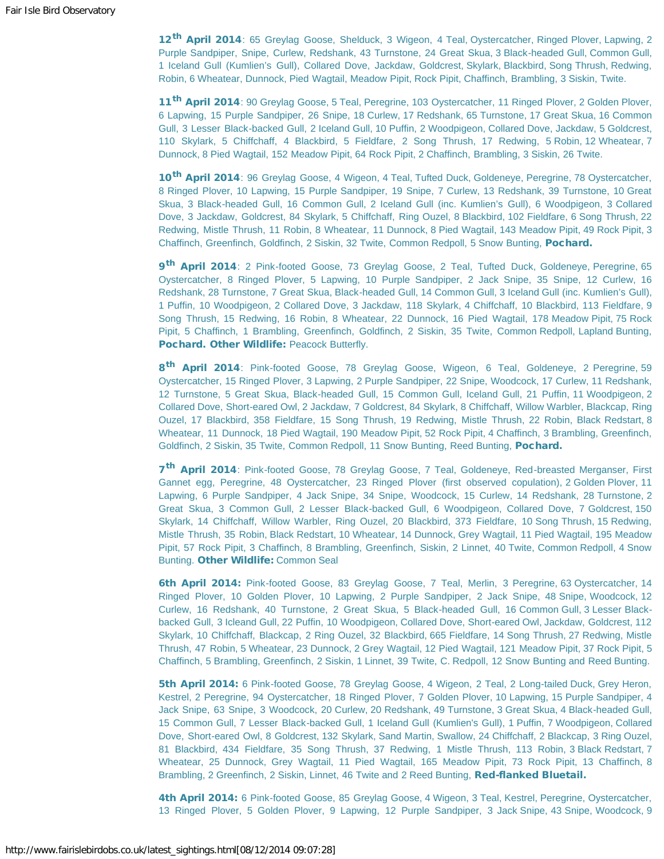12<sup>th</sup> April 2014: 65 Greylag Goose, Shelduck, 3 Wigeon, 4 Teal, Oystercatcher, Ringed Plover, Lapwing, 2 Purple Sandpiper, Snipe, Curlew, Redshank, 43 Turnstone, 24 Great Skua, 3 Black-headed Gull, Common Gull, 1 Iceland Gull (Kumlien's Gull), Collared Dove, Jackdaw, Goldcrest, Skylark, Blackbird, Song Thrush, Redwing, Robin, 6 Wheatear, Dunnock, Pied Wagtail, Meadow Pipit, Rock Pipit, Chaffinch, Brambling, 3 Siskin, Twite.

11<sup>th</sup> April 2014: 90 Greylag Goose, 5 Teal, Peregrine, 103 Oystercatcher, 11 Ringed Plover, 2 Golden Plover, 6 Lapwing, 15 Purple Sandpiper, 26 Snipe, 18 Curlew, 17 Redshank, 65 Turnstone, 17 Great Skua, 16 Common Gull, 3 Lesser Black-backed Gull, 2 Iceland Gull, 10 Puffin, 2 Woodpigeon, Collared Dove, Jackdaw, 5 Goldcrest, 110 Skylark, 5 Chiffchaff, 4 Blackbird, 5 Fieldfare, 2 Song Thrush, 17 Redwing, 5 Robin, 12 Wheatear, 7 Dunnock, 8 Pied Wagtail, 152 Meadow Pipit, 64 Rock Pipit, 2 Chaffinch, Brambling, 3 Siskin, 26 Twite.

10<sup>th</sup> April 2014: 96 Greylag Goose, 4 Wigeon, 4 Teal, Tufted Duck, Goldeneye, Peregrine, 78 Oystercatcher, 8 Ringed Plover, 10 Lapwing, 15 Purple Sandpiper, 19 Snipe, 7 Curlew, 13 Redshank, 39 Turnstone, 10 Great Skua, 3 Black-headed Gull, 16 Common Gull, 2 Iceland Gull (inc. Kumlien's Gull), 6 Woodpigeon, 3 Collared Dove, 3 Jackdaw, Goldcrest, 84 Skylark, 5 Chiffchaff, Ring Ouzel, 8 Blackbird, 102 Fieldfare, 6 Song Thrush, 22 Redwing, Mistle Thrush, 11 Robin, 8 Wheatear, 11 Dunnock, 8 Pied Wagtail, 143 Meadow Pipit, 49 Rock Pipit, 3 Chaffinch, Greenfinch, Goldfinch, 2 Siskin, 32 Twite, Common Redpoll, 5 Snow Bunting, Pochard.

9<sup>th</sup> April 2014: 2 Pink-footed Goose, 73 Greylag Goose, 2 Teal, Tufted Duck, Goldeneye, Peregrine, 65 Oystercatcher, 8 Ringed Plover, 5 Lapwing, 10 Purple Sandpiper, 2 Jack Snipe, 35 Snipe, 12 Curlew, 16 Redshank, 28 Turnstone, 7 Great Skua, Black-headed Gull, 14 Common Gull, 3 Iceland Gull (inc. Kumlien's Gull), 1 Puffin, 10 Woodpigeon, 2 Collared Dove, 3 Jackdaw, 118 Skylark, 4 Chiffchaff, 10 Blackbird, 113 Fieldfare, 9 Song Thrush, 15 Redwing, 16 Robin, 8 Wheatear, 22 Dunnock, 16 Pied Wagtail, 178 Meadow Pipit, 75 Rock Pipit, 5 Chaffinch, 1 Brambling, Greenfinch, Goldfinch, 2 Siskin, 35 Twite, Common Redpoll, Lapland Bunting, Pochard. Other Wildlife: Peacock Butterfly.

8<sup>th</sup> April 2014: Pink-footed Goose, 78 Greylag Goose, Wigeon, 6 Teal, Goldeneye, 2 Peregrine, 59 Oystercatcher, 15 Ringed Plover, 3 Lapwing, 2 Purple Sandpiper, 22 Snipe, Woodcock, 17 Curlew, 11 Redshank, 12 Turnstone, 5 Great Skua, Black-headed Gull, 15 Common Gull, Iceland Gull, 21 Puffin, 11 Woodpigeon, 2 Collared Dove, Short-eared Owl, 2 Jackdaw, 7 Goldcrest, 84 Skylark, 8 Chiffchaff, Willow Warbler, Blackcap, Ring Ouzel, 17 Blackbird, 358 Fieldfare, 15 Song Thrush, 19 Redwing, Mistle Thrush, 22 Robin, Black Redstart, 8 Wheatear, 11 Dunnock, 18 Pied Wagtail, 190 Meadow Pipit, 52 Rock Pipit, 4 Chaffinch, 3 Brambling, Greenfinch, Goldfinch, 2 Siskin, 35 Twite, Common Redpoll, 11 Snow Bunting, Reed Bunting, Pochard.

7<sup>th</sup> April 2014: Pink-footed Goose, 78 Greylag Goose, 7 Teal, Goldeneye, Red-breasted Merganser, First Gannet egg, Peregrine, 48 Oystercatcher, 23 Ringed Plover (first observed copulation), 2 Golden Plover, 11 Lapwing, 6 Purple Sandpiper, 4 Jack Snipe, 34 Snipe, Woodcock, 15 Curlew, 14 Redshank, 28 Turnstone, 2 Great Skua, 3 Common Gull, 2 Lesser Black-backed Gull, 6 Woodpigeon, Collared Dove, 7 Goldcrest, 150 Skylark, 14 Chiffchaff, Willow Warbler, Ring Ouzel, 20 Blackbird, 373 Fieldfare, 10 Song Thrush, 15 Redwing, Mistle Thrush, 35 Robin, Black Redstart, 10 Wheatear, 14 Dunnock, Grey Wagtail, 11 Pied Wagtail, 195 Meadow Pipit, 57 Rock Pipit, 3 Chaffinch, 8 Brambling, Greenfinch, Siskin, 2 Linnet, 40 Twite, Common Redpoll, 4 Snow Bunting. Other Wildlife: Common Seal

6th April 2014: Pink-footed Goose, 83 Greylag Goose, 7 Teal, Merlin, 3 Peregrine, 63 Oystercatcher, 14 Ringed Plover, 10 Golden Plover, 10 Lapwing, 2 Purple Sandpiper, 2 Jack Snipe, 48 Snipe, Woodcock, 12 Curlew, 16 Redshank, 40 Turnstone, 2 Great Skua, 5 Black-headed Gull, 16 Common Gull, 3 Lesser Blackbacked Gull, 3 Icleand Gull, 22 Puffin, 10 Woodpigeon, Collared Dove, Short-eared Owl, Jackdaw, Goldcrest, 112 Skylark, 10 Chiffchaff, Blackcap, 2 Ring Ouzel, 32 Blackbird, 665 Fieldfare, 14 Song Thrush, 27 Redwing, Mistle Thrush, 47 Robin, 5 Wheatear, 23 Dunnock, 2 Grey Wagtail, 12 Pied Wagtail, 121 Meadow Pipit, 37 Rock Pipit, 5 Chaffinch, 5 Brambling, Greenfinch, 2 Siskin, 1 Linnet, 39 Twite, C. Redpoll, 12 Snow Bunting and Reed Bunting.

5th April 2014: 6 Pink-footed Goose, 78 Greylag Goose, 4 Wigeon, 2 Teal, 2 Long-tailed Duck, Grey Heron, Kestrel, 2 Peregrine, 94 Oystercatcher, 18 Ringed Plover, 7 Golden Plover, 10 Lapwing, 15 Purple Sandpiper, 4 Jack Snipe, 63 Snipe, 3 Woodcock, 20 Curlew, 20 Redshank, 49 Turnstone, 3 Great Skua, 4 Black-headed Gull, 15 Common Gull, 7 Lesser Black-backed Gull, 1 Iceland Gull (Kumlien's Gull), 1 Puffin, 7 Woodpigeon, Collared Dove, Short-eared Owl, 8 Goldcrest, 132 Skylark, Sand Martin, Swallow, 24 Chiffchaff, 2 Blackcap, 3 Ring Ouzel, 81 Blackbird, 434 Fieldfare, 35 Song Thrush, 37 Redwing, 1 Mistle Thrush, 113 Robin, 3 Black Redstart, 7 Wheatear, 25 Dunnock, Grey Wagtail, 11 Pied Wagtail, 165 Meadow Pipit, 73 Rock Pipit, 13 Chaffinch, 8 Brambling, 2 Greenfinch, 2 Siskin, Linnet, 46 Twite and 2 Reed Bunting, Red-flanked Bluetail.

4th April 2014: 6 Pink-footed Goose, 85 Greylag Goose, 4 Wigeon, 3 Teal, Kestrel, Peregrine, Oystercatcher, 13 Ringed Plover, 5 Golden Plover, 9 Lapwing, 12 Purple Sandpiper, 3 Jack Snipe, 43 Snipe, Woodcock, 9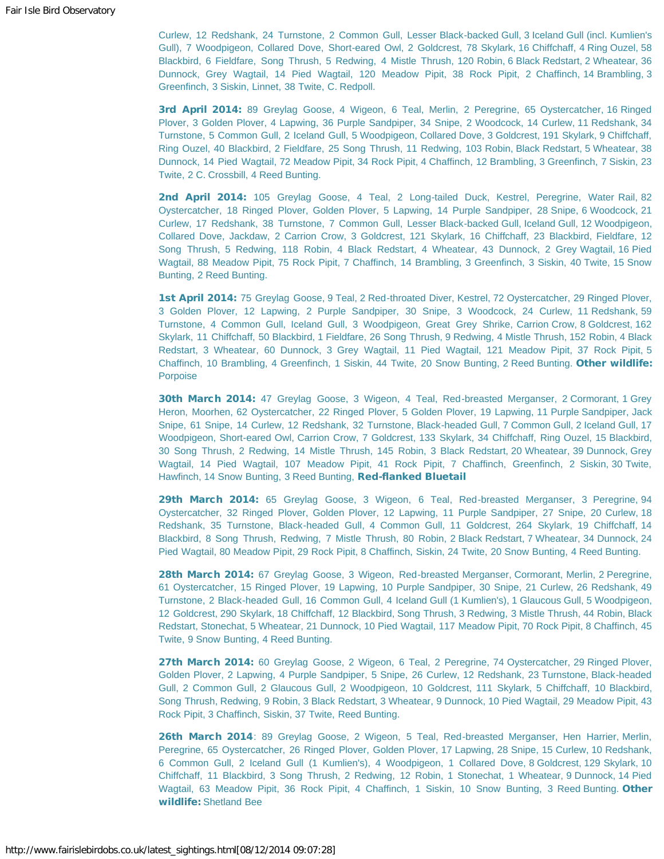Curlew, 12 Redshank, 24 Turnstone, 2 Common Gull, Lesser Black-backed Gull, 3 Iceland Gull (incl. Kumlien's Gull), 7 Woodpigeon, Collared Dove, Short-eared Owl, 2 Goldcrest, 78 Skylark, 16 Chiffchaff, 4 Ring Ouzel, 58 Blackbird, 6 Fieldfare, Song Thrush, 5 Redwing, 4 Mistle Thrush, 120 Robin, 6 Black Redstart, 2 Wheatear, 36 Dunnock, Grey Wagtail, 14 Pied Wagtail, 120 Meadow Pipit, 38 Rock Pipit, 2 Chaffinch, 14 Brambling, 3 Greenfinch, 3 Siskin, Linnet, 38 Twite, C. Redpoll.

3rd April 2014: 89 Greylag Goose, 4 Wigeon, 6 Teal, Merlin, 2 Peregrine, 65 Oystercatcher, 16 Ringed Plover, 3 Golden Plover, 4 Lapwing, 36 Purple Sandpiper, 34 Snipe, 2 Woodcock, 14 Curlew, 11 Redshank, 34 Turnstone, 5 Common Gull, 2 Iceland Gull, 5 Woodpigeon, Collared Dove, 3 Goldcrest, 191 Skylark, 9 Chiffchaff, Ring Ouzel, 40 Blackbird, 2 Fieldfare, 25 Song Thrush, 11 Redwing, 103 Robin, Black Redstart, 5 Wheatear, 38 Dunnock, 14 Pied Wagtail, 72 Meadow Pipit, 34 Rock Pipit, 4 Chaffinch, 12 Brambling, 3 Greenfinch, 7 Siskin, 23 Twite, 2 C. Crossbill, 4 Reed Bunting.

2nd April 2014: 105 Greylag Goose, 4 Teal, 2 Long-tailed Duck, Kestrel, Peregrine, Water Rail, 82 Oystercatcher, 18 Ringed Plover, Golden Plover, 5 Lapwing, 14 Purple Sandpiper, 28 Snipe, 6 Woodcock, 21 Curlew, 17 Redshank, 38 Turnstone, 7 Common Gull, Lesser Black-backed Gull, Iceland Gull, 12 Woodpigeon, Collared Dove, Jackdaw, 2 Carrion Crow, 3 Goldcrest, 121 Skylark, 16 Chiffchaff, 23 Blackbird, Fieldfare, 12 Song Thrush, 5 Redwing, 118 Robin, 4 Black Redstart, 4 Wheatear, 43 Dunnock, 2 Grey Wagtail, 16 Pied Wagtail, 88 Meadow Pipit, 75 Rock Pipit, 7 Chaffinch, 14 Brambling, 3 Greenfinch, 3 Siskin, 40 Twite, 15 Snow Bunting, 2 Reed Bunting.

1st April 2014: 75 Greylag Goose, 9 Teal, 2 Red-throated Diver, Kestrel, 72 Oystercatcher, 29 Ringed Plover, 3 Golden Plover, 12 Lapwing, 2 Purple Sandpiper, 30 Snipe, 3 Woodcock, 24 Curlew, 11 Redshank, 59 Turnstone, 4 Common Gull, Iceland Gull, 3 Woodpigeon, Great Grey Shrike, Carrion Crow, 8 Goldcrest, 162 Skylark, 11 Chiffchaff, 50 Blackbird, 1 Fieldfare, 26 Song Thrush, 9 Redwing, 4 Mistle Thrush, 152 Robin, 4 Black Redstart, 3 Wheatear, 60 Dunnock, 3 Grey Wagtail, 11 Pied Wagtail, 121 Meadow Pipit, 37 Rock Pipit, 5 Chaffinch, 10 Brambling, 4 Greenfinch, 1 Siskin, 44 Twite, 20 Snow Bunting, 2 Reed Bunting. Other wildlife: Porpoise

30th March 2014: 47 Greylag Goose, 3 Wigeon, 4 Teal, Red-breasted Merganser, 2 Cormorant, 1 Grey Heron, Moorhen, 62 Oystercatcher, 22 Ringed Plover, 5 Golden Plover, 19 Lapwing, 11 Purple Sandpiper, Jack Snipe, 61 Snipe, 14 Curlew, 12 Redshank, 32 Turnstone, Black-headed Gull, 7 Common Gull, 2 Iceland Gull, 17 Woodpigeon, Short-eared Owl, Carrion Crow, 7 Goldcrest, 133 Skylark, 34 Chiffchaff, Ring Ouzel, 15 Blackbird, 30 Song Thrush, 2 Redwing, 14 Mistle Thrush, 145 Robin, 3 Black Redstart, 20 Wheatear, 39 Dunnock, Grey Wagtail, 14 Pied Wagtail, 107 Meadow Pipit, 41 Rock Pipit, 7 Chaffinch, Greenfinch, 2 Siskin, 30 Twite, Hawfinch, 14 Snow Bunting, 3 Reed Bunting, Red-flanked Bluetail

29th March 2014: 65 Greylag Goose, 3 Wigeon, 6 Teal, Red-breasted Merganser, 3 Peregrine, 94 Oystercatcher, 32 Ringed Plover, Golden Plover, 12 Lapwing, 11 Purple Sandpiper, 27 Snipe, 20 Curlew, 18 Redshank, 35 Turnstone, Black-headed Gull, 4 Common Gull, 11 Goldcrest, 264 Skylark, 19 Chiffchaff, 14 Blackbird, 8 Song Thrush, Redwing, 7 Mistle Thrush, 80 Robin, 2 Black Redstart, 7 Wheatear, 34 Dunnock, 24 Pied Wagtail, 80 Meadow Pipit, 29 Rock Pipit, 8 Chaffinch, Siskin, 24 Twite, 20 Snow Bunting, 4 Reed Bunting.

28th March 2014: 67 Greylag Goose, 3 Wigeon, Red-breasted Merganser, Cormorant, Merlin, 2 Peregrine, 61 Oystercatcher, 15 Ringed Plover, 19 Lapwing, 10 Purple Sandpiper, 30 Snipe, 21 Curlew, 26 Redshank, 49 Turnstone, 2 Black-headed Gull, 16 Common Gull, 4 Iceland Gull (1 Kumlien's), 1 Glaucous Gull, 5 Woodpigeon, 12 Goldcrest, 290 Skylark, 18 Chiffchaff, 12 Blackbird, Song Thrush, 3 Redwing, 3 Mistle Thrush, 44 Robin, Black Redstart, Stonechat, 5 Wheatear, 21 Dunnock, 10 Pied Wagtail, 117 Meadow Pipit, 70 Rock Pipit, 8 Chaffinch, 45 Twite, 9 Snow Bunting, 4 Reed Bunting.

27th March 2014: 60 Greylag Goose, 2 Wigeon, 6 Teal, 2 Peregrine, 74 Oystercatcher, 29 Ringed Plover, Golden Plover, 2 Lapwing, 4 Purple Sandpiper, 5 Snipe, 26 Curlew, 12 Redshank, 23 Turnstone, Black-headed Gull, 2 Common Gull, 2 Glaucous Gull, 2 Woodpigeon, 10 Goldcrest, 111 Skylark, 5 Chiffchaff, 10 Blackbird, Song Thrush, Redwing, 9 Robin, 3 Black Redstart, 3 Wheatear, 9 Dunnock, 10 Pied Wagtail, 29 Meadow Pipit, 43 Rock Pipit, 3 Chaffinch, Siskin, 37 Twite, Reed Bunting.

26th March 2014: 89 Greylag Goose, 2 Wigeon, 5 Teal, Red-breasted Merganser, Hen Harrier, Merlin, Peregrine, 65 Oystercatcher, 26 Ringed Plover, Golden Plover, 17 Lapwing, 28 Snipe, 15 Curlew, 10 Redshank, 6 Common Gull, 2 Iceland Gull (1 Kumlien's), 4 Woodpigeon, 1 Collared Dove, 8 Goldcrest, 129 Skylark, 10 Chiffchaff, 11 Blackbird, 3 Song Thrush, 2 Redwing, 12 Robin, 1 Stonechat, 1 Wheatear, 9 Dunnock, 14 Pied Wagtail, 63 Meadow Pipit, 36 Rock Pipit, 4 Chaffinch, 1 Siskin, 10 Snow Bunting, 3 Reed Bunting. Other wildlife: Shetland Bee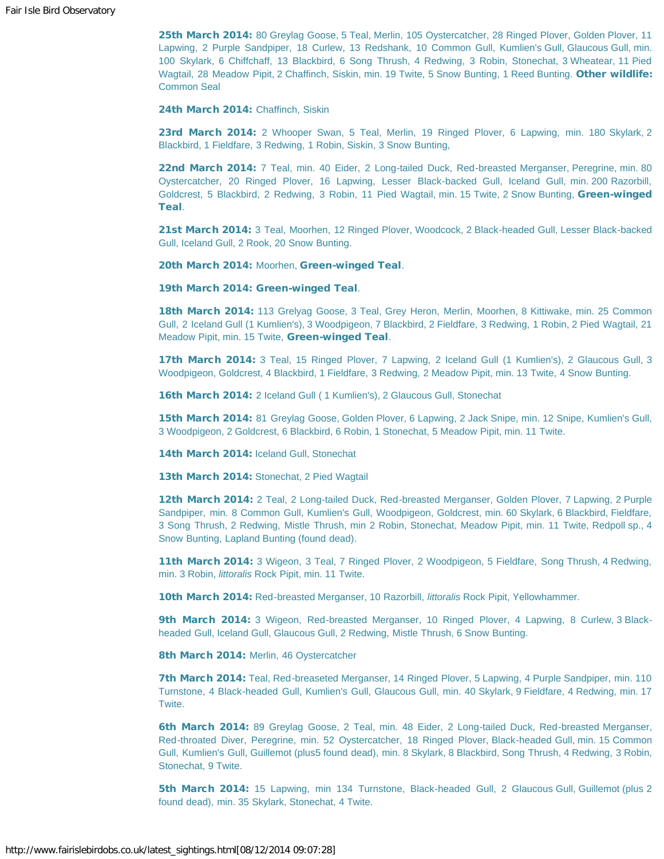25th March 2014: 80 Greylag Goose, 5 Teal, Merlin, 105 Oystercatcher, 28 Ringed Plover, Golden Plover, 11 Lapwing, 2 Purple Sandpiper, 18 Curlew, 13 Redshank, 10 Common Gull, Kumlien's Gull, Glaucous Gull, min. 100 Skylark, 6 Chiffchaff, 13 Blackbird, 6 Song Thrush, 4 Redwing, 3 Robin, Stonechat, 3 Wheatear, 11 Pied Wagtail, 28 Meadow Pipit, 2 Chaffinch, Siskin, min. 19 Twite, 5 Snow Bunting, 1 Reed Bunting. Other wildlife: Common Seal

24th March 2014: Chaffinch, Siskin

23rd March 2014: 2 Whooper Swan, 5 Teal, Merlin, 19 Ringed Plover, 6 Lapwing, min. 180 Skylark, 2 Blackbird, 1 Fieldfare, 3 Redwing, 1 Robin, Siskin, 3 Snow Bunting,

22nd March 2014: 7 Teal, min. 40 Eider, 2 Long-tailed Duck, Red-breasted Merganser, Peregrine, min. 80 Oystercatcher, 20 Ringed Plover, 16 Lapwing, Lesser Black-backed Gull, Iceland Gull, min. 200 Razorbill, Goldcrest, 5 Blackbird, 2 Redwing, 3 Robin, 11 Pied Wagtail, min. 15 Twite, 2 Snow Bunting, Green-winged Teal.

21st March 2014: 3 Teal, Moorhen, 12 Ringed Plover, Woodcock, 2 Black-headed Gull, Lesser Black-backed Gull, Iceland Gull, 2 Rook, 20 Snow Bunting.

20th March 2014: Moorhen, Green-winged Teal.

19th March 2014: Green-winged Teal.

18th March 2014: 113 Grelyag Goose, 3 Teal, Grey Heron, Merlin, Moorhen, 8 Kittiwake, min. 25 Common Gull, 2 Iceland Gull (1 Kumlien's), 3 Woodpigeon, 7 Blackbird, 2 Fieldfare, 3 Redwing, 1 Robin, 2 Pied Wagtail, 21 Meadow Pipit, min. 15 Twite, Green-winged Teal.

**17th March 2014:** 3 Teal, 15 Ringed Plover, 7 Lapwing, 2 Iceland Gull (1 Kumlien's), 2 Glaucous Gull, 3 Woodpigeon, Goldcrest, 4 Blackbird, 1 Fieldfare, 3 Redwing, 2 Meadow Pipit, min. 13 Twite, 4 Snow Bunting.

16th March 2014: 2 Iceland Gull (1 Kumlien's), 2 Glaucous Gull, Stonechat

15th March 2014: 81 Greylag Goose, Golden Plover, 6 Lapwing, 2 Jack Snipe, min. 12 Snipe, Kumlien's Gull, 3 Woodpigeon, 2 Goldcrest, 6 Blackbird, 6 Robin, 1 Stonechat, 5 Meadow Pipit, min. 11 Twite.

14th March 2014: Iceland Gull, Stonechat

13th March 2014: Stonechat, 2 Pied Wagtail

12th March 2014: 2 Teal, 2 Long-tailed Duck, Red-breasted Merganser, Golden Plover, 7 Lapwing, 2 Purple Sandpiper, min. 8 Common Gull, Kumlien's Gull, Woodpigeon, Goldcrest, min. 60 Skylark, 6 Blackbird, Fieldfare, 3 Song Thrush, 2 Redwing, Mistle Thrush, min 2 Robin, Stonechat, Meadow Pipit, min. 11 Twite, Redpoll sp., 4 Snow Bunting, Lapland Bunting (found dead).

11th March 2014: 3 Wigeon, 3 Teal, 7 Ringed Plover, 2 Woodpigeon, 5 Fieldfare, Song Thrush, 4 Redwing, min. 3 Robin, *littoralis* Rock Pipit, min. 11 Twite.

10th March 2014: Red-breasted Merganser, 10 Razorbill, *littoralis* Rock Pipit, Yellowhammer.

9th March 2014: 3 Wigeon, Red-breasted Merganser, 10 Ringed Plover, 4 Lapwing, 8 Curlew, 3 Blackheaded Gull, Iceland Gull, Glaucous Gull, 2 Redwing, Mistle Thrush, 6 Snow Bunting.

8th March 2014: Merlin, 46 Oystercatcher

7th March 2014: Teal, Red-breaseted Merganser, 14 Ringed Plover, 5 Lapwing, 4 Purple Sandpiper, min. 110 Turnstone, 4 Black-headed Gull, Kumlien's Gull, Glaucous Gull, min. 40 Skylark, 9 Fieldfare, 4 Redwing, min. 17 Twite.

6th March 2014: 89 Greylag Goose, 2 Teal, min. 48 Eider, 2 Long-tailed Duck, Red-breasted Merganser, Red-throated Diver, Peregrine, min. 52 Oystercatcher, 18 Ringed Plover, Black-headed Gull, min. 15 Common Gull, Kumlien's Gull, Guillemot (plus5 found dead), min. 8 Skylark, 8 Blackbird, Song Thrush, 4 Redwing, 3 Robin, Stonechat, 9 Twite.

5th March 2014: 15 Lapwing, min 134 Turnstone, Black-headed Gull, 2 Glaucous Gull, Guillemot (plus 2 found dead), min. 35 Skylark, Stonechat, 4 Twite.